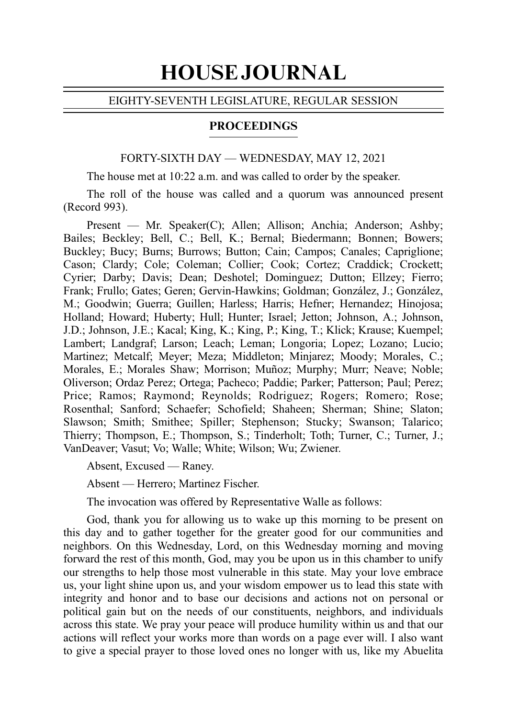# HOUSE JOURNAL

#### EIGHTY-SEVENTH LEGISLATURE, REGULAR SESSION

# PROCEEDINGS

#### FORTY-SIXTH DAY — WEDNESDAY, MAY 12, 2021

The house met at 10:22 a.m. and was called to order by the speaker.

The roll of the house was called and a quorum was announced present (Record 993).

Present — Mr. Speaker(C); Allen; Allison; Anchia; Anderson; Ashby; Bailes; Beckley; Bell, C.; Bell, K.; Bernal; Biedermann; Bonnen; Bowers; Buckley; Bucy; Burns; Burrows; Button; Cain; Campos; Canales; Capriglione; Cason; Clardy; Cole; Coleman; Collier; Cook; Cortez; Craddick; Crockett; Cyrier; Darby; Davis; Dean; Deshotel; Dominguez; Dutton; Ellzey; Fierro; Frank; Frullo; Gates; Geren; Gervin-Hawkins; Goldman; González, J.; González, M.; Goodwin; Guerra; Guillen; Harless; Harris; Hefner; Hernandez; Hinojosa; Holland; Howard; Huberty; Hull; Hunter; Israel; Jetton; Johnson, A.; Johnson, J.D.; Johnson, J.E.; Kacal; King, K.; King, P.; King, T.; Klick; Krause; Kuempel; Lambert; Landgraf; Larson; Leach; Leman; Longoria; Lopez; Lozano; Lucio; Martinez; Metcalf; Meyer; Meza; Middleton; Minjarez; Moody; Morales, C.; Morales, E.; Morales Shaw; Morrison; Muñoz; Murphy; Murr; Neave; Noble; Oliverson; Ordaz Perez; Ortega; Pacheco; Paddie; Parker; Patterson; Paul; Perez; Price; Ramos; Raymond; Reynolds; Rodriguez; Rogers; Romero; Rose; Rosenthal; Sanford; Schaefer; Schofield; Shaheen; Sherman; Shine; Slaton; Slawson; Smith; Smithee; Spiller; Stephenson; Stucky; Swanson; Talarico; Thierry; Thompson, E.; Thompson, S.; Tinderholt; Toth; Turner, C.; Turner, J.; VanDeaver; Vasut; Vo; Walle; White; Wilson; Wu; Zwiener.

Absent, Excused — Raney.

Absent — Herrero; Martinez Fischer.

The invocation was offered by Representative Walle as follows:

God, thank you for allowing us to wake up this morning to be present on this day and to gather together for the greater good for our communities and neighbors. On this Wednesday, Lord, on this Wednesday morning and moving forward the rest of this month, God, may you be upon us in this chamber to unify our strengths to help those most vulnerable in this state. May your love embrace us, your light shine upon us, and your wisdom empower us to lead this state with integrity and honor and to base our decisions and actions not on personal or political gain but on the needs of our constituents, neighbors, and individuals across this state. We pray your peace will produce humility within us and that our actions will reflect your works more than words on a page ever will. I also want to give a special prayer to those loved ones no longer with us, like my Abuelita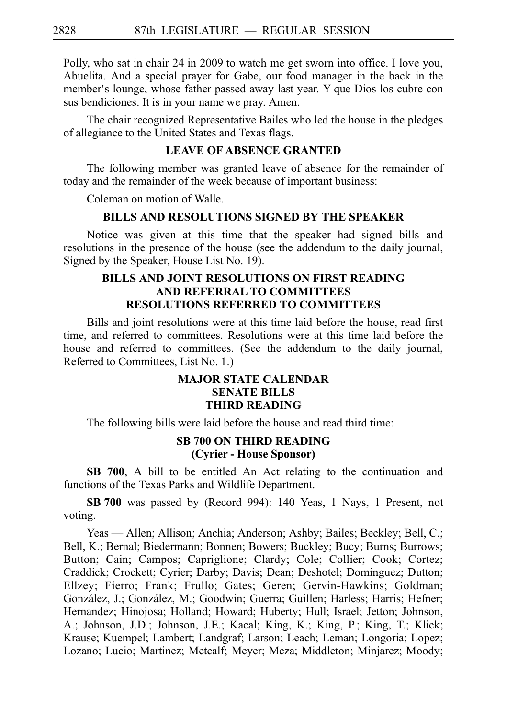Polly, who sat in chair 24 in 2009 to watch me get sworn into office. I love you, Abuelita. And a special prayer for Gabe, our food manager in the back in the member's lounge, whose father passed away last year. Y que Dios los cubre con sus bendiciones. It is in your name we pray. Amen.

The chair recognized Representative Bailes who led the house in the pledges of allegiance to the United States and Texas flags.

# **LEAVE OF ABSENCE GRANTED**

The following member was granted leave of absence for the remainder of today and the remainder of the week because of important business:

Coleman on motion of Walle.

# **BILLS AND RESOLUTIONS SIGNED BY THE SPEAKER**

Notice was given at this time that the speaker had signed bills and resolutions in the presence of the house (see the addendum to the daily journal, Signed by the Speaker, House List No. 19).

# **BILLS AND JOINT RESOLUTIONS ON FIRST READING AND REFERRAL TO COMMITTEES RESOLUTIONS REFERRED TO COMMITTEES**

Bills and joint resolutions were at this time laid before the house, read first time, and referred to committees. Resolutions were at this time laid before the house and referred to committees. (See the addendum to the daily journal, Referred to Committees, List No. 1.)

# **MAJOR STATE CALENDAR SENATE BILLS THIRD READING**

The following bills were laid before the house and read third time:

### **SB 700 ON THIRD READING (Cyrier - House Sponsor)**

**SB 700**, A bill to be entitled An Act relating to the continuation and functions of the Texas Parks and Wildlife Department.

**SBi700** was passed by (Record 994): 140 Yeas, 1 Nays, 1 Present, not voting.

Yeas — Allen; Allison; Anchia; Anderson; Ashby; Bailes; Beckley; Bell, C.; Bell, K.; Bernal; Biedermann; Bonnen; Bowers; Buckley; Bucy; Burns; Burrows; Button; Cain; Campos; Capriglione; Clardy; Cole; Collier; Cook; Cortez; Craddick; Crockett; Cyrier; Darby; Davis; Dean; Deshotel; Dominguez; Dutton; Ellzey; Fierro; Frank; Frullo; Gates; Geren; Gervin-Hawkins; Goldman; González, J.; González, M.; Goodwin; Guerra; Guillen; Harless; Harris; Hefner; Hernandez; Hinojosa; Holland; Howard; Huberty; Hull; Israel; Jetton; Johnson, A.; Johnson, J.D.; Johnson, J.E.; Kacal; King, K.; King, P.; King, T.; Klick; Krause; Kuempel; Lambert; Landgraf; Larson; Leach; Leman; Longoria; Lopez; Lozano; Lucio; Martinez; Metcalf; Meyer; Meza; Middleton; Minjarez; Moody;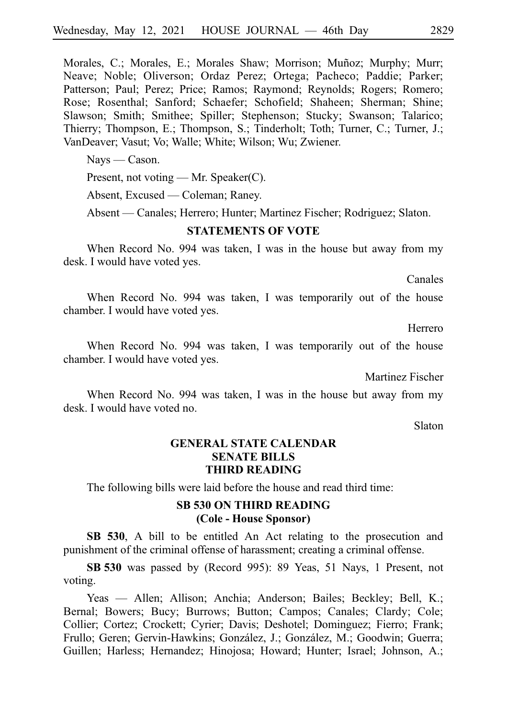Morales, C.; Morales, E.; Morales Shaw; Morrison; Muñoz; Murphy; Murr; Neave; Noble; Oliverson; Ordaz Perez; Ortega; Pacheco; Paddie; Parker; Patterson; Paul; Perez; Price; Ramos; Raymond; Reynolds; Rogers; Romero; Rose; Rosenthal; Sanford; Schaefer; Schofield; Shaheen; Sherman; Shine; Slawson; Smith; Smithee; Spiller; Stephenson; Stucky; Swanson; Talarico; Thierry; Thompson, E.; Thompson, S.; Tinderholt; Toth; Turner, C.; Turner, J.; VanDeaver; Vasut; Vo; Walle; White; Wilson; Wu; Zwiener.

Nays — Cason.

Present, not voting — Mr. Speaker(C).

Absent, Excused — Coleman; Raney.

Absent — Canales; Herrero; Hunter; Martinez Fischer; Rodriguez; Slaton.

#### **STATEMENTS OF VOTE**

When Record No. 994 was taken, I was in the house but away from my desk. I would have voted yes.

Canales

When Record No. 994 was taken, I was temporarily out of the house chamber. I would have voted yes.

**Herrero** 

When Record No. 994 was taken, I was temporarily out of the house chamber. I would have voted yes.

Martinez Fischer

When Record No. 994 was taken, I was in the house but away from my desk. I would have voted no.

Slaton

# **GENERAL STATE CALENDAR SENATE BILLS THIRD READING**

The following bills were laid before the house and read third time:

# **SB 530 ON THIRD READING (Cole - House Sponsor)**

**SB 530**, A bill to be entitled An Act relating to the prosecution and punishment of the criminal offense of harassment; creating a criminal offense.

**SBi530** was passed by (Record 995): 89 Yeas, 51 Nays, 1 Present, not voting.

Yeas — Allen; Allison; Anchia; Anderson; Bailes; Beckley; Bell, K.; Bernal; Bowers; Bucy; Burrows; Button; Campos; Canales; Clardy; Cole; Collier; Cortez; Crockett; Cyrier; Davis; Deshotel; Dominguez; Fierro; Frank; Frullo; Geren; Gervin-Hawkins; González, J.; González, M.; Goodwin; Guerra; Guillen; Harless; Hernandez; Hinojosa; Howard; Hunter; Israel; Johnson, A.;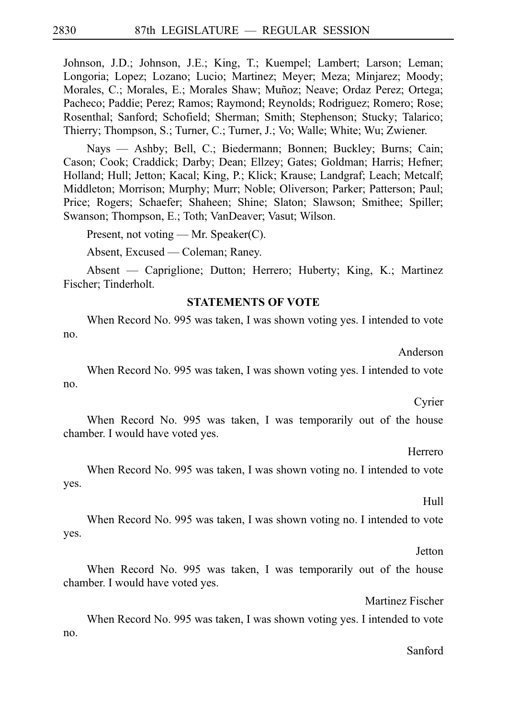Johnson, J.D.; Johnson, J.E.; King, T.; Kuempel; Lambert; Larson; Leman; Longoria; Lopez; Lozano; Lucio; Martinez; Meyer; Meza; Minjarez; Moody; Morales, C.; Morales, E.; Morales Shaw; Muñoz; Neave; Ordaz Perez; Ortega; Pacheco; Paddie; Perez; Ramos; Raymond; Reynolds; Rodriguez; Romero; Rose; Rosenthal; Sanford; Schofield; Sherman; Smith; Stephenson; Stucky; Talarico; Thierry; Thompson, S.; Turner, C.; Turner, J.; Vo; Walle; White; Wu; Zwiener.

Nays — Ashby; Bell, C.; Biedermann; Bonnen; Buckley; Burns; Cain; Cason; Cook; Craddick; Darby; Dean; Ellzey; Gates; Goldman; Harris; Hefner; Holland; Hull; Jetton; Kacal; King, P.; Klick; Krause; Landgraf; Leach; Metcalf; Middleton; Morrison; Murphy; Murr; Noble; Oliverson; Parker; Patterson; Paul; Price; Rogers; Schaefer; Shaheen; Shine; Slaton; Slawson; Smithee; Spiller; Swanson; Thompson, E.; Toth; VanDeaver; Vasut; Wilson.

Present, not voting — Mr. Speaker(C).

Absent, Excused — Coleman; Raney.

Absent — Capriglione; Dutton; Herrero; Huberty; King, K.; Martinez Fischer; Tinderholt.

# **STATEMENTS OF VOTE**

When Record No. 995 was taken, I was shown voting yes. I intended to vote no.

Anderson

When Record No. 995 was taken, I was shown voting yes. I intended to vote no.

Cyrier

When Record No. 995 was taken, I was temporarily out of the house chamber. I would have voted yes.

Herrero

When Record No. 995 was taken, I was shown voting no. I intended to vote yes.

Hull

When Record No. 995 was taken, I was shown voting no. I intended to vote yes.

Jetton

When Record No. 995 was taken, I was temporarily out of the house chamber. I would have voted yes.

Martinez Fischer

When Record No. 995 was taken, I was shown voting yes. I intended to vote no.

#### Sanford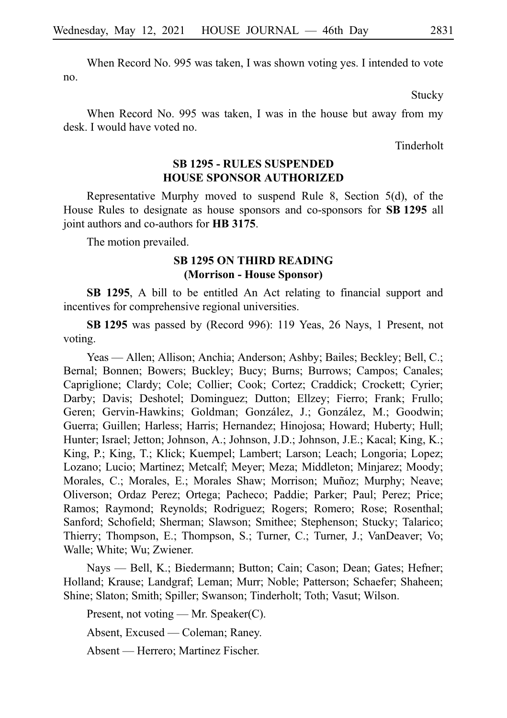When Record No. 995 was taken, I was shown voting yes. I intended to vote no.

**Stucky** 

When Record No. 995 was taken, I was in the house but away from my desk. I would have voted no.

Tinderholt

# **SB 1295 - RULES SUSPENDED HOUSE SPONSOR AUTHORIZED**

Representative Murphy moved to suspend Rule 8, Section 5(d), of the House Rules to designate as house sponsors and co-sponsors for **SBi1295** all joint authors and co-authors for **HB** 3175.

The motion prevailed.

# **SB 1295 ON THIRD READING (Morrison - House Sponsor)**

**SB 1295**, A bill to be entitled An Act relating to financial support and incentives for comprehensive regional universities.

**SBi1295** was passed by (Record 996): 119 Yeas, 26 Nays, 1 Present, not voting.

Yeas — Allen; Allison; Anchia; Anderson; Ashby; Bailes; Beckley; Bell, C.; Bernal; Bonnen; Bowers; Buckley; Bucy; Burns; Burrows; Campos; Canales; Capriglione; Clardy; Cole; Collier; Cook; Cortez; Craddick; Crockett; Cyrier; Darby; Davis; Deshotel; Dominguez; Dutton; Ellzey; Fierro; Frank; Frullo; Geren; Gervin-Hawkins; Goldman; González, J.; González, M.; Goodwin; Guerra; Guillen; Harless; Harris; Hernandez; Hinojosa; Howard; Huberty; Hull; Hunter; Israel; Jetton; Johnson, A.; Johnson, J.D.; Johnson, J.E.; Kacal; King, K.; King, P.; King, T.; Klick; Kuempel; Lambert; Larson; Leach; Longoria; Lopez; Lozano; Lucio; Martinez; Metcalf; Meyer; Meza; Middleton; Minjarez; Moody; Morales, C.; Morales, E.; Morales Shaw; Morrison; Muñoz; Murphy; Neave; Oliverson; Ordaz Perez; Ortega; Pacheco; Paddie; Parker; Paul; Perez; Price; Ramos; Raymond; Reynolds; Rodriguez; Rogers; Romero; Rose; Rosenthal; Sanford; Schofield; Sherman; Slawson; Smithee; Stephenson; Stucky; Talarico; Thierry; Thompson, E.; Thompson, S.; Turner, C.; Turner, J.; VanDeaver; Vo; Walle; White; Wu; Zwiener.

Nays — Bell, K.; Biedermann; Button; Cain; Cason; Dean; Gates; Hefner; Holland; Krause; Landgraf; Leman; Murr; Noble; Patterson; Schaefer; Shaheen; Shine; Slaton; Smith; Spiller; Swanson; Tinderholt; Toth; Vasut; Wilson.

Present, not voting — Mr. Speaker(C).

Absent, Excused — Coleman; Raney.

Absent — Herrero; Martinez Fischer.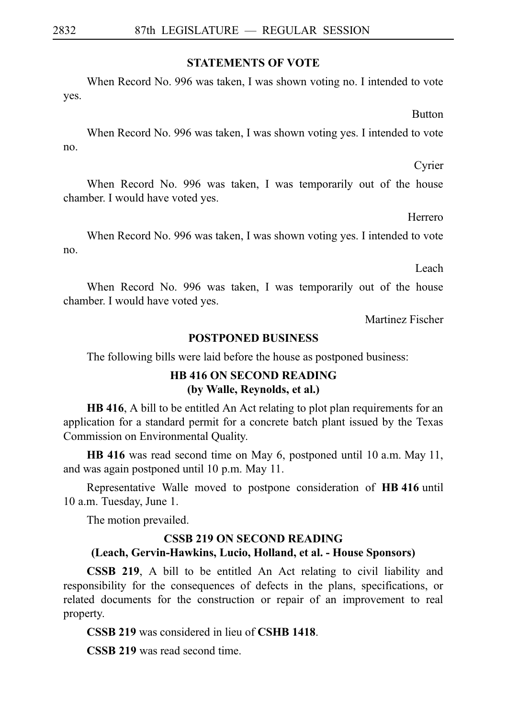### **STATEMENTS OF VOTE**

When Record No. 996 was taken, I was shown voting no. I intended to vote yes.

Button

When Record No. 996 was taken, I was shown voting yes. I intended to vote no.

Cyrier

When Record No. 996 was taken, I was temporarily out of the house chamber. I would have voted yes.

Herrero

When Record No. 996 was taken, I was shown voting yes. I intended to vote no.

Leach

When Record No. 996 was taken, I was temporarily out of the house chamber. I would have voted yes.

Martinez Fischer

#### **POSTPONED BUSINESS**

The following bills were laid before the house as postponed business:

# **HB 416 ON SECOND READING (by Walle, Reynolds, et al.)**

**HB 416**, A bill to be entitled An Act relating to plot plan requirements for an application for a standard permit for a concrete batch plant issued by the Texas Commission on Environmental Quality.

**HB 416** was read second time on May 6, postponed until 10 a.m. May 11, and was again postponed until 10 p.m. May 11.

Representative Walle moved to postpone consideration of **HB 416** until 10 a.m. Tuesday, June 1.

The motion prevailed.

# **CSSB 219 ON SECOND READING**

#### **(Leach, Gervin-Hawkins, Lucio, Holland, et al. - House Sponsors)**

**CSSB 219**, A bill to be entitled An Act relating to civil liability and responsibility for the consequences of defects in the plans, specifications, or related documents for the construction or repair of an improvement to real property.

**CSSB 219** was considered in lieu of **CSHB 1418**.

**CSSBi219** was read second time.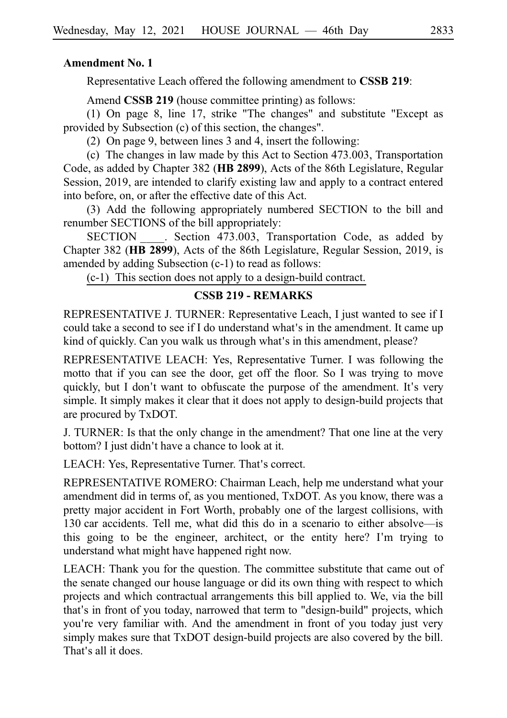### **Amendment No. 1**

Representative Leach offered the following amendment to **CSSB 219**:

Amend **CSSB 219** (house committee printing) as follows:

(1) On page 8, line 17, strike "The changes" and substitute "Except as provided by Subsection (c) of this section, the changes".

(2) On page 9, between lines 3 and 4, insert the following:

(c) The changes in law made by this Act to Section  $473.003$ , Transportation Code, as added by Chapter 382 (**HB 2899**), Acts of the 86th Legislature, Regular Session, 2019, are intended to clarify existing law and apply to a contract entered into before, on, or after the effective date of this Act.

(3) Add the following appropriately numbered SECTION to the bill and renumber SECTIONS of the bill appropriately:

SECTION . Section 473.003, Transportation Code, as added by Chapter 382 (**HB 2899**), Acts of the 86th Legislature, Regular Session, 2019, is amended by adding Subsection (c-1) to read as follows:

 $(c-1)$  This section does not apply to a design-build contract.

# **CSSB 219 - REMARKS**

REPRESENTATIVE J. TURNER: Representative Leach, I just wanted to see if I could take a second to see if I do understand what's in the amendment. It came up kind of quickly. Can you walk us through what's in this amendment, please?

REPRESENTATIVE LEACH: Yes, Representative Turner. I was following the motto that if you can see the door, get off the floor. So I was trying to move quickly, but I don't want to obfuscate the purpose of the amendment. It's very simple. It simply makes it clear that it does not apply to design-build projects that are procured by TxDOT.

J. TURNER: Is that the only change in the amendment? That one line at the very bottom? I just didn't have a chance to look at it.

LEACH: Yes, Representative Turner. That's correct.

REPRESENTATIVE ROMERO: Chairman Leach, help me understand what your amendment did in terms of, as you mentioned, TxDOT. As you know, there was a pretty major accident in Fort Worth, probably one of the largest collisions, with 130 car accidents. Tell me, what did this do in a scenario to either absolve—is this going to be the engineer, architect, or the entity here? I'm trying to understand what might have happened right now.

LEACH: Thank you for the question. The committee substitute that came out of the senate changed our house language or did its own thing with respect to which projects and which contractual arrangements this bill applied to. We, via the bill that's in front of you today, narrowed that term to "design-build" projects, which you're very familiar with. And the amendment in front of you today just very simply makes sure that TxDOT design-build projects are also covered by the bill. That's all it does.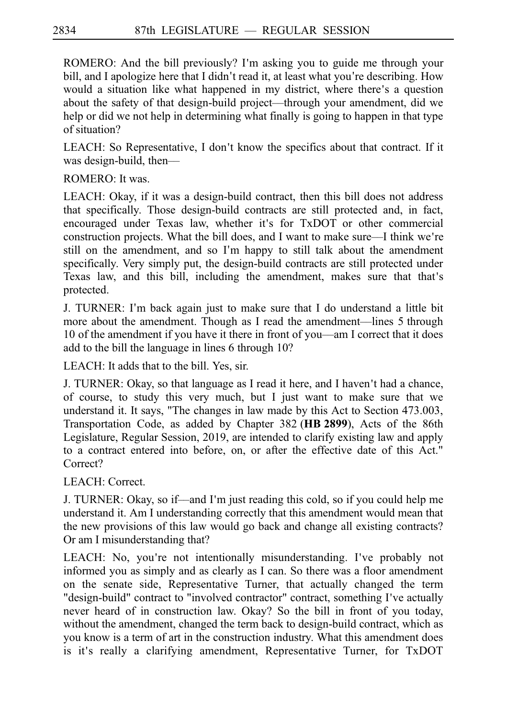ROMERO: And the bill previously? I'm asking you to guide me through your bill, and I apologize here that I didn't read it, at least what you're describing. How would a situation like what happened in my district, where there's a question about the safety of that design-build project––through your amendment, did we help or did we not help in determining what finally is going to happen in that type of situation?

LEACH: So Representative, I don't know the specifics about that contract. If it was design-build, then—

ROMERO: It was.

LEACH: Okay, if it was a design-build contract, then this bill does not address that specifically. Those design-build contracts are still protected and, in fact, encouraged under Texas law, whether it's for TxDOT or other commercial construction projects. What the bill does, and I want to make sure—I think we're still on the amendment, and so I'm happy to still talk about the amendment specifically. Very simply put, the design-build contracts are still protected under Texas law, and this bill, including the amendment, makes sure that that's protected.

J. TURNER: I'm back again just to make sure that I do understand a little bit more about the amendment. Though as I read the amendment—lines 5 through 10 of the amendment if you have it there in front of you—am I correct that it does add to the bill the language in lines 6 through 10?

LEACH: It adds that to the bill. Yes, sir.

J. TURNER: Okay, so that language as I read it here, and I haven't had a chance, of course, to study this very much, but I just want to make sure that we understand it. It says, "The changes in law made by this Act to Section 473.003, Transportation Code, as added by Chapter 382 (HB 2899), Acts of the 86th Legislature, Regular Session, 2019, are intended to clarify existing law and apply to a contract entered into before, on, or after the effective date of this Act." Correct?

LEACH: Correct.

J. TURNER: Okay, so if––and I m just reading this cold, so if you could help me ' understand it. Am I understanding correctly that this amendment would mean that the new provisions of this law would go back and change all existing contracts? Or am I misunderstanding that?

LEACH: No, you're not intentionally misunderstanding. I've probably not informed you as simply and as clearly as I can. So there was a floor amendment on the senate side, Representative Turner, that actually changed the term "design-build" contract to "involved contractor" contract, something I've actually never heard of in construction law. Okay? So the bill in front of you today, without the amendment, changed the term back to design-build contract, which as you know is a term of art in the construction industry. What this amendment does is it ' s really a clarifying amendment, Representative Turner, for TxDOT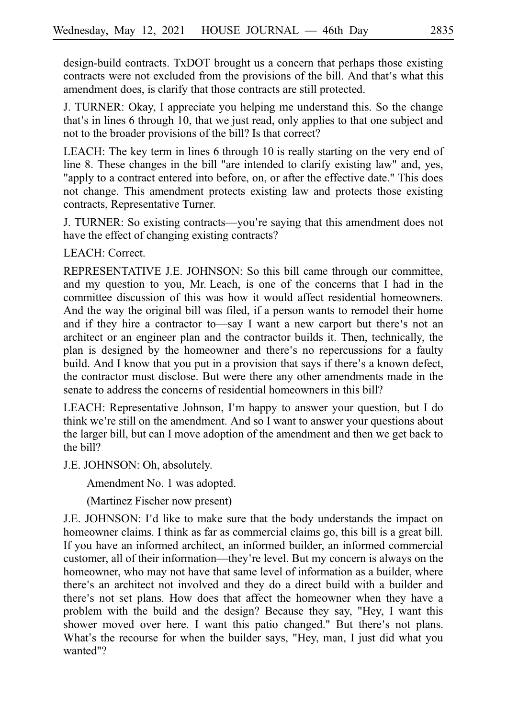design-build contracts. TxDOT brought us a concern that perhaps those existing contracts were not excluded from the provisions of the bill. And that's what this amendment does, is clarify that those contracts are still protected.

J. TURNER: Okay, I appreciate you helping me understand this. So the change that's in lines 6 through 10, that we just read, only applies to that one subject and not to the broader provisions of the bill? Is that correct?

LEACH: The key term in lines  $6$  through 10 is really starting on the very end of line 8. These changes in the bill "are intended to clarify existing law" and, yes, "apply to a contract entered into before, on, or after the effective date." This does not change. This amendment protects existing law and protects those existing contracts, Representative Turner.

J. TURNER: So existing contracts––you re saying that this amendment does not ' have the effect of changing existing contracts?

LEACH: Correct.

REPRESENTATIVE J.E. JOHNSON: So this bill came through our committee, and my question to you, Mr. Leach, is one of the concerns that I had in the committee discussion of this was how it would affect residential homeowners. And the way the original bill was filed, if a person wants to remodel their home and if they hire a contractor to—say I want a new carport but there's not an architect or an engineer plan and the contractor builds it. Then, technically, the plan is designed by the homeowner and there's no repercussions for a faulty build. And I know that you put in a provision that says if there's a known defect, the contractor must disclose. But were there any other amendments made in the senate to address the concerns of residential homeowners in this bill?

LEACH: Representative Johnson, I'm happy to answer your question, but I do think we re still on the amendment. And so I want to answer your questions about ' the larger bill, but can I move adoption of the amendment and then we get back to the bill?

J.E. JOHNSON: Oh, absolutely.

Amendment No. 1 was adopted.

(Martinez Fischer now present)

J.E. JOHNSON: I d like to make sure that the body understands the impact on ' homeowner claims. I think as far as commercial claims go, this bill is a great bill. If you have an informed architect, an informed builder, an informed commercial customer, all of their information––they re level. But my concern is always on the ' homeowner, who may not have that same level of information as a builder, where there's an architect not involved and they do a direct build with a builder and there's not set plans. How does that affect the homeowner when they have a problem with the build and the design? Because they say, "Hey, I want this shower moved over here. I want this patio changed." But there's not plans. What's the recourse for when the builder says, "Hey, man, I just did what you wanted"?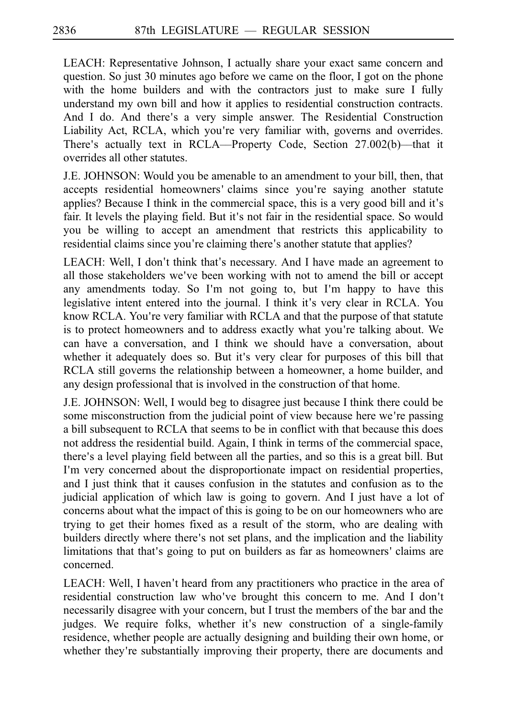LEACH: Representative Johnson, I actually share your exact same concern and question. So just 30 minutes ago before we came on the floor, I got on the phone with the home builders and with the contractors just to make sure I fully understand my own bill and how it applies to residential construction contracts. And I do. And there's a very simple answer. The Residential Construction Liability Act, RCLA, which you're very familiar with, governs and overrides. There's actually text in RCLA–Property Code, Section 27.002(b)–that it overrides all other statutes.

J.E. JOHNSON: Would you be amenable to an amendment to your bill, then, that accepts residential homeowners' claims since you're saying another statute applies? Because I think in the commercial space, this is a very good bill and it's fair. It levels the playing field. But it's not fair in the residential space. So would you be willing to accept an amendment that restricts this applicability to residential claims since you're claiming there's another statute that applies?

LEACH: Well, I don't think that's necessary. And I have made an agreement to all those stakeholders we've been working with not to amend the bill or accept any amendments today. So I'm not going to, but I'm happy to have this legislative intent entered into the journal. I think it's very clear in RCLA. You know RCLA. You're very familiar with RCLA and that the purpose of that statute is to protect homeowners and to address exactly what you're talking about. We can have a conversation, and I think we should have a conversation, about whether it adequately does so. But it's very clear for purposes of this bill that RCLA still governs the relationship between a homeowner, a home builder, and any design professional that is involved in the construction of that home.

J.E. JOHNSON: Well, I would beg to disagree just because I think there could be some misconstruction from the judicial point of view because here we're passing a bill subsequent to RCLA that seems to be in conflict with that because this does not address the residential build. Again, I think in terms of the commercial space, there's a level playing field between all the parties, and so this is a great bill. But I'm very concerned about the disproportionate impact on residential properties, and I just think that it causes confusion in the statutes and confusion as to the judicial application of which law is going to govern. And I just have a lot of concerns about what the impact of this is going to be on our homeowners who are trying to get their homes fixed as a result of the storm, who are dealing with builders directly where there's not set plans, and the implication and the liability limitations that that's going to put on builders as far as homeowners' claims are concerned.

LEACH: Well, I haven't heard from any practitioners who practice in the area of residential construction law who've brought this concern to me. And I don't necessarily disagree with your concern, but I trust the members of the bar and the judges. We require folks, whether it's new construction of a single-family residence, whether people are actually designing and building their own home, or whether they're substantially improving their property, there are documents and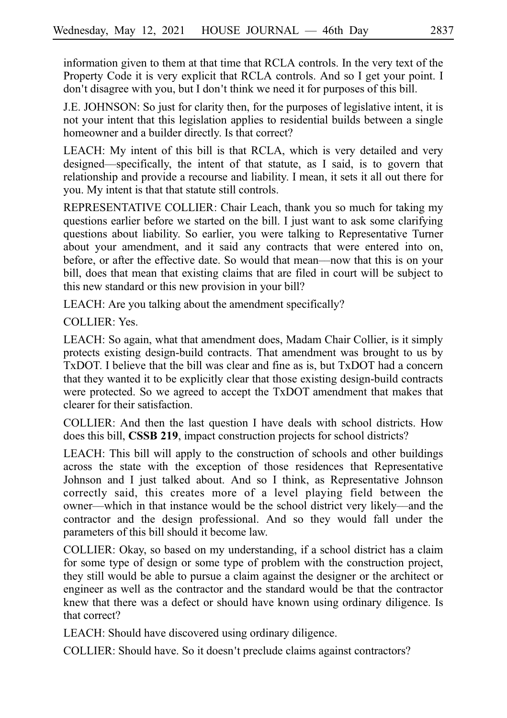information given to them at that time that RCLA controls. In the very text of the Property Code it is very explicit that RCLA controls. And so I get your point. I don't disagree with you, but I don't think we need it for purposes of this bill.

J.E. JOHNSON: So just for clarity then, for the purposes of legislative intent, it is not your intent that this legislation applies to residential builds between a single homeowner and a builder directly. Is that correct?

LEACH: My intent of this bill is that RCLA, which is very detailed and very designed––specifically, the intent of that statute, as I said, is to govern that relationship and provide a recourse and liability. I mean, it sets it all out there for you. My intent is that that statute still controls.

REPRESENTATIVE COLLIER: Chair Leach, thank you so much for taking my questions earlier before we started on the bill. I just want to ask some clarifying questions about liability. So earlier, you were talking to Representative Turner about your amendment, and it said any contracts that were entered into on, before, or after the effective date. So would that mean––now that this is on your bill, does that mean that existing claims that are filed in court will be subject to this new standard or this new provision in your bill?

LEACH: Are you talking about the amendment specifically?

COLLIER: Yes.

LEACH: So again, what that amendment does, Madam Chair Collier, is it simply protects existing design-build contracts. That amendment was brought to us by TxDOT. I believe that the bill was clear and fine as is, but TxDOT had a concern that they wanted it to be explicitly clear that those existing design-build contracts were protected. So we agreed to accept the TxDOT amendment that makes that clearer for their satisfaction.

COLLIER: And then the last question I have deals with school districts. How does this bill, **CSSB 219**, impact construction projects for school districts?

LEACH: This bill will apply to the construction of schools and other buildings across the state with the exception of those residences that Representative Johnson and I just talked about. And so I think, as Representative Johnson correctly said, this creates more of a level playing field between the owner––which in that instance would be the school district very likely––and the contractor and the design professional. And so they would fall under the parameters of this bill should it become law.

COLLIER: Okay, so based on my understanding, if a school district has a claim for some type of design or some type of problem with the construction project, they still would be able to pursue a claim against the designer or the architect or engineer as well as the contractor and the standard would be that the contractor knew that there was a defect or should have known using ordinary diligence. Is that correct?

LEACH: Should have discovered using ordinary diligence.

COLLIER: Should have. So it doesn t preclude claims against contractors? '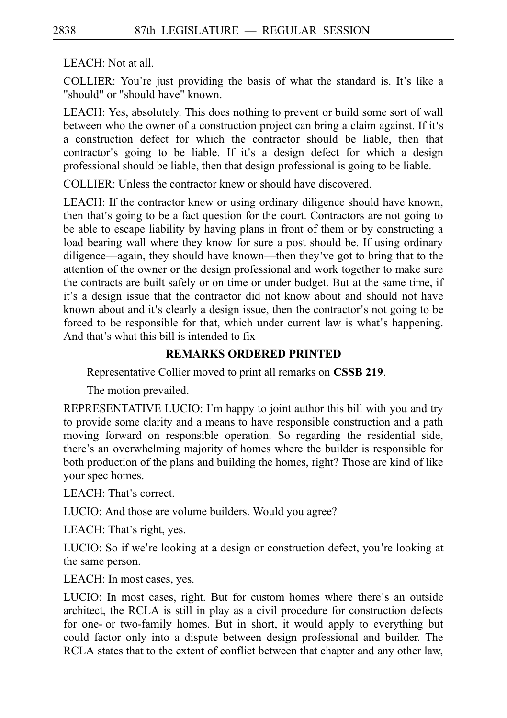LEACH: Not at all.

COLLIER: You're just providing the basis of what the standard is. It's like a "should" or "should have" known.

LEACH: Yes, absolutely. This does nothing to prevent or build some sort of wall between who the owner of a construction project can bring a claim against. If it's a construction defect for which the contractor should be liable, then that contractor's going to be liable. If it's a design defect for which a design professional should be liable, then that design professional is going to be liable.

COLLIER: Unless the contractor knew or should have discovered.

LEACH: If the contractor knew or using ordinary diligence should have known, then that's going to be a fact question for the court. Contractors are not going to be able to escape liability by having plans in front of them or by constructing a load bearing wall where they know for sure a post should be. If using ordinary diligence—again, they should have known—then they've got to bring that to the attention of the owner or the design professional and work together to make sure the contracts are built safely or on time or under budget. But at the same time, if it's a design issue that the contractor did not know about and should not have known about and it's clearly a design issue, then the contractor's not going to be forced to be responsible for that, which under current law is what's happening. And that's what this bill is intended to fix

# **REMARKS ORDERED PRINTED**

Representative Collier moved to print all remarks on **CSSB 219**.

The motion prevailed.

REPRESENTATIVE LUCIO: I'm happy to joint author this bill with you and try to provide some clarity and a means to have responsible construction and a path moving forward on responsible operation. So regarding the residential side, there's an overwhelming majority of homes where the builder is responsible for both production of the plans and building the homes, right? Those are kind of like your spec homes.

LEACH: That's correct.

LUCIO: And those are volume builders. Would you agree?

LEACH: That's right, yes.

LUCIO: So if we're looking at a design or construction defect, you're looking at the same person.

LEACH: In most cases, yes.

LUCIO: In most cases, right. But for custom homes where there's an outside architect, the RCLA is still in play as a civil procedure for construction defects for one- or two-family homes. But in short, it would apply to everything but could factor only into a dispute between design professional and builder. The RCLA states that to the extent of conflict between that chapter and any other law,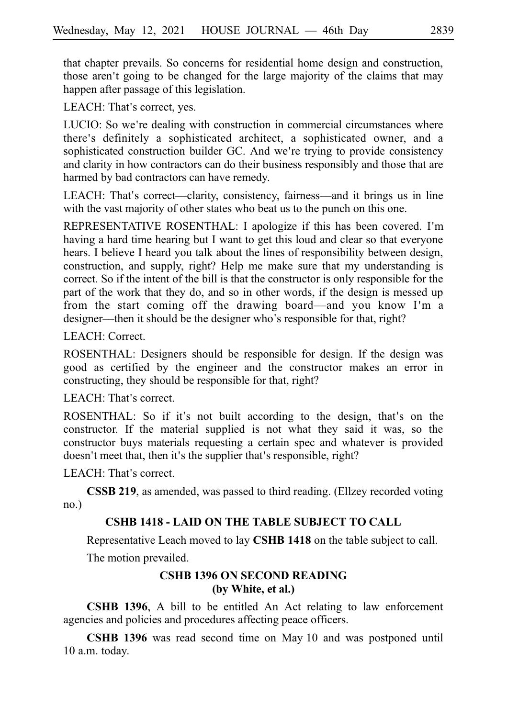that chapter prevails. So concerns for residential home design and construction, those aren't going to be changed for the large majority of the claims that may happen after passage of this legislation.

LEACH: That's correct, yes.

LUCIO: So we re dealing with construction in commercial circumstances where ' there ' s definitely a sophisticated architect, a sophisticated owner, and a sophisticated construction builder GC. And we're trying to provide consistency and clarity in how contractors can do their business responsibly and those that are harmed by bad contractors can have remedy.

LEACH: That's correct—clarity, consistency, fairness—and it brings us in line with the vast majority of other states who beat us to the punch on this one.

REPRESENTATIVE ROSENTHAL: I apologize if this has been covered. I'm having a hard time hearing but I want to get this loud and clear so that everyone hears. I believe I heard you talk about the lines of responsibility between design, construction, and supply, right? Help me make sure that my understanding is correct. So if the intent of the bill is that the constructor is only responsible for the part of the work that they do, and so in other words, if the design is messed up from the start coming off the drawing board—and you know I'm a designer—then it should be the designer who's responsible for that, right?

LEACH: Correct.

ROSENTHAL: Designers should be responsible for design. If the design was good as certified by the engineer and the constructor makes an error in constructing, they should be responsible for that, right?

LEACH: That's correct.

ROSENTHAL: So if it's not built according to the design, that's on the constructor. If the material supplied is not what they said it was, so the constructor buys materials requesting a certain spec and whatever is provided doesn't meet that, then it's the supplier that's responsible, right?

 $LEACH: That's correct$ 

**CSSB 219**, as amended, was passed to third reading. (Ellzey recorded voting no.)

# **CSHB 1418 - LAID ON THE TABLE SUBJECT TO CALL**

Representative Leach moved to lay **CSHBi1418** on the table subject to call.

The motion prevailed.

# **CSHB 1396 ON SECOND READING (by White, et al.)**

**CSHB 1396**, A bill to be entitled An Act relating to law enforcement agencies and policies and procedures affecting peace officers.

**CSHB 1396** was read second time on May 10 and was postponed until 10 a.m. today.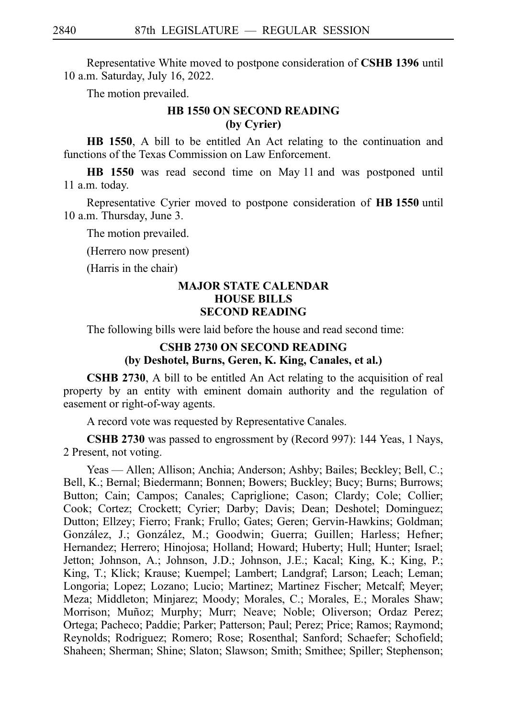Representative White moved to postpone consideration of **CSHB 1396** until 10 a.m. Saturday, July 16, 2022.

The motion prevailed.

# **HB 1550 ON SECOND READING (by Cyrier)**

**HB 1550**, A bill to be entitled An Act relating to the continuation and functions of the Texas Commission on Law Enforcement.

**HB 1550** was read second time on May 11 and was postponed until 11 a.m. today.

Representative Cyrier moved to postpone consideration of **HB 1550** until 10 a.m. Thursday, June 3.

The motion prevailed.

(Herrero now present)

(Harris in the chair)

### **MAJOR STATE CALENDAR HOUSE BILLS SECOND READING**

The following bills were laid before the house and read second time:

# **CSHB 2730 ON SECOND READING (by Deshotel, Burns, Geren, K. King, Canales, et al.)**

**CSHB 2730**, A bill to be entitled An Act relating to the acquisition of real property by an entity with eminent domain authority and the regulation of easement or right-of-way agents.

A record vote was requested by Representative Canales.

**CSHB 2730** was passed to engrossment by (Record 997): 144 Yeas, 1 Nays, 2 Present, not voting.

Yeas — Allen; Allison; Anchia; Anderson; Ashby; Bailes; Beckley; Bell, C.; Bell, K.; Bernal; Biedermann; Bonnen; Bowers; Buckley; Bucy; Burns; Burrows; Button; Cain; Campos; Canales; Capriglione; Cason; Clardy; Cole; Collier; Cook; Cortez; Crockett; Cyrier; Darby; Davis; Dean; Deshotel; Dominguez; Dutton; Ellzey; Fierro; Frank; Frullo; Gates; Geren; Gervin-Hawkins; Goldman; González, J.; González, M.; Goodwin; Guerra; Guillen; Harless; Hefner; Hernandez; Herrero; Hinojosa; Holland; Howard; Huberty; Hull; Hunter; Israel; Jetton; Johnson, A.; Johnson, J.D.; Johnson, J.E.; Kacal; King, K.; King, P.; King, T.; Klick; Krause; Kuempel; Lambert; Landgraf; Larson; Leach; Leman; Longoria; Lopez; Lozano; Lucio; Martinez; Martinez Fischer; Metcalf; Meyer; Meza; Middleton; Minjarez; Moody; Morales, C.; Morales, E.; Morales Shaw; Morrison; Muñoz; Murphy; Murr; Neave; Noble; Oliverson; Ordaz Perez; Ortega; Pacheco; Paddie; Parker; Patterson; Paul; Perez; Price; Ramos; Raymond; Reynolds; Rodriguez; Romero; Rose; Rosenthal; Sanford; Schaefer; Schofield; Shaheen; Sherman; Shine; Slaton; Slawson; Smith; Smithee; Spiller; Stephenson;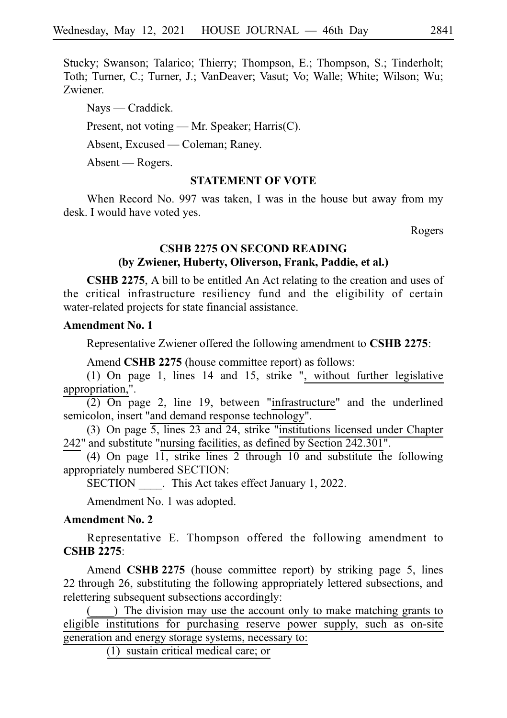Stucky; Swanson; Talarico; Thierry; Thompson, E.; Thompson, S.; Tinderholt; Toth; Turner, C.; Turner, J.; VanDeaver; Vasut; Vo; Walle; White; Wilson; Wu; Zwiener.

Nays — Craddick.

Present, not voting — Mr. Speaker; Harris(C).

Absent, Excused — Coleman; Raney.

Absent — Rogers.

# **STATEMENT OF VOTE**

When Record No. 997 was taken, I was in the house but away from my desk. I would have voted yes.

Rogers

# **CSHB 2275 ON SECOND READING (by Zwiener, Huberty, Oliverson, Frank, Paddie, et al.)**

**CSHB 2275**, A bill to be entitled An Act relating to the creation and uses of the critical infrastructure resiliency fund and the eligibility of certain water-related projects for state financial assistance.

### **Amendment No. 1**

Representative Zwiener offered the following amendment to **CSHB 2275**:

Amend **CSHB 2275** (house committee report) as follows:

(1) On page 1, lines 14 and 15, strike ", without further legislative appropriation,".

 $(2)$  On page 2, line 19, between "infrastructure" and the underlined semicolon, insert "and demand response technology".

(3) On page  $\overline{5}$ , lines 23 and 24, strike "institutions licensed under Chapter 242" and substitute "nursing facilities, as defined by Section 242.301".

(4) On page  $1\overline{1}$ , strike lines 2 through 10 and substitute the following appropriately numbered SECTION:

SECTION Finity Act takes effect January 1, 2022.

Amendment No. 1 was adopted.

#### **Amendment No. 2**

Representative E. Thompson offered the following amendment to **CSHBi2275**:

Amend CSHB 2275 (house committee report) by striking page 5, lines 22 through 26, substituting the following appropriately lettered subsections, and relettering subsequent subsections accordingly:

(a) The division may use the account only to make matching grants to eligible institutions for purchasing reserve power supply, such as on-site generation and energy storage systems, necessary to:

 $(1)$  sustain critical medical care; or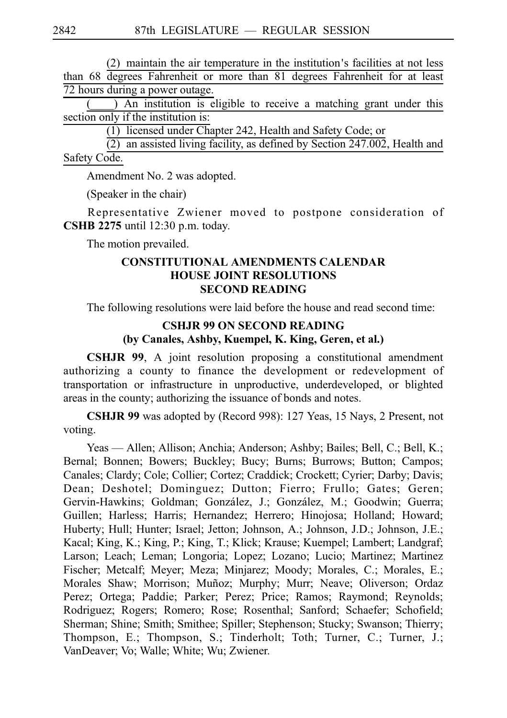$(2)$  maintain the air temperature in the institution's facilities at not less than 68 degrees Fahrenheit or more than 81 degrees Fahrenheit for at least 72 hours during a power outage.

) An institution is eligible to receive a matching grant under this section only if the institution is:

(1) licensed under Chapter 242, Health and Safety Code; or

(2) an assisted living facility, as defined by Section  $247.002$ , Health and Safety Code.

Amendment No. 2 was adopted.

(Speaker in the chair)

Representative Zwiener moved to postpone consideration of **CSHB 2275** until 12:30 p.m. today.

The motion prevailed.

# **CONSTITUTIONAL AMENDMENTS CALENDAR HOUSE JOINT RESOLUTIONS SECOND READING**

The following resolutions were laid before the house and read second time:

### **CSHJR 99 ON SECOND READING**

# **(by Canales, Ashby, Kuempel, K. King, Geren, et al.)**

**CSHJR 99**, A joint resolution proposing a constitutional amendment authorizing a county to finance the development or redevelopment of transportation or infrastructure in unproductive, underdeveloped, or blighted areas in the county; authorizing the issuance of bonds and notes.

**CSHJR 99** was adopted by (Record 998): 127 Yeas, 15 Nays, 2 Present, not voting.

Yeas — Allen; Allison; Anchia; Anderson; Ashby; Bailes; Bell, C.; Bell, K.; Bernal; Bonnen; Bowers; Buckley; Bucy; Burns; Burrows; Button; Campos; Canales; Clardy; Cole; Collier; Cortez; Craddick; Crockett; Cyrier; Darby; Davis; Dean; Deshotel; Dominguez; Dutton; Fierro; Frullo; Gates; Geren; Gervin-Hawkins; Goldman; González, J.; González, M.; Goodwin; Guerra; Guillen; Harless; Harris; Hernandez; Herrero; Hinojosa; Holland; Howard; Huberty; Hull; Hunter; Israel; Jetton; Johnson, A.; Johnson, J.D.; Johnson, J.E.; Kacal; King, K.; King, P.; King, T.; Klick; Krause; Kuempel; Lambert; Landgraf; Larson; Leach; Leman; Longoria; Lopez; Lozano; Lucio; Martinez; Martinez Fischer; Metcalf; Meyer; Meza; Minjarez; Moody; Morales, C.; Morales, E.; Morales Shaw; Morrison; Muñoz; Murphy; Murr; Neave; Oliverson; Ordaz Perez; Ortega; Paddie; Parker; Perez; Price; Ramos; Raymond; Reynolds; Rodriguez; Rogers; Romero; Rose; Rosenthal; Sanford; Schaefer; Schofield; Sherman; Shine; Smith; Smithee; Spiller; Stephenson; Stucky; Swanson; Thierry; Thompson, E.; Thompson, S.; Tinderholt; Toth; Turner, C.; Turner, J.; VanDeaver; Vo; Walle; White; Wu; Zwiener.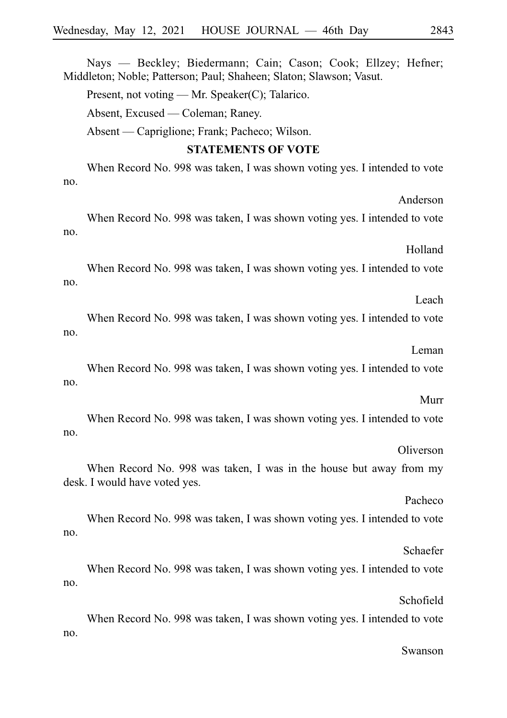Nays — Beckley; Biedermann; Cain; Cason; Cook; Ellzey; Hefner; Middleton; Noble; Patterson; Paul; Shaheen; Slaton; Slawson; Vasut.

Present, not voting — Mr. Speaker(C); Talarico.

Absent, Excused — Coleman; Raney.

Absent — Capriglione; Frank; Pacheco; Wilson.

#### **STATEMENTS OF VOTE**

When Record No. 998 was taken, I was shown voting yes. I intended to vote no.

When Record No. 998 was taken, I was shown voting yes. I intended to vote no.

Holland

Anderson

When Record No. 998 was taken, I was shown voting yes. I intended to vote no.

Leach

When Record No. 998 was taken, I was shown voting yes. I intended to vote no.

Leman

When Record No. 998 was taken, I was shown voting yes. I intended to vote no.

#### Murr

When Record No. 998 was taken, I was shown voting yes. I intended to vote no.

# Oliverson

When Record No. 998 was taken, I was in the house but away from my desk. I would have voted yes.

Pacheco

When Record No. 998 was taken, I was shown voting yes. I intended to vote no.

Schaefer

When Record No. 998 was taken, I was shown voting yes. I intended to vote no.

Schofield

When Record No. 998 was taken, I was shown voting yes. I intended to vote no.

#### Swanson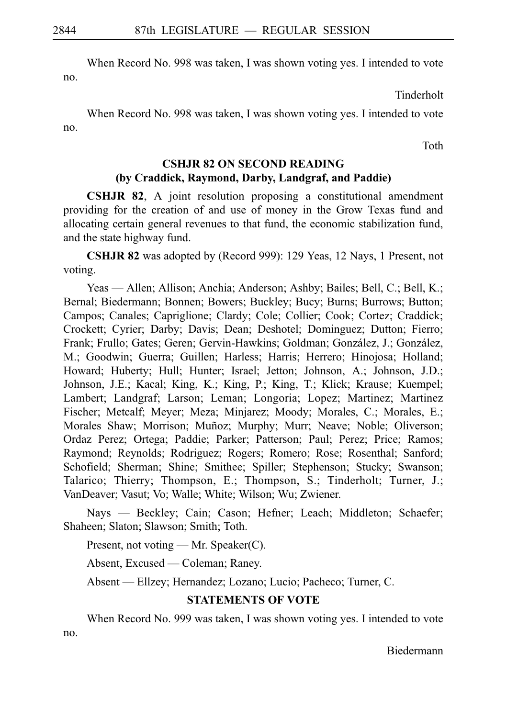When Record No. 998 was taken, I was shown voting yes. I intended to vote no.

Tinderholt

When Record No. 998 was taken, I was shown voting yes. I intended to vote no.

Toth

# **CSHJR 82 ON SECOND READING (by Craddick, Raymond, Darby, Landgraf, and Paddie)**

**CSHJR 82**, A joint resolution proposing a constitutional amendment providing for the creation of and use of money in the Grow Texas fund and allocating certain general revenues to that fund, the economic stabilization fund, and the state highway fund.

**CSHJR 82** was adopted by (Record 999): 129 Yeas, 12 Nays, 1 Present, not voting.

Yeas — Allen; Allison; Anchia; Anderson; Ashby; Bailes; Bell, C.; Bell, K.; Bernal; Biedermann; Bonnen; Bowers; Buckley; Bucy; Burns; Burrows; Button; Campos; Canales; Capriglione; Clardy; Cole; Collier; Cook; Cortez; Craddick; Crockett; Cyrier; Darby; Davis; Dean; Deshotel; Dominguez; Dutton; Fierro; Frank; Frullo; Gates; Geren; Gervin-Hawkins; Goldman; González, J.; González, M.; Goodwin; Guerra; Guillen; Harless; Harris; Herrero; Hinojosa; Holland; Howard; Huberty; Hull; Hunter; Israel; Jetton; Johnson, A.; Johnson, J.D.; Johnson, J.E.; Kacal; King, K.; King, P.; King, T.; Klick; Krause; Kuempel; Lambert; Landgraf; Larson; Leman; Longoria; Lopez; Martinez; Martinez Fischer; Metcalf; Meyer; Meza; Minjarez; Moody; Morales, C.; Morales, E.; Morales Shaw; Morrison; Muñoz; Murphy; Murr; Neave; Noble; Oliverson; Ordaz Perez; Ortega; Paddie; Parker; Patterson; Paul; Perez; Price; Ramos; Raymond; Reynolds; Rodriguez; Rogers; Romero; Rose; Rosenthal; Sanford; Schofield; Sherman; Shine; Smithee; Spiller; Stephenson; Stucky; Swanson; Talarico; Thierry; Thompson, E.; Thompson, S.; Tinderholt; Turner, J.; VanDeaver; Vasut; Vo; Walle; White; Wilson; Wu; Zwiener.

Nays — Beckley; Cain; Cason; Hefner; Leach; Middleton; Schaefer; Shaheen; Slaton; Slawson; Smith; Toth.

Present, not voting — Mr. Speaker(C).

Absent, Excused — Coleman; Raney.

Absent — Ellzey; Hernandez; Lozano; Lucio; Pacheco; Turner, C.

# **STATEMENTS OF VOTE**

When Record No. 999 was taken, I was shown voting yes. I intended to vote no.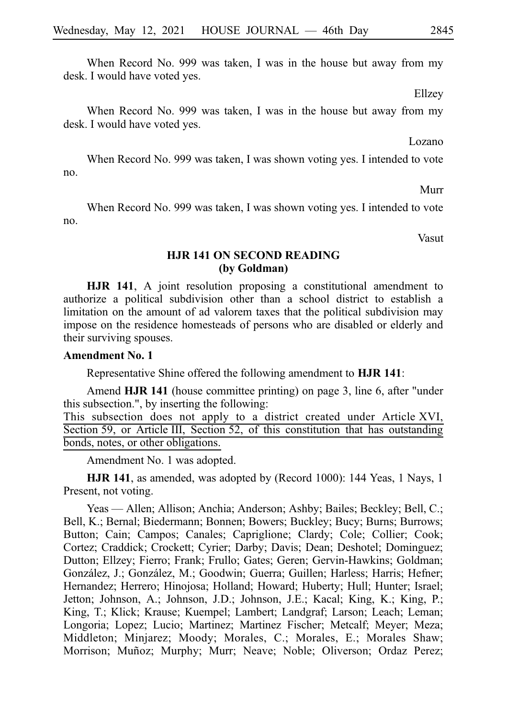When Record No. 999 was taken, I was in the house but away from my desk. I would have voted yes.

Ellzey

When Record No. 999 was taken, I was in the house but away from my desk. I would have voted yes.

Lozano

When Record No. 999 was taken, I was shown voting yes. I intended to vote no.

Murr

When Record No. 999 was taken, I was shown voting yes. I intended to vote no.

Vasut

# **HJR 141 ON SECOND READING (by Goldman)**

**HJR 141**, A joint resolution proposing a constitutional amendment to authorize a political subdivision other than a school district to establish a limitation on the amount of ad valorem taxes that the political subdivision may impose on the residence homesteads of persons who are disabled or elderly and their surviving spouses.

#### **Amendment No. 1**

Representative Shine offered the following amendment to **HJR 141**:

Amend **HJR 141** (house committee printing) on page 3, line 6, after "under this subsection.", by inserting the following:

This subsection does not apply to a district created under Article XVI, Section 59, or Article III, Section 52, of this constitution that has outstanding bonds, notes, or other obligations.

Amendment No. 1 was adopted.

**HJR 141**, as amended, was adopted by (Record 1000): 144 Yeas, 1 Nays, 1 Present, not voting.

Yeas — Allen; Allison; Anchia; Anderson; Ashby; Bailes; Beckley; Bell, C.; Bell, K.; Bernal; Biedermann; Bonnen; Bowers; Buckley; Bucy; Burns; Burrows; Button; Cain; Campos; Canales; Capriglione; Clardy; Cole; Collier; Cook; Cortez; Craddick; Crockett; Cyrier; Darby; Davis; Dean; Deshotel; Dominguez; Dutton; Ellzey; Fierro; Frank; Frullo; Gates; Geren; Gervin-Hawkins; Goldman; González, J.; González, M.; Goodwin; Guerra; Guillen; Harless; Harris; Hefner; Hernandez; Herrero; Hinojosa; Holland; Howard; Huberty; Hull; Hunter; Israel; Jetton; Johnson, A.; Johnson, J.D.; Johnson, J.E.; Kacal; King, K.; King, P.; King, T.; Klick; Krause; Kuempel; Lambert; Landgraf; Larson; Leach; Leman; Longoria; Lopez; Lucio; Martinez; Martinez Fischer; Metcalf; Meyer; Meza; Middleton; Minjarez; Moody; Morales, C.; Morales, E.; Morales Shaw; Morrison; Muñoz; Murphy; Murr; Neave; Noble; Oliverson; Ordaz Perez;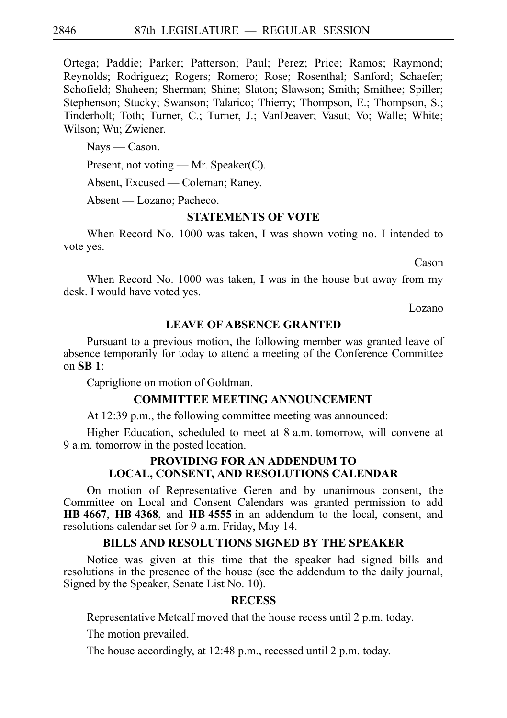Ortega; Paddie; Parker; Patterson; Paul; Perez; Price; Ramos; Raymond; Reynolds; Rodriguez; Rogers; Romero; Rose; Rosenthal; Sanford; Schaefer; Schofield; Shaheen; Sherman; Shine; Slaton; Slawson; Smith; Smithee; Spiller; Stephenson; Stucky; Swanson; Talarico; Thierry; Thompson, E.; Thompson, S.; Tinderholt; Toth; Turner, C.; Turner, J.; VanDeaver; Vasut; Vo; Walle; White; Wilson; Wu; Zwiener.

Nays — Cason.

Present, not voting — Mr. Speaker(C).

Absent, Excused — Coleman; Raney.

Absent — Lozano; Pacheco.

### **STATEMENTS OF VOTE**

When Record No. 1000 was taken, I was shown voting no. I intended to vote yes.

Cason

When Record No. 1000 was taken, I was in the house but away from my desk. I would have voted yes.

Lozano

#### **LEAVE OF ABSENCE GRANTED**

Pursuant to a previous motion, the following member was granted leave of absence temporarily for today to attend a meeting of the Conference Committee on **SBi1**:

Capriglione on motion of Goldman.

#### **COMMITTEE MEETING ANNOUNCEMENT**

At 12:39 p.m., the following committee meeting was announced:

Higher Education, scheduled to meet at 8 a.m. tomorrow, will convene at 9 a.m. tomorrow in the posted location.

### **PROVIDING FOR AN ADDENDUM TO LOCAL, CONSENT, AND RESOLUTIONS CALENDAR**

On motion of Representative Geren and by unanimous consent, the Committee on Local and Consent Calendars was granted permission to add **HB** 4667, **HB** 4368, and **HB** 4555 in an addendum to the local, consent, and resolutions calendar set for 9 a.m. Friday, May 14.

#### **BILLS AND RESOLUTIONS SIGNED BY THE SPEAKER**

Notice was given at this time that the speaker had signed bills and resolutions in the presence of the house (see the addendum to the daily journal, Signed by the Speaker, Senate List No. 10).

# **RECESS**

Representative Metcalf moved that the house recess until 2 p.m. today.

The motion prevailed.

The house accordingly, at 12:48 p.m., recessed until 2 p.m. today.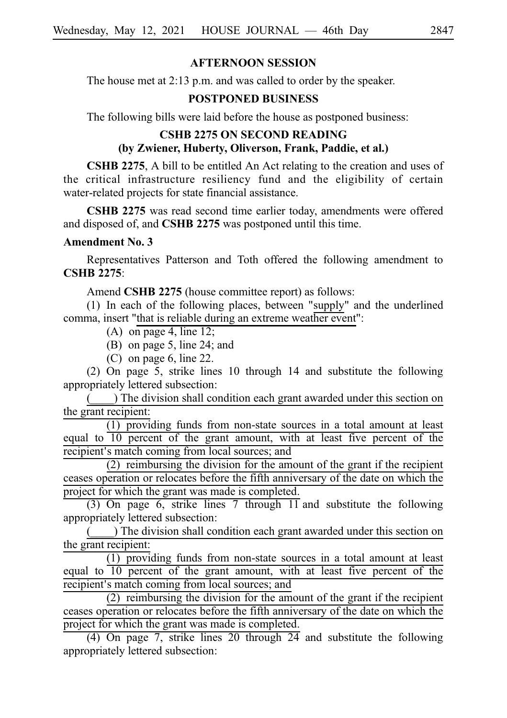# **AFTERNOON SESSION**

The house met at 2:13 p.m. and was called to order by the speaker.

# **POSTPONED BUSINESS**

The following bills were laid before the house as postponed business:

# **CSHB 2275 ON SECOND READING (by Zwiener, Huberty, Oliverson, Frank, Paddie, et al.)**

**CSHB 2275**, A bill to be entitled An Act relating to the creation and uses of the critical infrastructure resiliency fund and the eligibility of certain water-related projects for state financial assistance.

**CSHB 2275** was read second time earlier today, amendments were offered and disposed of, and **CSHB 2275** was postponed until this time.

# **Amendment No. 3**

Representatives Patterson and Toth offered the following amendment to **CSHBi2275**:

Amend **CSHB 2275** (house committee report) as follows:

 $(1)$  In each of the following places, between "supply" and the underlined comma, insert "that is reliable during an extreme weather event":

- (A) on page 4, line 12;
- (B) on page 5, line 24; and
- $(C)$  on page 6, line 22.

(2) On page 5, strike lines 10 through 14 and substitute the following appropriately lettered subsection:

(a) The division shall condition each grant awarded under this section on the grant recipient:

 $(1)$  providing funds from non-state sources in a total amount at least equal to 10 percent of the grant amount, with at least five percent of the recipient's match coming from local sources; and

 $(2)$  reimbursing the division for the amount of the grant if the recipient ceases operation or relocates before the fifth anniversary of the date on which the project for which the grant was made is completed.

(3) On page 6, strike lines 7 through  $11$  and substitute the following appropriately lettered subsection:

(a) The division shall condition each grant awarded under this section on the grant recipient:

 $(1)$  providing funds from non-state sources in a total amount at least equal to 10 percent of the grant amount, with at least five percent of the recipient's match coming from local sources; and

 $(2)$  reimbursing the division for the amount of the grant if the recipient ceases operation or relocates before the fifth anniversary of the date on which the project for which the grant was made is completed.

(4) On page 7, strike lines 20 through  $24$  and substitute the following appropriately lettered subsection: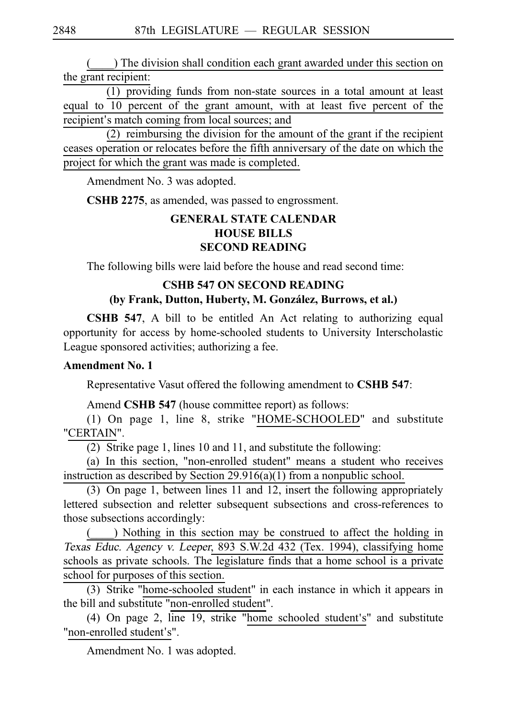) The division shall condition each grant awarded under this section on the grant recipient:

 $(1)$  providing funds from non-state sources in a total amount at least equal to 10 percent of the grant amount, with at least five percent of the recipient's match coming from local sources; and

 $(2)$  reimbursing the division for the amount of the grant if the recipient ceases operation or relocates before the fifth anniversary of the date on which the project for which the grant was made is completed.

Amendment No. 3 was adopted.

**CSHB 2275**, as amended, was passed to engrossment.

# **GENERAL STATE CALENDAR HOUSE BILLS SECOND READING**

The following bills were laid before the house and read second time:

# **CSHB 547 ON SECOND READING (by Frank, Dutton, Huberty, M. Gonza´lez, Burrows, et al.)**

**CSHB 547**, A bill to be entitled An Act relating to authorizing equal opportunity for access by home-schooled students to University Interscholastic League sponsored activities; authorizing a fee.

### **Amendment No. 1**

Representative Vasut offered the following amendment to **CSHB 547**:

Amend **CSHB 547** (house committee report) as follows:

(1) On page 1, line 8, strike "HOME-SCHOOLED" and substitute "CERTAIN".

(2) Strike page 1, lines 10 and 11, and substitute the following:

(a) In this section, "non-enrolled student" means a student who receives instruction as described by Section 29.916(a)(1) from a nonpublic school.

(3) On page 1, between lines 11 and 12, insert the following appropriately lettered subsection and reletter subsequent subsections and cross-references to those subsections accordingly:

(\_\_\_\_) Nothing in this section may be construed to affect the holding in Texas Educ. Agency v. Leeper, 893 S.W.2d 432 (Tex. 1994), classifying home schools as private schools. The legislature finds that a home school is a private school for purposes of this section.

(3) Strike "home-schooled student" in each instance in which it appears in the bill and substitute "non-enrolled student".

(4) On page 2, line 19, strike "home schooled student's" and substitute "non-enrolled student's".

Amendment No. 1 was adopted.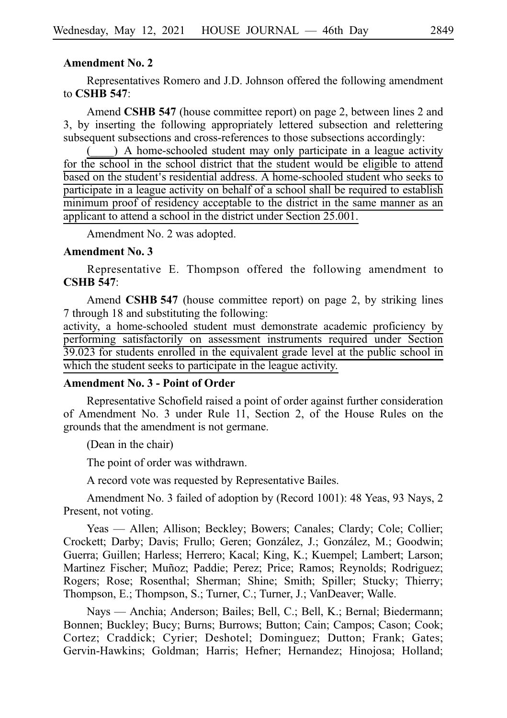#### **Amendment No. 2**

Representatives Romero and J.D. Johnson offered the following amendment to **CSHB** 547:

Amend **CSHB 547** (house committee report) on page 2, between lines 2 and 3, by inserting the following appropriately lettered subsection and relettering subsequent subsections and cross-references to those subsections accordingly:

) A home-schooled student may only participate in a league activity for the school in the school district that the student would be eligible to attend based on the student's residential address. A home-schooled student who seeks to participate in a league activity on behalf of a school shall be required to establish minimum proof of residency acceptable to the district in the same manner as an applicant to attend a school in the district under Section 25.001.

Amendment No. 2 was adopted.

#### **Amendment No. 3**

Representative E. Thompson offered the following amendment to **CSHB** 547:

Amend **CSHB 547** (house committee report) on page 2, by striking lines 7 through 18 and substituting the following:

activity, a home-schooled student must demonstrate academic proficiency by performing satisfactorily on assessment instruments required under Section  $39.023$  for students enrolled in the equivalent grade level at the public school in which the student seeks to participate in the league activity.

#### **Amendment No. 3 - Point of Order**

Representative Schofield raised a point of order against further consideration of Amendment No. 3 under Rule 11, Section 2, of the House Rules on the grounds that the amendment is not germane.

(Dean in the chair)

The point of order was withdrawn.

A record vote was requested by Representative Bailes.

Amendment No. 3 failed of adoption by (Record 1001): 48 Yeas, 93 Nays, 2 Present, not voting.

Yeas — Allen; Allison; Beckley; Bowers; Canales; Clardy; Cole; Collier; Crockett; Darby; Davis; Frullo; Geren; González, J.; González, M.; Goodwin; Guerra; Guillen; Harless; Herrero; Kacal; King, K.; Kuempel; Lambert; Larson; Martinez Fischer; Muñoz; Paddie; Perez; Price; Ramos; Reynolds; Rodriguez; Rogers; Rose; Rosenthal; Sherman; Shine; Smith; Spiller; Stucky; Thierry; Thompson, E.; Thompson, S.; Turner, C.; Turner, J.; VanDeaver; Walle.

Nays — Anchia; Anderson; Bailes; Bell, C.; Bell, K.; Bernal; Biedermann; Bonnen; Buckley; Bucy; Burns; Burrows; Button; Cain; Campos; Cason; Cook; Cortez; Craddick; Cyrier; Deshotel; Dominguez; Dutton; Frank; Gates; Gervin-Hawkins; Goldman; Harris; Hefner; Hernandez; Hinojosa; Holland;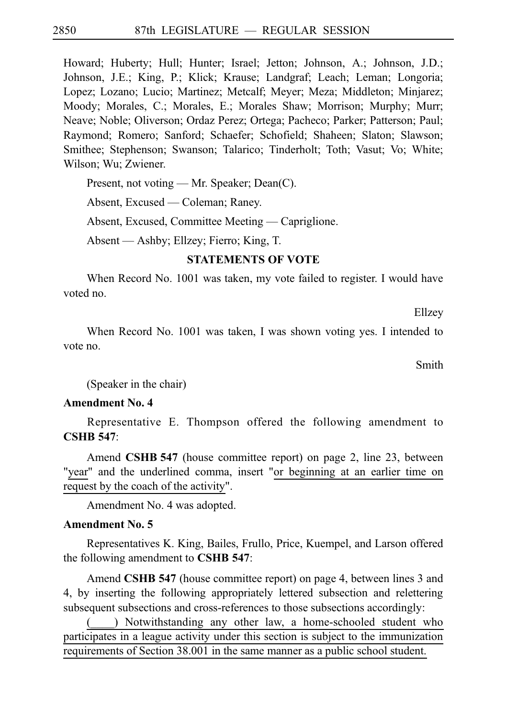Howard; Huberty; Hull; Hunter; Israel; Jetton; Johnson, A.; Johnson, J.D.; Johnson, J.E.; King, P.; Klick; Krause; Landgraf; Leach; Leman; Longoria; Lopez; Lozano; Lucio; Martinez; Metcalf; Meyer; Meza; Middleton; Minjarez; Moody; Morales, C.; Morales, E.; Morales Shaw; Morrison; Murphy; Murr; Neave; Noble; Oliverson; Ordaz Perez; Ortega; Pacheco; Parker; Patterson; Paul; Raymond; Romero; Sanford; Schaefer; Schofield; Shaheen; Slaton; Slawson; Smithee; Stephenson; Swanson; Talarico; Tinderholt; Toth; Vasut; Vo; White; Wilson; Wu; Zwiener.

Present, not voting — Mr. Speaker; Dean(C).

Absent, Excused — Coleman; Raney.

Absent, Excused, Committee Meeting — Capriglione.

Absent — Ashby; Ellzey; Fierro; King, T.

# **STATEMENTS OF VOTE**

When Record No. 1001 was taken, my vote failed to register. I would have voted no.

Ellzey

When Record No. 1001 was taken, I was shown voting yes. I intended to vote no.

Smith

(Speaker in the chair)

# **Amendment No. 4**

Representative E. Thompson offered the following amendment to **CSHB** 547:

Amend **CSHB 547** (house committee report) on page 2, line 23, between "year" and the underlined comma, insert "or beginning at an earlier time on request by the coach of the activity".

Amendment No. 4 was adopted.

# **Amendment No. 5**

Representatives K. King, Bailes, Frullo, Price, Kuempel, and Larson offered the following amendment to **CSHB 547**:

Amend **CSHB 547** (house committee report) on page 4, between lines 3 and 4, by inserting the following appropriately lettered subsection and relettering subsequent subsections and cross-references to those subsections accordingly:

) Notwithstanding any other law, a home-schooled student who participates in a league activity under this section is subject to the immunization requirements of Section 38.001 in the same manner as a public school student.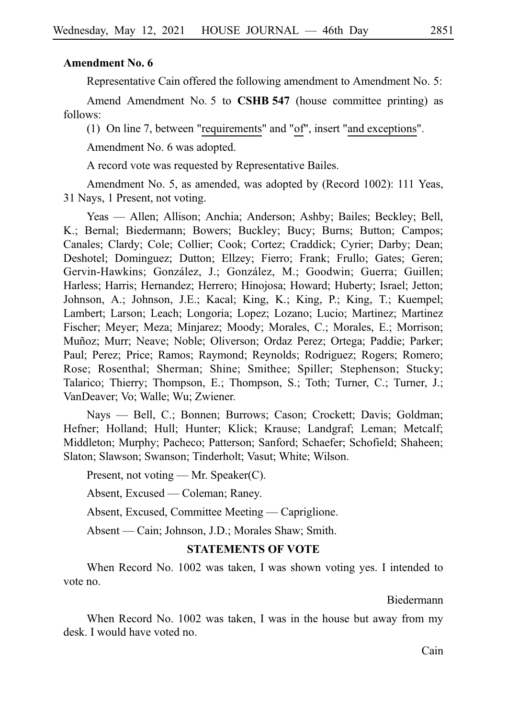### **Amendment No. 6**

Representative Cain offered the following amendment to Amendment No. 5:

Amend Amendment No. 5 to CSHB 547 (house committee printing) as follows:

(1) On line 7, between "requirements" and "of", insert "and exceptions".

Amendment No. 6 was adopted.

A record vote was requested by Representative Bailes.

Amendment No. 5, as amended, was adopted by (Record 1002): 111 Yeas, 31 Nays, 1 Present, not voting.

Yeas — Allen; Allison; Anchia; Anderson; Ashby; Bailes; Beckley; Bell, K.; Bernal; Biedermann; Bowers; Buckley; Bucy; Burns; Button; Campos; Canales; Clardy; Cole; Collier; Cook; Cortez; Craddick; Cyrier; Darby; Dean; Deshotel; Dominguez; Dutton; Ellzey; Fierro; Frank; Frullo; Gates; Geren; Gervin-Hawkins; González, J.; González, M.; Goodwin; Guerra; Guillen; Harless; Harris; Hernandez; Herrero; Hinojosa; Howard; Huberty; Israel; Jetton; Johnson, A.; Johnson, J.E.; Kacal; King, K.; King, P.; King, T.; Kuempel; Lambert; Larson; Leach; Longoria; Lopez; Lozano; Lucio; Martinez; Martinez Fischer; Meyer; Meza; Minjarez; Moody; Morales, C.; Morales, E.; Morrison; Muñoz; Murr; Neave; Noble; Oliverson; Ordaz Perez; Ortega; Paddie; Parker; Paul; Perez; Price; Ramos; Raymond; Reynolds; Rodriguez; Rogers; Romero; Rose; Rosenthal; Sherman; Shine; Smithee; Spiller; Stephenson; Stucky; Talarico; Thierry; Thompson, E.; Thompson, S.; Toth; Turner, C.; Turner, J.; VanDeaver; Vo; Walle; Wu; Zwiener.

Nays — Bell, C.; Bonnen; Burrows; Cason; Crockett; Davis; Goldman; Hefner; Holland; Hull; Hunter; Klick; Krause; Landgraf; Leman; Metcalf; Middleton; Murphy; Pacheco; Patterson; Sanford; Schaefer; Schofield; Shaheen; Slaton; Slawson; Swanson; Tinderholt; Vasut; White; Wilson.

Present, not voting — Mr. Speaker(C).

Absent, Excused — Coleman; Raney.

Absent, Excused, Committee Meeting — Capriglione.

Absent — Cain; Johnson, J.D.; Morales Shaw; Smith.

#### **STATEMENTS OF VOTE**

When Record No. 1002 was taken, I was shown voting yes. I intended to vote no.

Biedermann

When Record No. 1002 was taken, I was in the house but away from my desk. I would have voted no.

Cain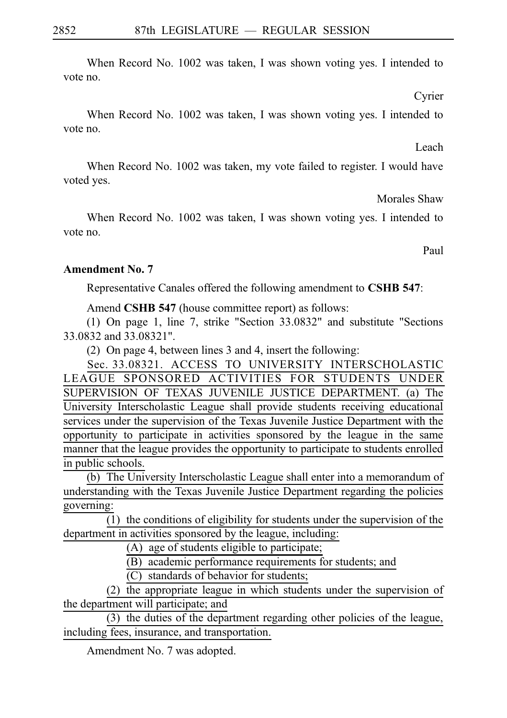When Record No. 1002 was taken, I was shown voting yes. I intended to vote no.

Cyrier

When Record No. 1002 was taken, I was shown voting yes. I intended to vote no.

Leach

When Record No. 1002 was taken, my vote failed to register. I would have voted yes.

Morales Shaw

When Record No. 1002 was taken, I was shown voting yes. I intended to vote no.

Paul

### **Amendment No. 7**

Representative Canales offered the following amendment to **CSHB 547**:

Amend **CSHB 547** (house committee report) as follows:

(1) On page 1, line 7, strike "Section  $33.0832$ " and substitute "Sections 33.0832 and 33.08321".

(2) On page 4, between lines 3 and 4, insert the following:

Sec. 33.08321. ACCESS TO UNIVERSITY INTERSCHOLASTIC LEAGUE SPONSORED ACTIVITIES FOR STUDENTS UNDER SUPERVISION OF TEXAS JUVENILE JUSTICE DEPARTMENT. (a) The University Interscholastic League shall provide students receiving educational services under the supervision of the Texas Juvenile Justice Department with the opportunity to participate in activities sponsored by the league in the same manner that the league provides the opportunity to participate to students enrolled in public schools.

(b) The University Interscholastic League shall enter into a memorandum of understanding with the Texas Juvenile Justice Department regarding the policies governing:

 $(1)$  the conditions of eligibility for students under the supervision of the department in activities sponsored by the league, including:

 $(A)$  age of students eligible to participate;

(B) academic performance requirements for students; and

(C) standards of behavior for students;

(2) the appropriate league in which students under the supervision of the department will participate; and

 $(3)$  the duties of the department regarding other policies of the league, including fees, insurance, and transportation.

Amendment No. 7 was adopted.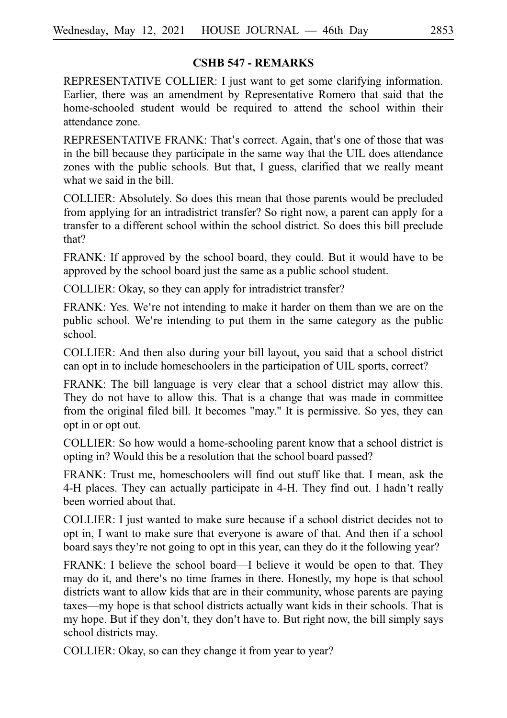# **CSHB 547 - REMARKS**

REPRESENTATIVE COLLIER: I just want to get some clarifying information. Earlier, there was an amendment by Representative Romero that said that the home-schooled student would be required to attend the school within their attendance zone.

REPRESENTATIVE FRANK: That's correct. Again, that's one of those that was in the bill because they participate in the same way that the UIL does attendance zones with the public schools. But that, I guess, clarified that we really meant what we said in the bill.

COLLIER: Absolutely. So does this mean that those parents would be precluded from applying for an intradistrict transfer? So right now, a parent can apply for a transfer to a different school within the school district. So does this bill preclude that?

FRANK: If approved by the school board, they could. But it would have to be approved by the school board just the same as a public school student.

COLLIER: Okay, so they can apply for intradistrict transfer?

FRANK: Yes. We're not intending to make it harder on them than we are on the public school. We re intending to put them in the same category as the public ' school.

COLLIER: And then also during your bill layout, you said that a school district can opt in to include homeschoolers in the participation of UIL sports, correct?

FRANK: The bill language is very clear that a school district may allow this. They do not have to allow this. That is a change that was made in committee from the original filed bill. It becomes "may." It is permissive. So yes, they can opt in or opt out.

COLLIER: So how would a home-schooling parent know that a school district is opting in? Would this be a resolution that the school board passed?

FRANK: Trust me, homeschoolers will find out stuff like that. I mean, ask the 4-H places. They can actually participate in 4-H. They find out. I hadn't really been worried about that.

COLLIER: I just wanted to make sure because if a school district decides not to opt in, I want to make sure that everyone is aware of that. And then if a school board says they re not going to opt in this year, can they do it the following year? '

FRANK: I believe the school board––I believe it would be open to that. They may do it, and there's no time frames in there. Honestly, my hope is that school districts want to allow kids that are in their community, whose parents are paying taxes––my hope is that school districts actually want kids in their schools. That is my hope. But if they don't, they don't have to. But right now, the bill simply says school districts may.

COLLIER: Okay, so can they change it from year to year?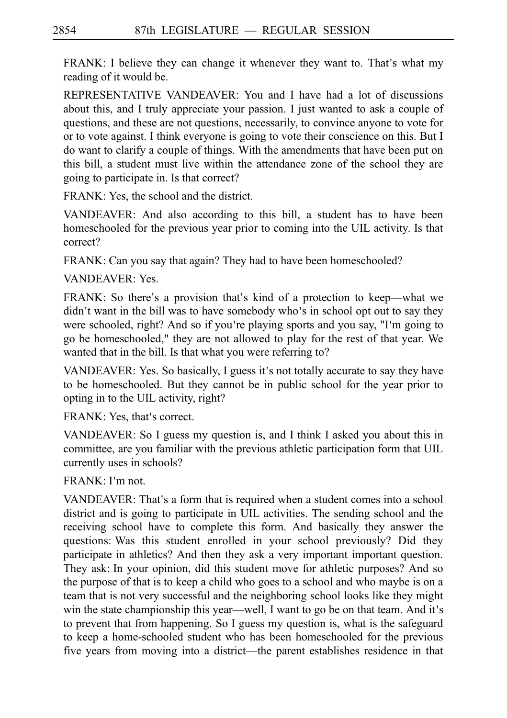FRANK: I believe they can change it whenever they want to. That's what my reading of it would be.

REPRESENTATIVE VANDEAVER: You and I have had a lot of discussions about this, and I truly appreciate your passion. I just wanted to ask a couple of questions, and these are not questions, necessarily, to convince anyone to vote for or to vote against. I think everyone is going to vote their conscience on this. But I do want to clarify a couple of things. With the amendments that have been put on this bill, a student must live within the attendance zone of the school they are going to participate in. Is that correct?

FRANK: Yes, the school and the district.

VANDEAVER: And also according to this bill, a student has to have been homeschooled for the previous year prior to coming into the UIL activity. Is that correct?

FRANK: Can you say that again? They had to have been homeschooled?

VANDEAVER: Yes.

FRANK: So there's a provision that's kind of a protection to keep—what we didn't want in the bill was to have somebody who's in school opt out to say they were schooled, right? And so if you're playing sports and you say, "I'm going to go be homeschooled," they are not allowed to play for the rest of that year. We wanted that in the bill. Is that what you were referring to?

VANDEAVER: Yes. So basically, I guess it's not totally accurate to say they have to be homeschooled. But they cannot be in public school for the year prior to opting in to the UIL activity, right?

FRANK: Yes, that's correct.

VANDEAVER: So I guess my question is, and I think I asked you about this in committee, are you familiar with the previous athletic participation form that UIL currently uses in schools?

 $FRANK: I'm not.$ 

VANDEAVER: That's a form that is required when a student comes into a school district and is going to participate in UIL activities. The sending school and the receiving school have to complete this form. And basically they answer the questions: Was this student enrolled in your school previously? Did they participate in athletics? And then they ask a very important important question. They ask: In your opinion, did this student move for athletic purposes? And so the purpose of that is to keep a child who goes to a school and who maybe is on a team that is not very successful and the neighboring school looks like they might win the state championship this year—well, I want to go be on that team. And it's to prevent that from happening. So I guess my question is, what is the safeguard to keep a home-schooled student who has been homeschooled for the previous five years from moving into a district––the parent establishes residence in that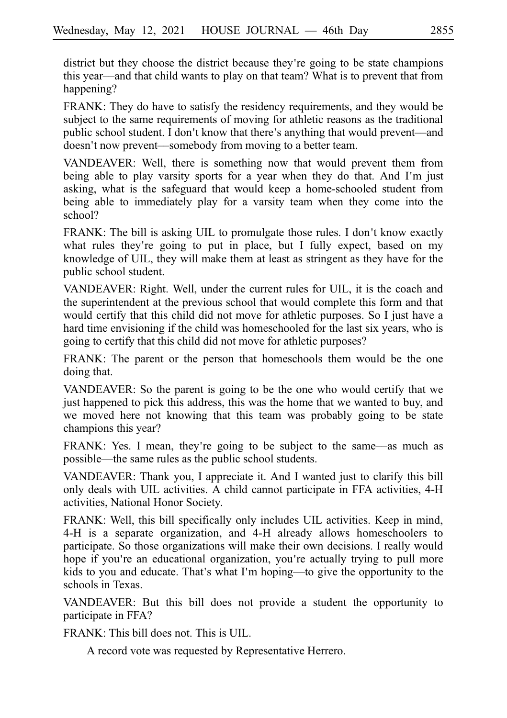district but they choose the district because they're going to be state champions this year––and that child wants to play on that team? What is to prevent that from happening?

FRANK: They do have to satisfy the residency requirements, and they would be subject to the same requirements of moving for athletic reasons as the traditional public school student. I don't know that there's anything that would prevent—and doesn't now prevent—somebody from moving to a better team.

VANDEAVER: Well, there is something now that would prevent them from being able to play varsity sports for a year when they do that. And I'm just asking, what is the safeguard that would keep a home-schooled student from being able to immediately play for a varsity team when they come into the school?

FRANK: The bill is asking UIL to promulgate those rules. I don't know exactly what rules they're going to put in place, but I fully expect, based on my knowledge of UIL, they will make them at least as stringent as they have for the public school student.

VANDEAVER: Right. Well, under the current rules for UIL, it is the coach and the superintendent at the previous school that would complete this form and that would certify that this child did not move for athletic purposes. So I just have a hard time envisioning if the child was homeschooled for the last six years, who is going to certify that this child did not move for athletic purposes?

FRANK: The parent or the person that homeschools them would be the one doing that.

VANDEAVER: So the parent is going to be the one who would certify that we just happened to pick this address, this was the home that we wanted to buy, and we moved here not knowing that this team was probably going to be state champions this year?

FRANK: Yes. I mean, they're going to be subject to the same—as much as possible––the same rules as the public school students.

VANDEAVER: Thank you, I appreciate it. And I wanted just to clarify this bill only deals with UIL activities. A child cannot participate in FFA activities, 4-H activities, National Honor Society.

FRANK: Well, this bill specifically only includes UIL activities. Keep in mind, 4-H is a separate organization, and 4-H already allows homeschoolers to participate. So those organizations will make their own decisions. I really would hope if you're an educational organization, you're actually trying to pull more kids to you and educate. That's what I'm hoping—to give the opportunity to the schools in Texas.

VANDEAVER: But this bill does not provide a student the opportunity to participate in FFA?

FRANK: This bill does not. This is UIL.

A record vote was requested by Representative Herrero.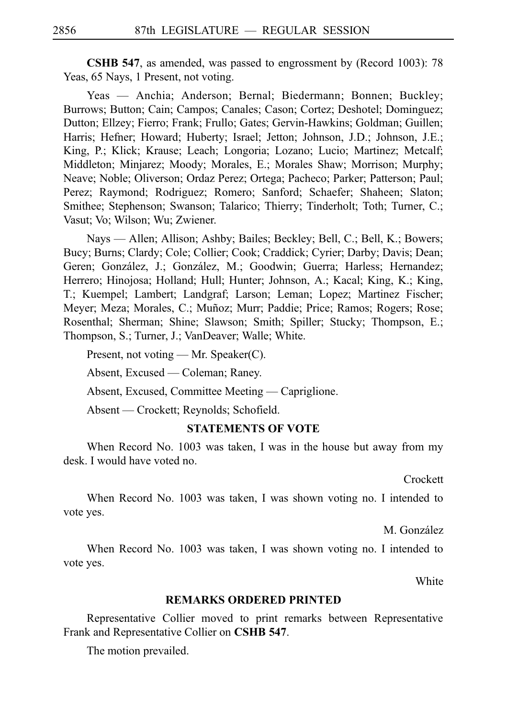**CSHB 547**, as amended, was passed to engrossment by (Record 1003): 78 Yeas, 65 Nays, 1 Present, not voting.

Yeas — Anchia; Anderson; Bernal; Biedermann; Bonnen; Buckley; Burrows; Button; Cain; Campos; Canales; Cason; Cortez; Deshotel; Dominguez; Dutton; Ellzey; Fierro; Frank; Frullo; Gates; Gervin-Hawkins; Goldman; Guillen; Harris; Hefner; Howard; Huberty; Israel; Jetton; Johnson, J.D.; Johnson, J.E.; King, P.; Klick; Krause; Leach; Longoria; Lozano; Lucio; Martinez; Metcalf; Middleton; Minjarez; Moody; Morales, E.; Morales Shaw; Morrison; Murphy; Neave; Noble; Oliverson; Ordaz Perez; Ortega; Pacheco; Parker; Patterson; Paul; Perez; Raymond; Rodriguez; Romero; Sanford; Schaefer; Shaheen; Slaton; Smithee; Stephenson; Swanson; Talarico; Thierry; Tinderholt; Toth; Turner, C.; Vasut; Vo; Wilson; Wu; Zwiener.

Nays — Allen; Allison; Ashby; Bailes; Beckley; Bell, C.; Bell, K.; Bowers; Bucy; Burns; Clardy; Cole; Collier; Cook; Craddick; Cyrier; Darby; Davis; Dean; Geren; González, J.; González, M.; Goodwin; Guerra; Harless; Hernandez; Herrero; Hinojosa; Holland; Hull; Hunter; Johnson, A.; Kacal; King, K.; King, T.; Kuempel; Lambert; Landgraf; Larson; Leman; Lopez; Martinez Fischer; Meyer; Meza; Morales, C.; Muñoz; Murr; Paddie; Price; Ramos; Rogers; Rose; Rosenthal; Sherman; Shine; Slawson; Smith; Spiller; Stucky; Thompson, E.; Thompson, S.; Turner, J.; VanDeaver; Walle; White.

Present, not voting — Mr. Speaker(C).

Absent, Excused — Coleman; Raney.

Absent, Excused, Committee Meeting — Capriglione.

Absent — Crockett; Reynolds; Schofield.

#### **STATEMENTS OF VOTE**

When Record No. 1003 was taken, I was in the house but away from my desk. I would have voted no.

Crockett

When Record No. 1003 was taken, I was shown voting no. I intended to vote yes.

M. González

When Record No. 1003 was taken, I was shown voting no. I intended to vote yes.

White

#### **REMARKS ORDERED PRINTED**

Representative Collier moved to print remarks between Representative Frank and Representative Collier on **CSHB 547**.

The motion prevailed.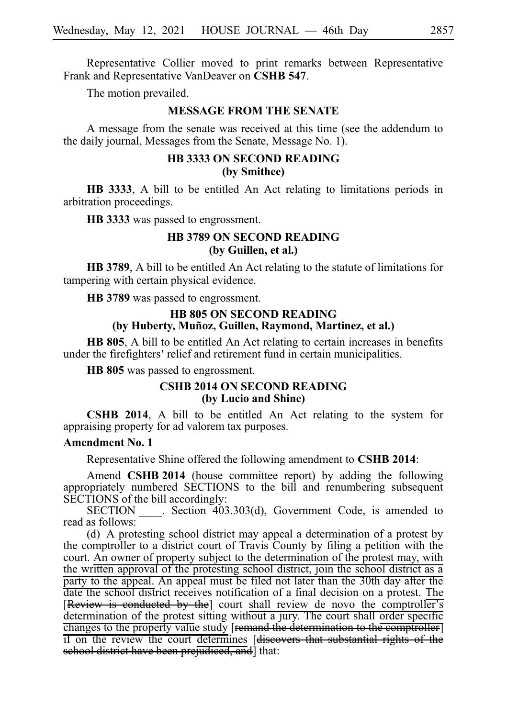Representative Collier moved to print remarks between Representative Frank and Representative VanDeaver on **CSHB 547**.

The motion prevailed.

### **MESSAGE FROM THE SENATE**

A message from the senate was received at this time (see the addendum to the daily journal, Messages from the Senate, Message No. 1).

### **HB 3333 ON SECOND READING (by Smithee)**

**HB 3333**, A bill to be entitled An Act relating to limitations periods in arbitration proceedings.

HB 3333 was passed to engrossment.

# **HB 3789 ON SECOND READING (by Guillen, et al.)**

**HB 3789**, A bill to be entitled An Act relating to the statute of limitations for tampering with certain physical evidence.

**HB** 3789 was passed to engrossment.

### **HB 805 ON SECOND READING** (by Huberty, Muñoz, Guillen, Raymond, Martinez, et al.)

**HB 805**, A bill to be entitled An Act relating to certain increases in benefits under the firefighters' relief and retirement fund in certain municipalities.

**HB 805** was passed to engrossment.

# **CSHB 2014 ON SECOND READING (by Lucio and Shine)**

**CSHB 2014**, A bill to be entitled An Act relating to the system for appraising property for ad valorem tax purposes.

#### **Amendment No. 1**

Representative Shine offered the following amendment to **CSHB 2014**:

Amend **CSHB 2014** (house committee report) by adding the following appropriately numbered SECTIONS to the bill and renumbering subsequent SECTIONS of the bill accordingly:

SECTION Section 403.303(d), Government Code, is amended to read as follows:

(d) A protesting school district may appeal a determination of a protest by the comptroller to a district court of Travis County by filing a petition with the court. An owner of property subject to the determination of the protest may, with the written approval of the protesting school district, join the school district as a party to the appeal. An appeal must be filed not later than the 30th day after the date the school district receives notification of a final decision on a protest. The Review is conducted by the court shall review de novo the comptroller's determination of the protest sitting without a jury. The court shall order specific changes to the property value study [remand the determination to the comptroller] if on the review the court determines [discovers that substantial rights of the school district have been prejudiced, and that: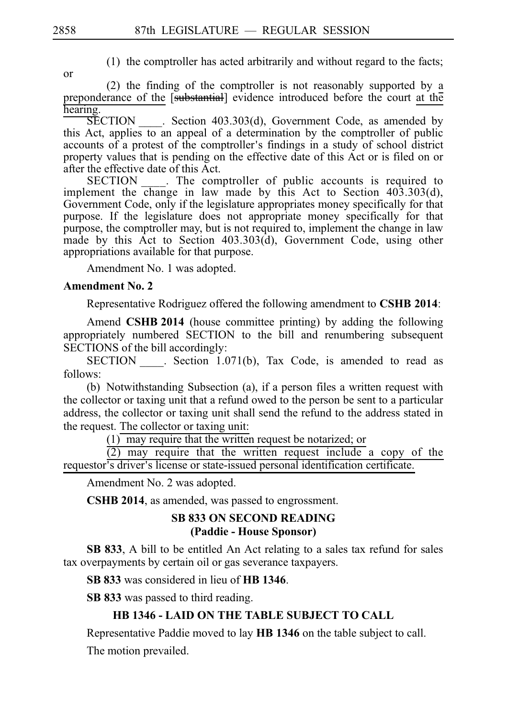- or
- $(1)$  the comptroller has acted arbitrarily and without regard to the facts;

 $(2)$  the finding of the comptroller is not reasonably supported by a preponderance of the [substantial] evidence introduced before the court at the hearing.

SECTION Section 403.303(d), Government Code, as amended by this Act, applies to an appeal of a determination by the comptroller of public accounts of a protest of the comptroller's findings in a study of school district property values that is pending on the effective date of this Act or is filed on or after the effective date of this Act.

SECTION . The comptroller of public accounts is required to implement the change in law made by this Act to Section  $403.303(d)$ , Government Code, only if the legislature appropriates money specifically for that purpose. If the legislature does not appropriate money specifically for that purpose, the comptroller may, but is not required to, implement the change in law made by this Act to Section 403.303(d), Government Code, using other appropriations available for that purpose.

Amendment No. 1 was adopted.

### **Amendment No. 2**

Representative Rodriguez offered the following amendment to **CSHB 2014**:

Amend **CSHB 2014** (house committee printing) by adding the following appropriately numbered SECTION to the bill and renumbering subsequent SECTIONS of the bill accordingly:

SECTION Section 1.071(b), Tax Code, is amended to read as follows:

(b) Notwithstanding Subsection (a), if a person files a written request with the collector or taxing unit that a refund owed to the person be sent to a particular address, the collector or taxing unit shall send the refund to the address stated in the request. The collector or taxing unit:

 $(1)$  may require that the written request be notarized; or

 $(2)$  may require that the written request include a copy of the requestor's driver's license or state-issued personal identification certificate.

Amendment No. 2 was adopted.

**CSHB 2014**, as amended, was passed to engrossment.

# **SB 833 ON SECOND READING (Paddie - House Sponsor)**

**SB 833**, A bill to be entitled An Act relating to a sales tax refund for sales tax overpayments by certain oil or gas severance taxpayers.

**SB 833** was considered in lieu of **HB 1346**.

**SB 833** was passed to third reading.

# **HB 1346 - LAID ON THE TABLE SUBJECT TO CALL**

Representative Paddie moved to lay **HBi1346** on the table subject to call.

The motion prevailed.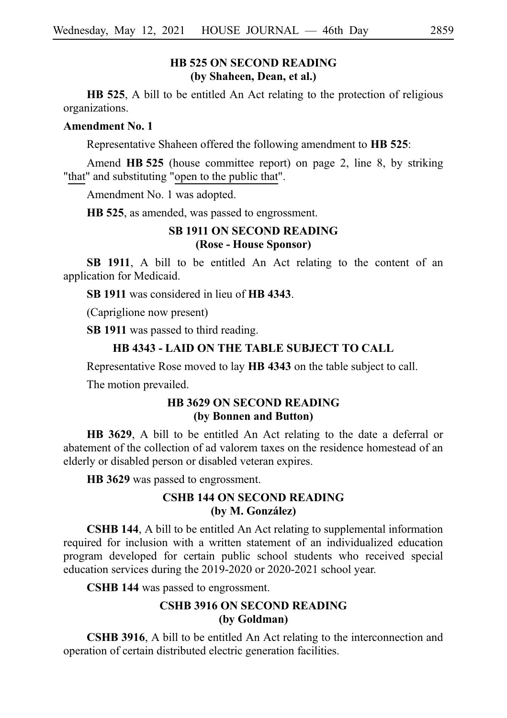# **HB 525 ON SECOND READING (by Shaheen, Dean, et al.)**

**HB 525**, A bill to be entitled An Act relating to the protection of religious organizations.

# **Amendment No. 1**

Representative Shaheen offered the following amendment to **HB** 525:

Amend **HB** 525 (house committee report) on page 2, line 8, by striking "that" and substituting "open to the public that".

Amendment No. 1 was adopted.

**HB 525**, as amended, was passed to engrossment.

# **SB 1911 ON SECOND READING (Rose - House Sponsor)**

**SB 1911**, A bill to be entitled An Act relating to the content of an application for Medicaid.

**SB 1911** was considered in lieu of **HB 4343**.

(Capriglione now present)

**SB 1911** was passed to third reading.

### **HB 4343 - LAID ON THE TABLE SUBJECT TO CALL**

Representative Rose moved to lay **HBi4343** on the table subject to call.

The motion prevailed.

# **HB 3629 ON SECOND READING (by Bonnen and Button)**

**HB 3629**, A bill to be entitled An Act relating to the date a deferral or abatement of the collection of ad valorem taxes on the residence homestead of an elderly or disabled person or disabled veteran expires.

**HB** 3629 was passed to engrossment.

# **CSHB 144 ON SECOND READING (by M. Gonza´lez)**

**CSHB 144**, A bill to be entitled An Act relating to supplemental information required for inclusion with a written statement of an individualized education program developed for certain public school students who received special education services during the 2019-2020 or 2020-2021 school year.

**CSHB 144** was passed to engrossment.

# **CSHB 3916 ON SECOND READING (by Goldman)**

**CSHB 3916**, A bill to be entitled An Act relating to the interconnection and operation of certain distributed electric generation facilities.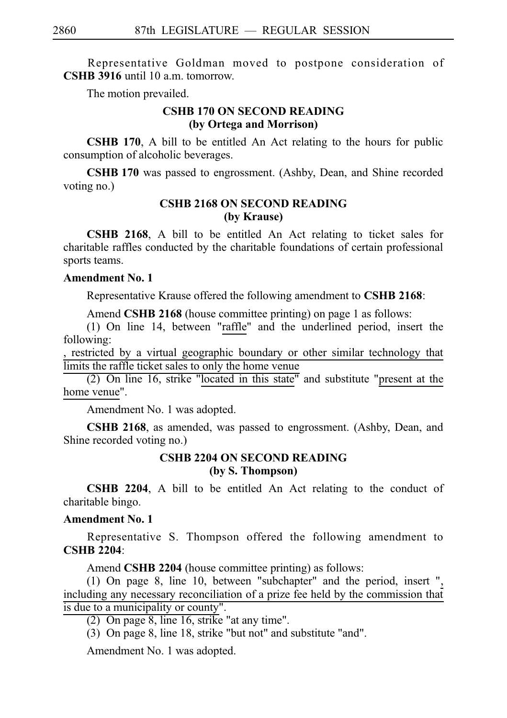Representative Goldman moved to postpone consideration of **CSHB 3916** until 10 a.m. tomorrow.

The motion prevailed.

# **CSHB 170 ON SECOND READING (by Ortega and Morrison)**

**CSHB 170**, A bill to be entitled An Act relating to the hours for public consumption of alcoholic beverages.

**CSHB 170** was passed to engrossment. (Ashby, Dean, and Shine recorded voting no.)

### **CSHB 2168 ON SECOND READING (by Krause)**

**CSHB 2168**, A bill to be entitled An Act relating to ticket sales for charitable raffles conducted by the charitable foundations of certain professional sports teams.

# **Amendment No. 1**

Representative Krause offered the following amendment to **CSHB 2168**:

Amend **CSHB 2168** (house committee printing) on page 1 as follows:

 $(1)$  On line 14, between "raffle" and the underlined period, insert the following:

, restricted by a virtual geographic boundary or other similar technology that limits the raffle ticket sales to only the home venue

(2) On line 16, strike "located in this state" and substitute "present at the home venue".

Amendment No. 1 was adopted.

**CSHB 2168**, as amended, was passed to engrossment. (Ashby, Dean, and Shine recorded voting no.)

# **CSHB 2204 ON SECOND READING (by S. Thompson)**

**CSHB 2204**, A bill to be entitled An Act relating to the conduct of charitable bingo.

### **Amendment No. 1**

Representative S. Thompson offered the following amendment to **CSHBi2204**:

Amend **CSHB 2204** (house committee printing) as follows:

(1) On page 8, line 10, between "subchapter" and the period, insert ", including any necessary reconciliation of a prize fee held by the commission that is due to a municipality or county".

- (2) On page 8, line 16, strike "at any time".
- $(3)$  On page 8, line 18, strike "but not" and substitute "and".

Amendment No. 1 was adopted.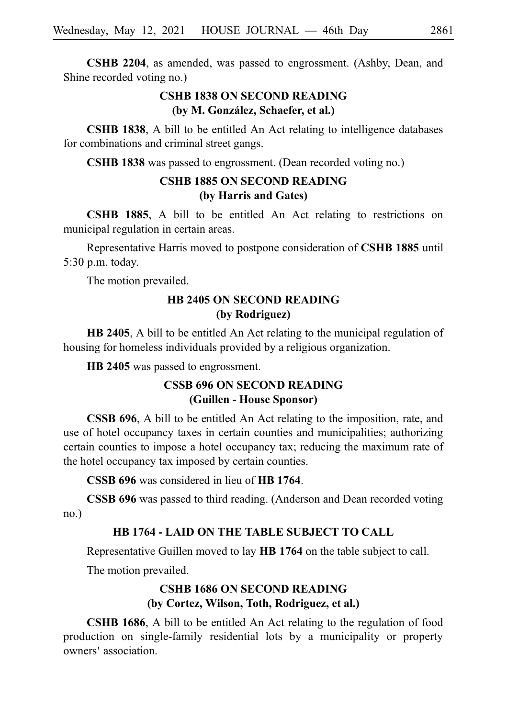**CSHB 2204**, as amended, was passed to engrossment. (Ashby, Dean, and Shine recorded voting no.)

# **CSHB 1838 ON SECOND READING** (by M. González, Schaefer, et al.)

**CSHB 1838**, A bill to be entitled An Act relating to intelligence databases for combinations and criminal street gangs.

**CSHB 1838** was passed to engrossment. (Dean recorded voting no.)

# **CSHB 1885 ON SECOND READING (by Harris and Gates)**

**CSHB 1885**, A bill to be entitled An Act relating to restrictions on municipal regulation in certain areas.

Representative Harris moved to postpone consideration of **CSHB 1885** until  $5:30$  p.m. today.

The motion prevailed.

# **HB 2405 ON SECOND READING (by Rodriguez)**

**HB 2405**, A bill to be entitled An Act relating to the municipal regulation of housing for homeless individuals provided by a religious organization.

**HB** 2405 was passed to engrossment.

# **CSSB 696 ON SECOND READING (Guillen - House Sponsor)**

**CSSB 696**, A bill to be entitled An Act relating to the imposition, rate, and use of hotel occupancy taxes in certain counties and municipalities; authorizing certain counties to impose a hotel occupancy tax; reducing the maximum rate of the hotel occupancy tax imposed by certain counties.

**CSSB 696** was considered in lieu of **HB 1764**.

**CSSB 696** was passed to third reading. (Anderson and Dean recorded voting no.)

# **HB 1764 - LAID ON THE TABLE SUBJECT TO CALL**

Representative Guillen moved to lay **HBi1764** on the table subject to call.

The motion prevailed.

# **CSHB 1686 ON SECOND READING (by Cortez, Wilson, Toth, Rodriguez, et al.)**

**CSHB 1686**, A bill to be entitled An Act relating to the regulation of food production on single-family residential lots by a municipality or property owners' association.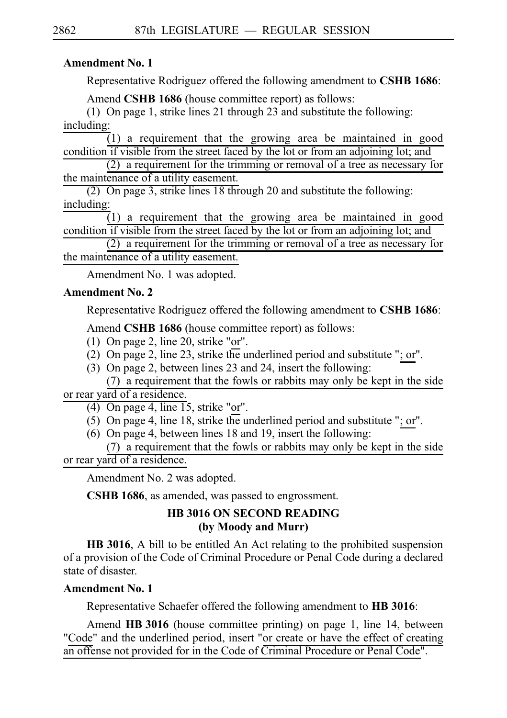# **Amendment No. 1**

Representative Rodriguez offered the following amendment to **CSHBi1686**:

Amend **CSHB 1686** (house committee report) as follows:

(1) On page 1, strike lines 21 through 23 and substitute the following: including:

 $\overline{1}$ ) a requirement that the growing area be maintained in good condition if visible from the street faced by the lot or from an adjoining lot; and

 $(2)$  a requirement for the trimming or removal of a tree as necessary for the maintenance of a utility easement.

(2) On page 3, strike lines  $18$  through 20 and substitute the following: including:

 $(1)$  a requirement that the growing area be maintained in good condition if visible from the street faced by the lot or from an adjoining lot; and

 $(2)$  a requirement for the trimming or removal of a tree as necessary for the maintenance of a utility easement.

Amendment No. 1 was adopted.

# **Amendment No. 2**

Representative Rodriguez offered the following amendment to **CSHB 1686**:

Amend **CSHB 1686** (house committee report) as follows:

- (1) On page 2, line 20, strike "or".
- (2) On page 2, line 23, strike the underlined period and substitute "; or".
- (3) On page 2, between lines 23 and 24, insert the following:

 $(7)$  a requirement that the fowls or rabbits may only be kept in the side or rear yard of a residence.

- $(4)$  On page 4, line 15, strike "or".
- (5) On page 4, line 18, strike the underlined period and substitute "; or".
- (6) On page 4, between lines 18 and 19, insert the following:  $(7)$  a requirement that the fowls or rabbits may only be kept in the side

or rear yard of a residence.

Amendment No. 2 was adopted.

**CSHB 1686**, as amended, was passed to engrossment.

# **HB 3016 ON SECOND READING (by Moody and Murr)**

**HB 3016**, A bill to be entitled An Act relating to the prohibited suspension of a provision of the Code of Criminal Procedure or Penal Code during a declared state of disaster.

# **Amendment No. 1**

Representative Schaefer offered the following amendment to **HB** 3016:

Amend **HB 3016** (house committee printing) on page 1, line 14, between "Code" and the underlined period, insert "or create or have the effect of creating an offense not provided for in the Code of Criminal Procedure or Penal Code".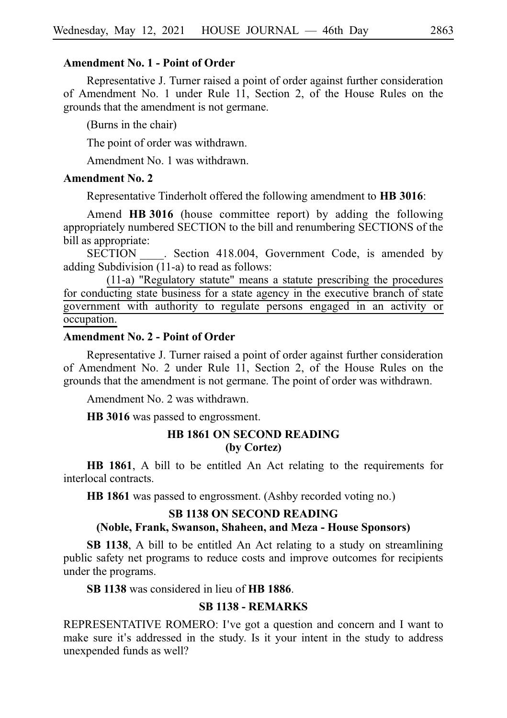#### **Amendment No. 1 - Point of Order**

Representative J. Turner raised a point of order against further consideration of Amendment No. 1 under Rule 11, Section 2, of the House Rules on the grounds that the amendment is not germane.

(Burns in the chair)

The point of order was withdrawn.

Amendment No. 1 was withdrawn.

#### **Amendment No. 2**

Representative Tinderholt offered the following amendment to **HB** 3016:

Amend **HB 3016** (house committee report) by adding the following appropriately numbered SECTION to the bill and renumbering SECTIONS of the bill as appropriate:

SECTION \_\_\_\_. Section 418.004, Government Code, is amended by adding Subdivision (11-a) to read as follows:

(11-a) "Regulatory statute" means a statute prescribing the procedures for conducting state business for a state agency in the executive branch of state government with authority to regulate persons engaged in an activity or occupation.

### **Amendment No. 2 - Point of Order**

Representative J. Turner raised a point of order against further consideration of Amendment No. 2 under Rule 11, Section 2, of the House Rules on the grounds that the amendment is not germane. The point of order was withdrawn.

Amendment No. 2 was withdrawn.

**HB 3016** was passed to engrossment.

## **HB 1861 ON SECOND READING (by Cortez)**

**HB 1861**, A bill to be entitled An Act relating to the requirements for interlocal contracts.

**HB** 1861 was passed to engrossment. (Ashby recorded voting no.)

#### **SB 1138 ON SECOND READING (Noble, Frank, Swanson, Shaheen, and Meza - House Sponsors)**

**SB 1138**, A bill to be entitled An Act relating to a study on streamlining public safety net programs to reduce costs and improve outcomes for recipients under the programs.

**SB 1138** was considered in lieu of **HB 1886**.

#### **SB 1138 - REMARKS**

REPRESENTATIVE ROMERO: I've got a question and concern and I want to make sure it's addressed in the study. Is it your intent in the study to address unexpended funds as well?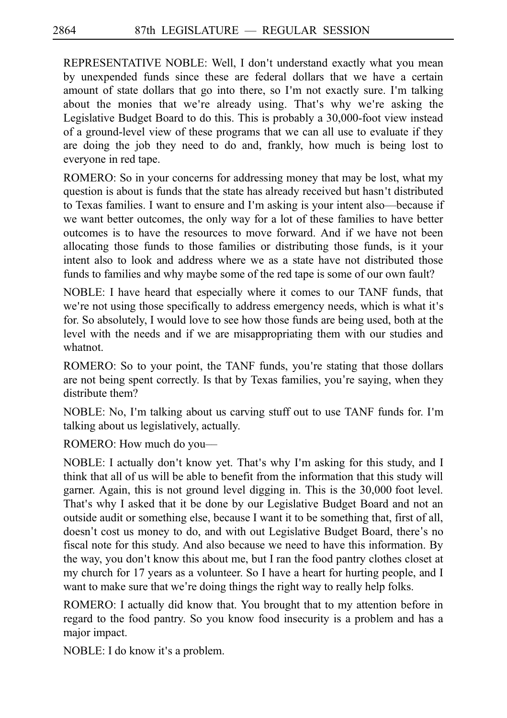REPRESENTATIVE NOBLE: Well, I don't understand exactly what you mean by unexpended funds since these are federal dollars that we have a certain amount of state dollars that go into there, so I'm not exactly sure. I'm talking about the monies that we're already using. That's why we're asking the Legislative Budget Board to do this. This is probably a 30,000-foot view instead of a ground-level view of these programs that we can all use to evaluate if they are doing the job they need to do and, frankly, how much is being lost to everyone in red tape.

ROMERO: So in your concerns for addressing money that may be lost, what my question is about is funds that the state has already received but hasn t distributed ' to Texas families. I want to ensure and I'm asking is your intent also-because if we want better outcomes, the only way for a lot of these families to have better outcomes is to have the resources to move forward. And if we have not been allocating those funds to those families or distributing those funds, is it your intent also to look and address where we as a state have not distributed those funds to families and why maybe some of the red tape is some of our own fault?

NOBLE: I have heard that especially where it comes to our TANF funds, that we're not using those specifically to address emergency needs, which is what it's for. So absolutely, I would love to see how those funds are being used, both at the level with the needs and if we are misappropriating them with our studies and whatnot.

ROMERO: So to your point, the TANF funds, you're stating that those dollars are not being spent correctly. Is that by Texas families, you're saying, when they distribute them?

NOBLE: No, I'm talking about us carving stuff out to use TANF funds for. I'm talking about us legislatively, actually.

ROMERO: How much do you––

NOBLE: I actually don't know yet. That's why I'm asking for this study, and I think that all of us will be able to benefit from the information that this study will garner. Again, this is not ground level digging in. This is the 30,000 foot level. That's why I asked that it be done by our Legislative Budget Board and not an outside audit or something else, because I want it to be something that, first of all, doesn't cost us money to do, and with out Legislative Budget Board, there's no fiscal note for this study. And also because we need to have this information. By the way, you don't know this about me, but I ran the food pantry clothes closet at my church for 17 years as a volunteer. So I have a heart for hurting people, and I want to make sure that we're doing things the right way to really help folks.

ROMERO: I actually did know that. You brought that to my attention before in regard to the food pantry. So you know food insecurity is a problem and has a major impact.

NOBLE: I do know it's a problem.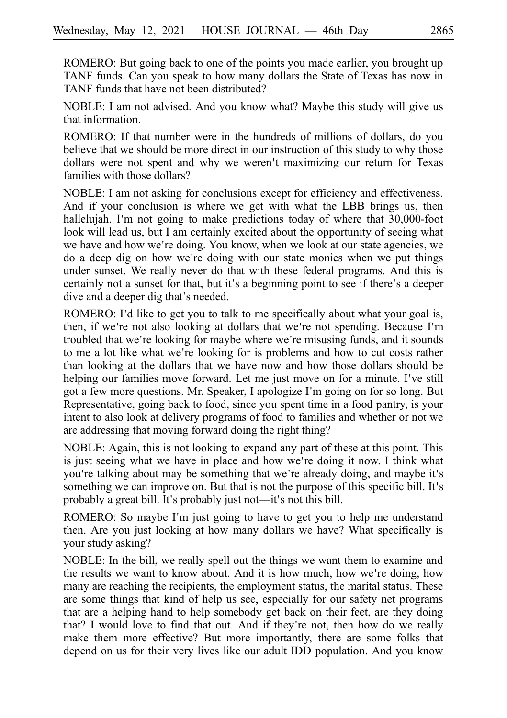ROMERO: But going back to one of the points you made earlier, you brought up TANF funds. Can you speak to how many dollars the State of Texas has now in TANF funds that have not been distributed?

NOBLE: I am not advised. And you know what? Maybe this study will give us that information.

ROMERO: If that number were in the hundreds of millions of dollars, do you believe that we should be more direct in our instruction of this study to why those dollars were not spent and why we weren't maximizing our return for Texas families with those dollars?

NOBLE: I am not asking for conclusions except for efficiency and effectiveness. And if your conclusion is where we get with what the LBB brings us, then hallelujah. I'm not going to make predictions today of where that 30,000-foot look will lead us, but I am certainly excited about the opportunity of seeing what we have and how we're doing. You know, when we look at our state agencies, we do a deep dig on how we're doing with our state monies when we put things under sunset. We really never do that with these federal programs. And this is certainly not a sunset for that, but it's a beginning point to see if there's a deeper dive and a deeper dig that's needed.

ROMERO: I'd like to get you to talk to me specifically about what your goal is, then, if we're not also looking at dollars that we're not spending. Because I'm troubled that we're looking for maybe where we're misusing funds, and it sounds to me a lot like what we're looking for is problems and how to cut costs rather than looking at the dollars that we have now and how those dollars should be helping our families move forward. Let me just move on for a minute. I've still got a few more questions. Mr. Speaker, I apologize I'm going on for so long. But Representative, going back to food, since you spent time in a food pantry, is your intent to also look at delivery programs of food to families and whether or not we are addressing that moving forward doing the right thing?

NOBLE: Again, this is not looking to expand any part of these at this point. This is just seeing what we have in place and how we're doing it now. I think what you're talking about may be something that we're already doing, and maybe it's something we can improve on. But that is not the purpose of this specific bill. It's probably a great bill. It's probably just not—it's not this bill.

ROMERO: So maybe I'm just going to have to get you to help me understand then. Are you just looking at how many dollars we have? What specifically is your study asking?

NOBLE: In the bill, we really spell out the things we want them to examine and the results we want to know about. And it is how much, how we re doing, how ' many are reaching the recipients, the employment status, the marital status. These are some things that kind of help us see, especially for our safety net programs that are a helping hand to help somebody get back on their feet, are they doing that? I would love to find that out. And if they're not, then how do we really make them more effective? But more importantly, there are some folks that depend on us for their very lives like our adult IDD population. And you know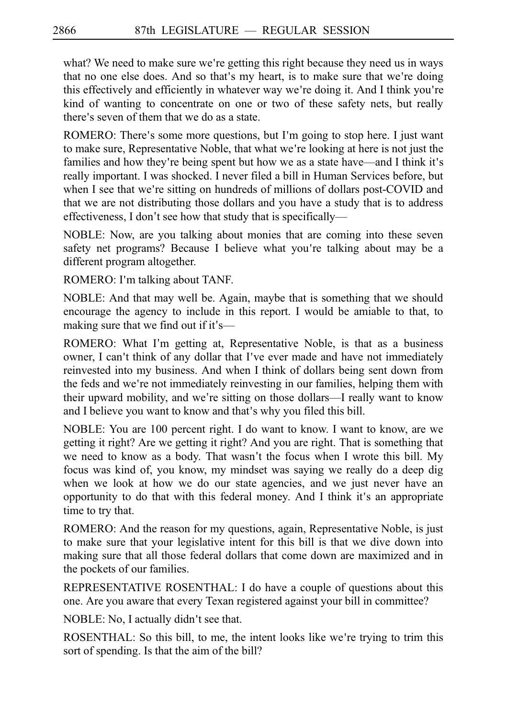what? We need to make sure we're getting this right because they need us in ways that no one else does. And so that's my heart, is to make sure that we're doing this effectively and efficiently in whatever way we're doing it. And I think you're kind of wanting to concentrate on one or two of these safety nets, but really there's seven of them that we do as a state.

ROMERO: There's some more questions, but I'm going to stop here. I just want to make sure, Representative Noble, that what we're looking at here is not just the families and how they're being spent but how we as a state have—and I think it's really important. I was shocked. I never filed a bill in Human Services before, but when I see that we're sitting on hundreds of millions of dollars post-COVID and that we are not distributing those dollars and you have a study that is to address effectiveness, I don't see how that study that is specifically-

NOBLE: Now, are you talking about monies that are coming into these seven safety net programs? Because I believe what you're talking about may be a different program altogether.

ROMERO: I'm talking about TANF.

NOBLE: And that may well be. Again, maybe that is something that we should encourage the agency to include in this report. I would be amiable to that, to making sure that we find out if it's--

ROMERO: What I'm getting at, Representative Noble, is that as a business owner, I can't think of any dollar that I've ever made and have not immediately reinvested into my business. And when I think of dollars being sent down from the feds and we're not immediately reinvesting in our families, helping them with their upward mobility, and we're sitting on those dollars—I really want to know and I believe you want to know and that's why you filed this bill.

NOBLE: You are 100 percent right. I do want to know. I want to know, are we getting it right? Are we getting it right? And you are right. That is something that we need to know as a body. That wasn't the focus when I wrote this bill. My focus was kind of, you know, my mindset was saying we really do a deep dig when we look at how we do our state agencies, and we just never have an opportunity to do that with this federal money. And I think it's an appropriate time to try that.

ROMERO: And the reason for my questions, again, Representative Noble, is just to make sure that your legislative intent for this bill is that we dive down into making sure that all those federal dollars that come down are maximized and in the pockets of our families.

REPRESENTATIVE ROSENTHAL: I do have a couple of questions about this one. Are you aware that every Texan registered against your bill in committee?

NOBLE: No, I actually didn't see that.

ROSENTHAL: So this bill, to me, the intent looks like we're trying to trim this sort of spending. Is that the aim of the bill?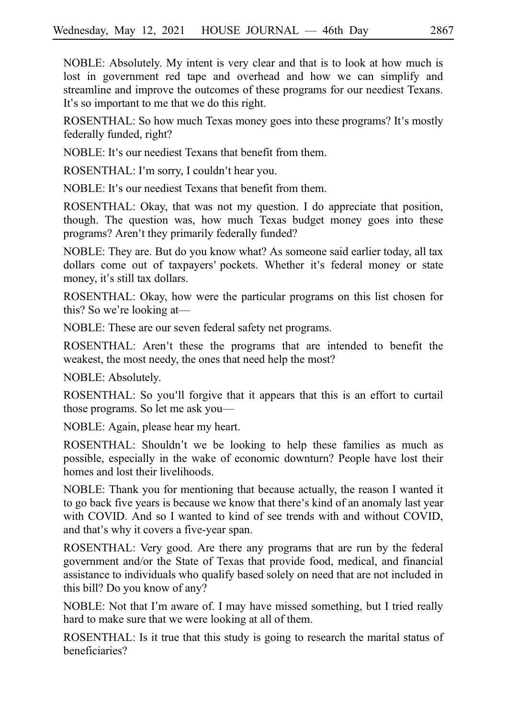NOBLE: Absolutely. My intent is very clear and that is to look at how much is lost in government red tape and overhead and how we can simplify and streamline and improve the outcomes of these programs for our neediest Texans. It's so important to me that we do this right.

ROSENTHAL: So how much Texas money goes into these programs? It's mostly federally funded, right?

NOBLE: It's our neediest Texans that benefit from them.

ROSENTHAL: I'm sorry, I couldn't hear you.

NOBLE: It's our neediest Texans that benefit from them.

ROSENTHAL: Okay, that was not my question. I do appreciate that position, though. The question was, how much Texas budget money goes into these programs? Aren't they primarily federally funded?

NOBLE: They are. But do you know what? As someone said earlier today, all tax dollars come out of taxpayers' pockets. Whether it's federal money or state money, it's still tax dollars.

ROSENTHAL: Okay, how were the particular programs on this list chosen for this? So we're looking at—

NOBLE: These are our seven federal safety net programs.

ROSENTHAL: Aren't these the programs that are intended to benefit the weakest, the most needy, the ones that need help the most?

NOBLE: Absolutely.

ROSENTHAL: So you'll forgive that it appears that this is an effort to curtail those programs. So let me ask you––

NOBLE: Again, please hear my heart.

ROSENTHAL: Shouldn't we be looking to help these families as much as possible, especially in the wake of economic downturn? People have lost their homes and lost their livelihoods.

NOBLE: Thank you for mentioning that because actually, the reason I wanted it to go back five years is because we know that there's kind of an anomaly last year with COVID. And so I wanted to kind of see trends with and without COVID, and that's why it covers a five-year span.

ROSENTHAL: Very good. Are there any programs that are run by the federal government and/or the State of Texas that provide food, medical, and financial assistance to individuals who qualify based solely on need that are not included in this bill? Do you know of any?

NOBLE: Not that I'm aware of. I may have missed something, but I tried really hard to make sure that we were looking at all of them.

ROSENTHAL: Is it true that this study is going to research the marital status of beneficiaries?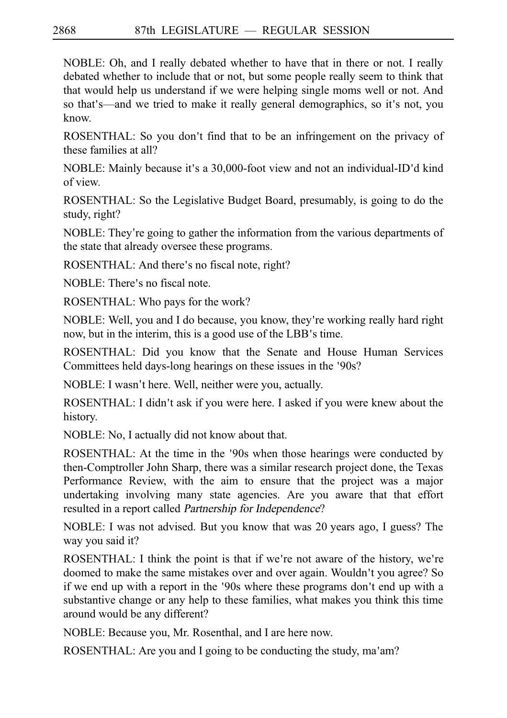NOBLE: Oh, and I really debated whether to have that in there or not. I really debated whether to include that or not, but some people really seem to think that that would help us understand if we were helping single moms well or not. And so that s—and we tried to make it really general demographics, so it's not, you know.

ROSENTHAL: So you don't find that to be an infringement on the privacy of these families at all?

NOBLE: Mainly because it's a 30,000-foot view and not an individual-ID'd kind of view.

ROSENTHAL: So the Legislative Budget Board, presumably, is going to do the study, right?

NOBLE: They're going to gather the information from the various departments of the state that already oversee these programs.

ROSENTHAL: And there's no fiscal note, right?

NOBLE: There's no fiscal note.

ROSENTHAL: Who pays for the work?

NOBLE: Well, you and I do because, you know, they're working really hard right now, but in the interim, this is a good use of the LBB's time.

ROSENTHAL: Did you know that the Senate and House Human Services Committees held days-long hearings on these issues in the '90s?

NOBLE: I wasn't here. Well, neither were you, actually.

ROSENTHAL: I didn't ask if you were here. I asked if you were knew about the history.

NOBLE: No, I actually did not know about that.

ROSENTHAL: At the time in the 90s when those hearings were conducted by ' then-Comptroller John Sharp, there was a similar research project done, the Texas Performance Review, with the aim to ensure that the project was a major undertaking involving many state agencies. Are you aware that that effort resulted in a report called Partnership for Independence?

NOBLE: I was not advised. But you know that was 20 years ago, I guess? The way you said it?

ROSENTHAL: I think the point is that if we're not aware of the history, we're doomed to make the same mistakes over and over again. Wouldn't you agree? So if we end up with a report in the '90s where these programs don't end up with a substantive change or any help to these families, what makes you think this time around would be any different?

NOBLE: Because you, Mr. Rosenthal, and I are here now.

ROSENTHAL: Are you and I going to be conducting the study, ma'am?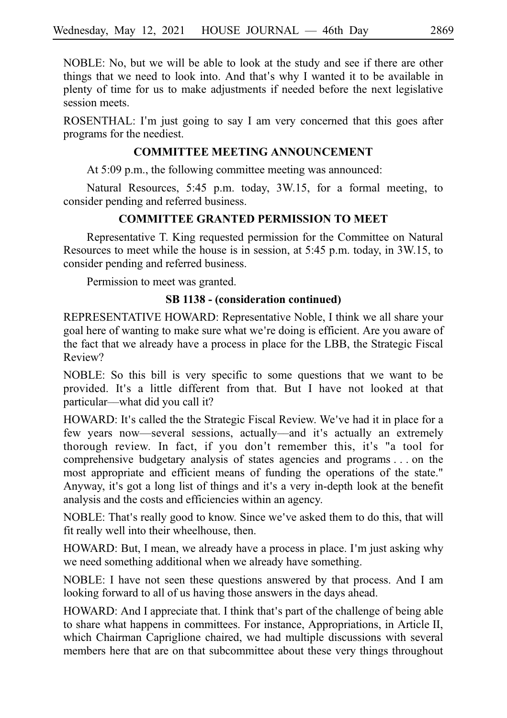NOBLE: No, but we will be able to look at the study and see if there are other things that we need to look into. And that's why I wanted it to be available in plenty of time for us to make adjustments if needed before the next legislative session meets.

ROSENTHAL: I'm just going to say I am very concerned that this goes after programs for the neediest.

## **COMMITTEE MEETING ANNOUNCEMENT**

At 5:09 p.m., the following committee meeting was announced:

Natural Resources, 5:45 p.m. today, 3W.15, for a formal meeting, to consider pending and referred business.

# **COMMITTEE GRANTED PERMISSION TO MEET**

Representative T. King requested permission for the Committee on Natural Resources to meet while the house is in session, at 5:45 p.m. today, in 3W.15, to consider pending and referred business.

Permission to meet was granted.

## **SB 1138 - (consideration continued)**

REPRESENTATIVE HOWARD: Representative Noble, I think we all share your goal here of wanting to make sure what we're doing is efficient. Are you aware of the fact that we already have a process in place for the LBB, the Strategic Fiscal Review?

NOBLE: So this bill is very specific to some questions that we want to be provided. It's a little different from that. But I have not looked at that particular––what did you call it?

HOWARD: It's called the the Strategic Fiscal Review. We've had it in place for a few years now—several sessions, actually—and it's actually an extremely thorough review. In fact, if you don't remember this, it's "a tool for comprehensive budgetary analysis of states agencies and programs . . . on the most appropriate and efficient means of funding the operations of the state." Anyway, it's got a long list of things and it's a very in-depth look at the benefit analysis and the costs and efficiencies within an agency.

NOBLE: That's really good to know. Since we've asked them to do this, that will fit really well into their wheelhouse, then.

HOWARD: But, I mean, we already have a process in place. I'm just asking why we need something additional when we already have something.

NOBLE: I have not seen these questions answered by that process. And I am looking forward to all of us having those answers in the days ahead.

HOWARD: And I appreciate that. I think that's part of the challenge of being able to share what happens in committees. For instance, Appropriations, in Article II, which Chairman Capriglione chaired, we had multiple discussions with several members here that are on that subcommittee about these very things throughout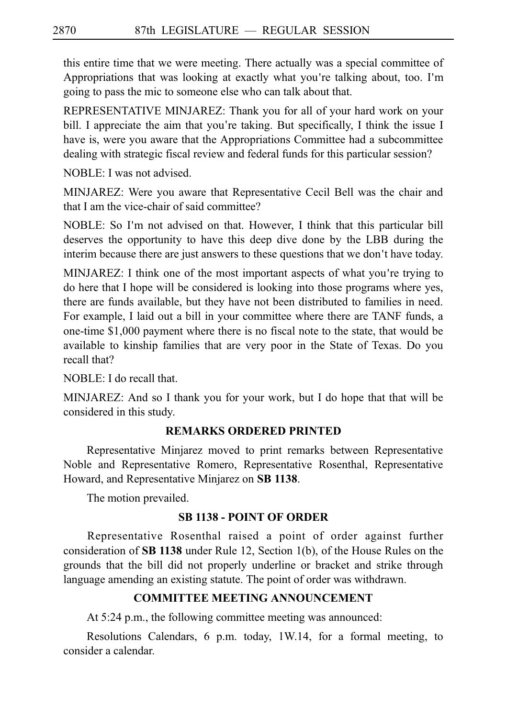this entire time that we were meeting. There actually was a special committee of Appropriations that was looking at exactly what you're talking about, too. I'm going to pass the mic to someone else who can talk about that.

REPRESENTATIVE MINJAREZ: Thank you for all of your hard work on your bill. I appreciate the aim that you're taking. But specifically, I think the issue I have is, were you aware that the Appropriations Committee had a subcommittee dealing with strategic fiscal review and federal funds for this particular session?

NOBLE: I was not advised.

MINJAREZ: Were you aware that Representative Cecil Bell was the chair and that I am the vice-chair of said committee?

NOBLE: So I'm not advised on that. However, I think that this particular bill deserves the opportunity to have this deep dive done by the LBB during the interim because there are just answers to these questions that we don't have today.

MINJAREZ: I think one of the most important aspects of what you're trying to do here that I hope will be considered is looking into those programs where yes, there are funds available, but they have not been distributed to families in need. For example, I laid out a bill in your committee where there are TANF funds, a one-time \$1,000 payment where there is no fiscal note to the state, that would be available to kinship families that are very poor in the State of Texas. Do you recall that?

NOBLE: I do recall that.

MINJAREZ: And so I thank you for your work, but I do hope that that will be considered in this study.

# **REMARKS ORDERED PRINTED**

Representative Minjarez moved to print remarks between Representative Noble and Representative Romero, Representative Rosenthal, Representative Howard, and Representative Minjarez on **SBi1138**.

The motion prevailed.

# **SB 1138 - POINT OF ORDER**

Representative Rosenthal raised a point of order against further consideration of **SBi1138** under Rule 12, Section 1(b), of the House Rules on the grounds that the bill did not properly underline or bracket and strike through language amending an existing statute. The point of order was withdrawn.

# **COMMITTEE MEETING ANNOUNCEMENT**

At 5:24 p.m., the following committee meeting was announced:

Resolutions Calendars, 6 p.m. today, 1W.14, for a formal meeting, to consider a calendar.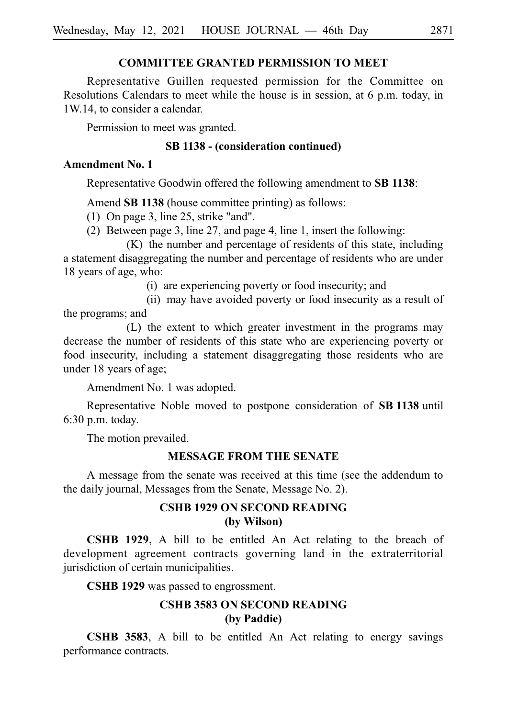### **COMMITTEE GRANTED PERMISSION TO MEET**

Representative Guillen requested permission for the Committee on Resolutions Calendars to meet while the house is in session, at 6 p.m. today, in 1W.14, to consider a calendar.

Permission to meet was granted.

## **SB 1138 - (consideration continued)**

### **Amendment No. 1**

Representative Goodwin offered the following amendment to **SB 1138**:

Amend **SB 1138** (house committee printing) as follows:

(1) On page 3, line 25, strike "and".

(2) Between page 3, line 27, and page 4, line 1, insert the following:

 $(K)$  the number and percentage of residents of this state, including a statement disaggregating the number and percentage of residents who are under 18 years of age, who:

(i) are experiencing poverty or food insecurity; and

(ii) may have avoided poverty or food insecurity as a result of the programs; and

(L) the extent to which greater investment in the programs may decrease the number of residents of this state who are experiencing poverty or food insecurity, including a statement disaggregating those residents who are under 18 years of age;

Amendment No. 1 was adopted.

Representative Noble moved to postpone consideration of **SB 1138** until  $6:30$  p.m. today.

The motion prevailed.

## **MESSAGE FROM THE SENATE**

A message from the senate was received at this time (see the addendum to the daily journal, Messages from the Senate, Message No. 2).

## **CSHB 1929 ON SECOND READING (by Wilson)**

**CSHB 1929**, A bill to be entitled An Act relating to the breach of development agreement contracts governing land in the extraterritorial jurisdiction of certain municipalities.

CSHB 1929 was passed to engrossment.

# **CSHB 3583 ON SECOND READING (by Paddie)**

**CSHB 3583**, A bill to be entitled An Act relating to energy savings performance contracts.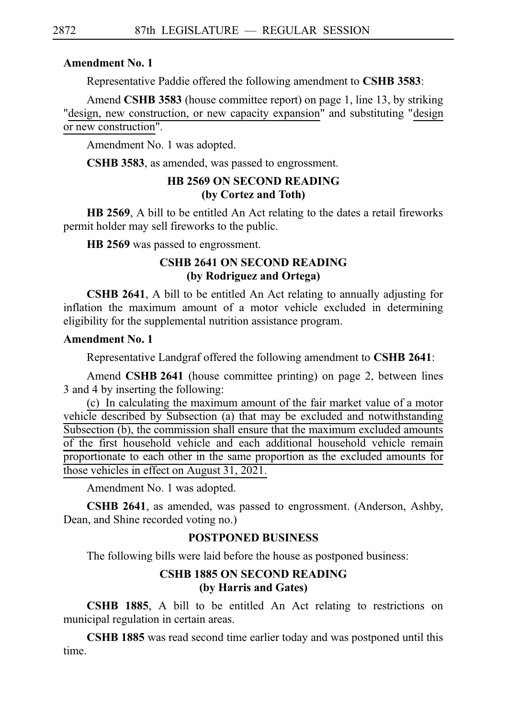## **Amendment No. 1**

Representative Paddie offered the following amendment to **CSHB 3583**:

Amend **CSHB 3583** (house committee report) on page 1, line 13, by striking "design, new construction, or new capacity expansion" and substituting "design or new construction".

Amendment No. 1 was adopted.

**CSHB 3583**, as amended, was passed to engrossment.

# **HB 2569 ON SECOND READING (by Cortez and Toth)**

**HB 2569**, A bill to be entitled An Act relating to the dates a retail fireworks permit holder may sell fireworks to the public.

**HB** 2569 was passed to engrossment.

## **CSHB 2641 ON SECOND READING (by Rodriguez and Ortega)**

**CSHB 2641**, A bill to be entitled An Act relating to annually adjusting for inflation the maximum amount of a motor vehicle excluded in determining eligibility for the supplemental nutrition assistance program.

## **Amendment No. 1**

Representative Landgraf offered the following amendment to **CSHB 2641**:

Amend **CSHB 2641** (house committee printing) on page 2, between lines 3 and 4 by inserting the following:

(c) In calculating the maximum amount of the fair market value of a motor vehicle described by Subsection (a) that may be excluded and notwithstanding Subsection (b), the commission shall ensure that the maximum excluded amounts of the first household vehicle and each additional household vehicle remain proportionate to each other in the same proportion as the excluded amounts for those vehicles in effect on August 31, 2021.

Amendment No. 1 was adopted.

**CSHB 2641**, as amended, was passed to engrossment. (Anderson, Ashby, Dean, and Shine recorded voting no.)

# **POSTPONED BUSINESS**

The following bills were laid before the house as postponed business:

# **CSHB 1885 ON SECOND READING (by Harris and Gates)**

**CSHB 1885**, A bill to be entitled An Act relating to restrictions on municipal regulation in certain areas.

**CSHB 1885** was read second time earlier today and was postponed until this time.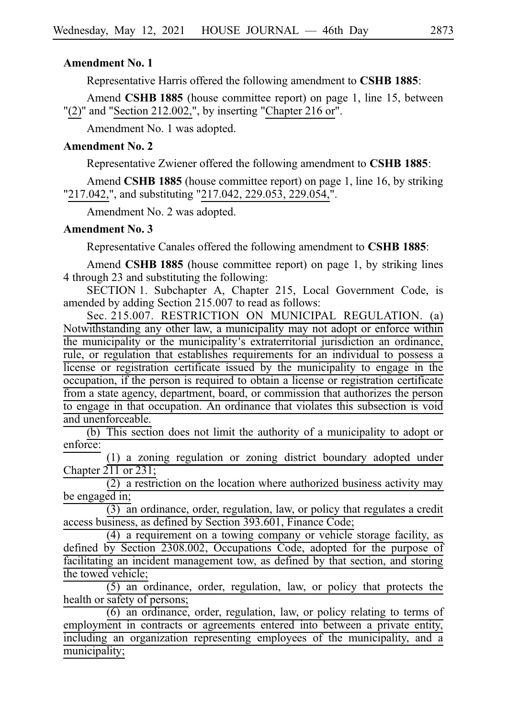#### **Amendment No. 1**

Representative Harris offered the following amendment to **CSHB 1885**:

Amend **CSHB 1885** (house committee report) on page 1, line 15, between "(2)" and "Section 212.002,", by inserting "Chapter 216 or".

Amendment No. 1 was adopted.

#### **Amendment No. 2**

Representative Zwiener offered the following amendment to **CSHB 1885**:

Amend **CSHB 1885** (house committee report) on page 1, line 16, by striking "217.042,", and substituting "217.042, 229.053, 229.054,".

Amendment No. 2 was adopted.

#### **Amendment No. 3**

Representative Canales offered the following amendment to **CSHB 1885**:

Amend **CSHB 1885** (house committee report) on page 1, by striking lines 4 through 23 and substituting the following:

SECTION 1. Subchapter A, Chapter 215, Local Government Code, is amended by adding Section 215.007 to read as follows:

Sec. 215.007. RESTRICTION ON MUNICIPAL REGULATION. (a) Notwithstanding any other law, a municipality may not adopt or enforce within the municipality or the municipality's extraterritorial jurisdiction an ordinance, rule, or regulation that establishes requirements for an individual to possess a license or registration certificate issued by the municipality to engage in the occupation, if the person is required to obtain a license or registration certificate from a state agency, department, board, or commission that authorizes the person to engage in that occupation. An ordinance that violates this subsection is void and unenforceable.

(b) This section does not limit the authority of a municipality to adopt or enforce:

(1) a zoning regulation or zoning district boundary adopted under Chapter 211 or 231;

 $(2)$  a restriction on the location where authorized business activity may be engaged in;

(3) an ordinance, order, regulation, law, or policy that regulates a credit access business, as defined by Section 393.601, Finance Code;

 $(4)$  a requirement on a towing company or vehicle storage facility, as defined by Section 2308.002, Occupations Code, adopted for the purpose of facilitating an incident management tow, as defined by that section, and storing the towed vehicle;

 $(5)$  an ordinance, order, regulation, law, or policy that protects the health or safety of persons;

 $(6)$  an ordinance, order, regulation, law, or policy relating to terms of employment in contracts or agreements entered into between a private entity, including an organization representing employees of the municipality, and a municipality;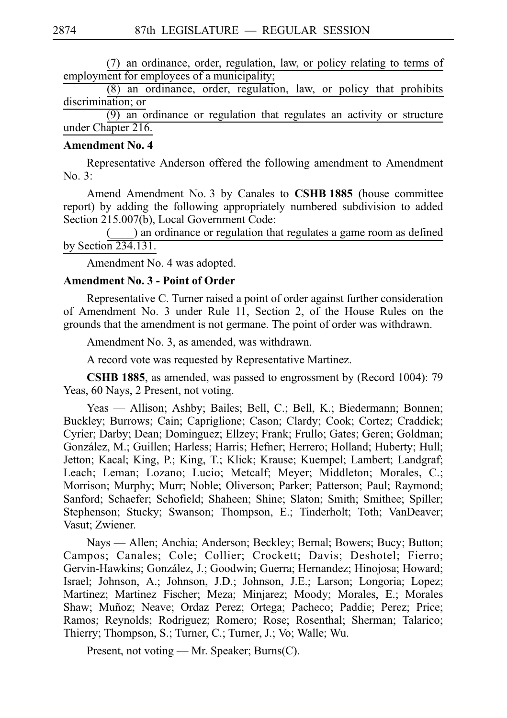(7) an ordinance, order, regulation, law, or policy relating to terms of employment for employees of a municipality;

 $(8)$  an ordinance, order, regulation, law, or policy that prohibits discrimination; or

 $(9)$  an ordinance or regulation that regulates an activity or structure under Chapter 216.

#### **Amendment No. 4**

Representative Anderson offered the following amendment to Amendment  $No.3$ :

Amend Amendment No. 3 by Canales to **CSHB 1885** (house committee report) by adding the following appropriately numbered subdivision to added Section 215.007(b), Local Government Code:

) an ordinance or regulation that regulates a game room as defined by Section 234.131.

Amendment No. 4 was adopted.

#### **Amendment No. 3 - Point of Order**

Representative C. Turner raised a point of order against further consideration of Amendment No. 3 under Rule 11, Section 2, of the House Rules on the grounds that the amendment is not germane. The point of order was withdrawn.

Amendment No. 3, as amended, was withdrawn.

A record vote was requested by Representative Martinez.

**CSHB 1885**, as amended, was passed to engrossment by (Record 1004): 79 Yeas, 60 Nays, 2 Present, not voting.

Yeas — Allison; Ashby; Bailes; Bell, C.; Bell, K.; Biedermann; Bonnen; Buckley; Burrows; Cain; Capriglione; Cason; Clardy; Cook; Cortez; Craddick; Cyrier; Darby; Dean; Dominguez; Ellzey; Frank; Frullo; Gates; Geren; Goldman; González, M.; Guillen; Harless; Harris; Hefner; Herrero; Holland; Huberty; Hull; Jetton; Kacal; King, P.; King, T.; Klick; Krause; Kuempel; Lambert; Landgraf; Leach; Leman; Lozano; Lucio; Metcalf; Meyer; Middleton; Morales, C.; Morrison; Murphy; Murr; Noble; Oliverson; Parker; Patterson; Paul; Raymond; Sanford; Schaefer; Schofield; Shaheen; Shine; Slaton; Smith; Smithee; Spiller; Stephenson; Stucky; Swanson; Thompson, E.; Tinderholt; Toth; VanDeaver; Vasut; Zwiener.

Nays — Allen; Anchia; Anderson; Beckley; Bernal; Bowers; Bucy; Button; Campos; Canales; Cole; Collier; Crockett; Davis; Deshotel; Fierro; Gervin-Hawkins; González, J.; Goodwin; Guerra; Hernandez; Hinojosa; Howard; Israel; Johnson, A.; Johnson, J.D.; Johnson, J.E.; Larson; Longoria; Lopez; Martinez; Martinez Fischer; Meza; Minjarez; Moody; Morales, E.; Morales Shaw; Muñoz; Neave; Ordaz Perez; Ortega; Pacheco; Paddie; Perez; Price; Ramos; Reynolds; Rodriguez; Romero; Rose; Rosenthal; Sherman; Talarico; Thierry; Thompson, S.; Turner, C.; Turner, J.; Vo; Walle; Wu.

Present, not voting — Mr. Speaker; Burns(C).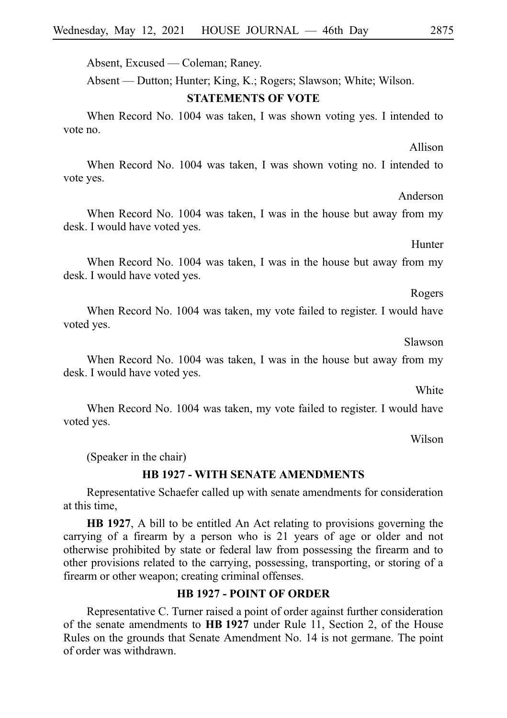Absent, Excused — Coleman; Raney.

Absent — Dutton; Hunter; King, K.; Rogers; Slawson; White; Wilson.

#### **STATEMENTS OF VOTE**

When Record No. 1004 was taken, I was shown voting yes. I intended to vote no.

When Record No. 1004 was taken, I was shown voting no. I intended to vote yes.

When Record No. 1004 was taken, I was in the house but away from my desk. I would have voted yes.

When Record No. 1004 was taken, I was in the house but away from my desk. I would have voted yes.

When Record No. 1004 was taken, my vote failed to register. I would have voted yes.

When Record No. 1004 was taken, I was in the house but away from my desk. I would have voted yes.

When Record No. 1004 was taken, my vote failed to register. I would have voted yes.

(Speaker in the chair)

#### **HB 1927 - WITH SENATE AMENDMENTS**

Representative Schaefer called up with senate amendments for consideration at this time,

**HB 1927**, A bill to be entitled An Act relating to provisions governing the carrying of a firearm by a person who is 21 years of age or older and not otherwise prohibited by state or federal law from possessing the firearm and to other provisions related to the carrying, possessing, transporting, or storing of a firearm or other weapon; creating criminal offenses.

#### **HB 1927 - POINT OF ORDER**

Representative C. Turner raised a point of order against further consideration of the senate amendments to **HBi1927** under Rule 11, Section 2, of the House Rules on the grounds that Senate Amendment No. 14 is not germane. The point of order was withdrawn.

Anderson

Hunter

Rogers

Allison

Slawson

White

Wilson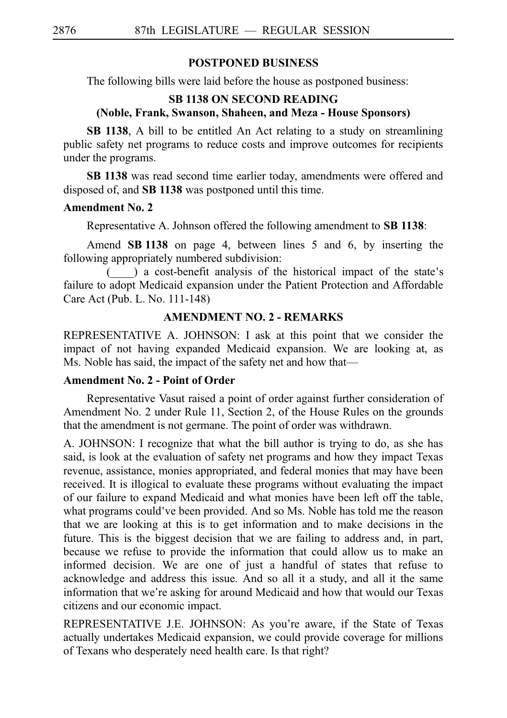## **POSTPONED BUSINESS**

The following bills were laid before the house as postponed business:

# **SB 1138 ON SECOND READING (Noble, Frank, Swanson, Shaheen, and Meza - House Sponsors)**

**SB 1138**, A bill to be entitled An Act relating to a study on streamlining public safety net programs to reduce costs and improve outcomes for recipients under the programs.

**SB 1138** was read second time earlier today, amendments were offered and disposed of, and **SB 1138** was postponed until this time.

## **Amendment No. 2**

Representative A. Johnson offered the following amendment to **SB 1138**:

Amend **SBi1138** on page 4, between lines 5 and 6, by inserting the following appropriately numbered subdivision:

 $($ ) a cost-benefit analysis of the historical impact of the state's failure to adopt Medicaid expansion under the Patient Protection and Affordable Care Act (Pub. L. No. 111-148)

## **AMENDMENT NO. 2 - REMARKS**

REPRESENTATIVE A. JOHNSON: I ask at this point that we consider the impact of not having expanded Medicaid expansion. We are looking at, as Ms. Noble has said, the impact of the safety net and how that—

## **Amendment No. 2 - Point of Order**

Representative Vasut raised a point of order against further consideration of Amendment No. 2 under Rule 11, Section 2, of the House Rules on the grounds that the amendment is not germane. The point of order was withdrawn.

A. JOHNSON: I recognize that what the bill author is trying to do, as she has said, is look at the evaluation of safety net programs and how they impact Texas revenue, assistance, monies appropriated, and federal monies that may have been received. It is illogical to evaluate these programs without evaluating the impact of our failure to expand Medicaid and what monies have been left off the table, what programs could've been provided. And so Ms. Noble has told me the reason that we are looking at this is to get information and to make decisions in the future. This is the biggest decision that we are failing to address and, in part, because we refuse to provide the information that could allow us to make an informed decision. We are one of just a handful of states that refuse to acknowledge and address this issue. And so all it a study, and all it the same information that we're asking for around Medicaid and how that would our Texas citizens and our economic impact.

REPRESENTATIVE J.E. JOHNSON: As you're aware, if the State of Texas actually undertakes Medicaid expansion, we could provide coverage for millions of Texans who desperately need health care. Is that right?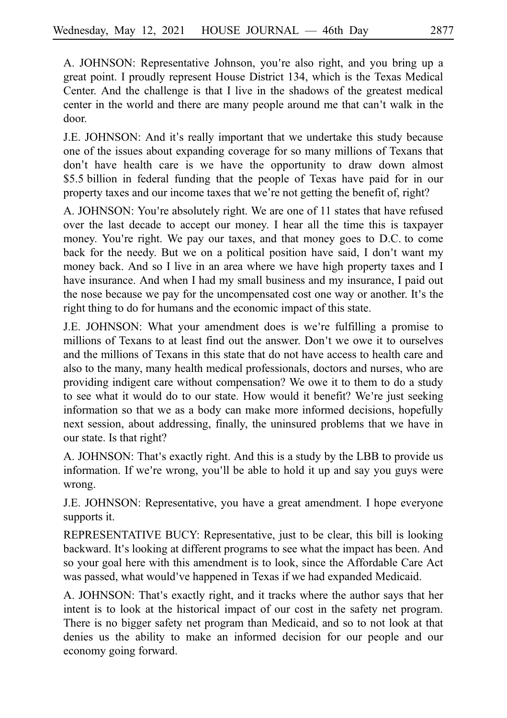A. JOHNSON: Representative Johnson, you're also right, and you bring up a great point. I proudly represent House District 134, which is the Texas Medical Center. And the challenge is that I live in the shadows of the greatest medical center in the world and there are many people around me that can't walk in the door.

J.E. JOHNSON: And it's really important that we undertake this study because one of the issues about expanding coverage for so many millions of Texans that don't have health care is we have the opportunity to draw down almost \$5.5 billion in federal funding that the people of Texas have paid for in our property taxes and our income taxes that we're not getting the benefit of, right?

A. JOHNSON: You're absolutely right. We are one of 11 states that have refused over the last decade to accept our money. I hear all the time this is taxpayer money. You're right. We pay our taxes, and that money goes to D.C. to come back for the needy. But we on a political position have said, I don't want my money back. And so I live in an area where we have high property taxes and I have insurance. And when I had my small business and my insurance, I paid out the nose because we pay for the uncompensated cost one way or another. It's the right thing to do for humans and the economic impact of this state.

J.E. JOHNSON: What your amendment does is we're fulfilling a promise to millions of Texans to at least find out the answer. Don't we owe it to ourselves and the millions of Texans in this state that do not have access to health care and also to the many, many health medical professionals, doctors and nurses, who are providing indigent care without compensation? We owe it to them to do a study to see what it would do to our state. How would it benefit? We're just seeking information so that we as a body can make more informed decisions, hopefully next session, about addressing, finally, the uninsured problems that we have in our state. Is that right?

A. JOHNSON: That's exactly right. And this is a study by the LBB to provide us information. If we're wrong, you'll be able to hold it up and say you guys were wrong.

J.E. JOHNSON: Representative, you have a great amendment. I hope everyone supports it.

REPRESENTATIVE BUCY: Representative, just to be clear, this bill is looking backward. It's looking at different programs to see what the impact has been. And so your goal here with this amendment is to look, since the Affordable Care Act was passed, what would've happened in Texas if we had expanded Medicaid.

A. JOHNSON: That's exactly right, and it tracks where the author says that her intent is to look at the historical impact of our cost in the safety net program. There is no bigger safety net program than Medicaid, and so to not look at that denies us the ability to make an informed decision for our people and our economy going forward.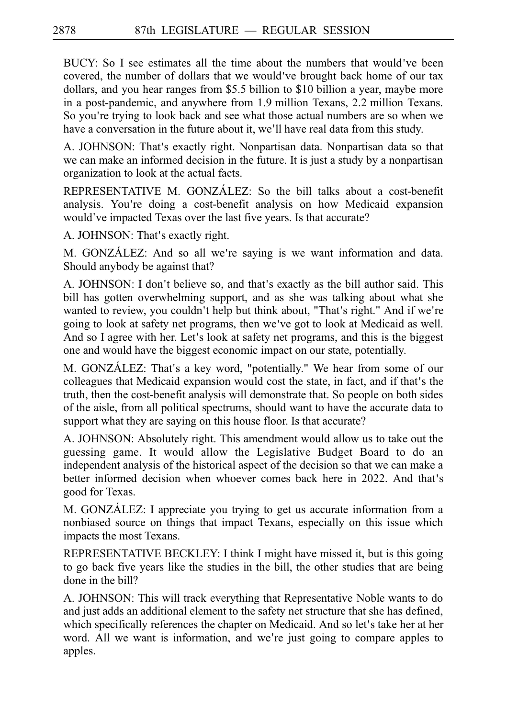BUCY: So I see estimates all the time about the numbers that would've been covered, the number of dollars that we would've brought back home of our tax dollars, and you hear ranges from \$5.5 billion to \$10 billion a year, maybe more in a post-pandemic, and anywhere from 1.9 million Texans, 2.2 million Texans. So you're trying to look back and see what those actual numbers are so when we have a conversation in the future about it, we'll have real data from this study.

A. JOHNSON: That's exactly right. Nonpartisan data. Nonpartisan data so that we can make an informed decision in the future. It is just a study by a nonpartisan organization to look at the actual facts.

REPRESENTATIVE M. GONZÁLEZ: So the bill talks about a cost-benefit analysis. You're doing a cost-benefit analysis on how Medicaid expansion would've impacted Texas over the last five years. Is that accurate?

A. JOHNSON: That's exactly right.

M. GONZÁLEZ: And so all we're saying is we want information and data. Should anybody be against that?

A. JOHNSON: I don't believe so, and that's exactly as the bill author said. This bill has gotten overwhelming support, and as she was talking about what she wanted to review, you couldn't help but think about, "That's right." And if we're going to look at safety net programs, then we ve got to look at Medicaid as well. ' And so I agree with her. Let's look at safety net programs, and this is the biggest one and would have the biggest economic impact on our state, potentially.

M. GONZÁLEZ: That's a key word, "potentially." We hear from some of our colleagues that Medicaid expansion would cost the state, in fact, and if that's the truth, then the cost-benefit analysis will demonstrate that. So people on both sides of the aisle, from all political spectrums, should want to have the accurate data to support what they are saying on this house floor. Is that accurate?

A. JOHNSON: Absolutely right. This amendment would allow us to take out the guessing game. It would allow the Legislative Budget Board to do an independent analysis of the historical aspect of the decision so that we can make a better informed decision when whoever comes back here in 2022. And that's good for Texas.

M. GONZÁLEZ: I appreciate you trying to get us accurate information from a nonbiased source on things that impact Texans, especially on this issue which impacts the most Texans.

REPRESENTATIVE BECKLEY: I think I might have missed it, but is this going to go back five years like the studies in the bill, the other studies that are being done in the bill?

A. JOHNSON: This will track everything that Representative Noble wants to do and just adds an additional element to the safety net structure that she has defined, which specifically references the chapter on Medicaid. And so let's take her at her word. All we want is information, and we're just going to compare apples to apples.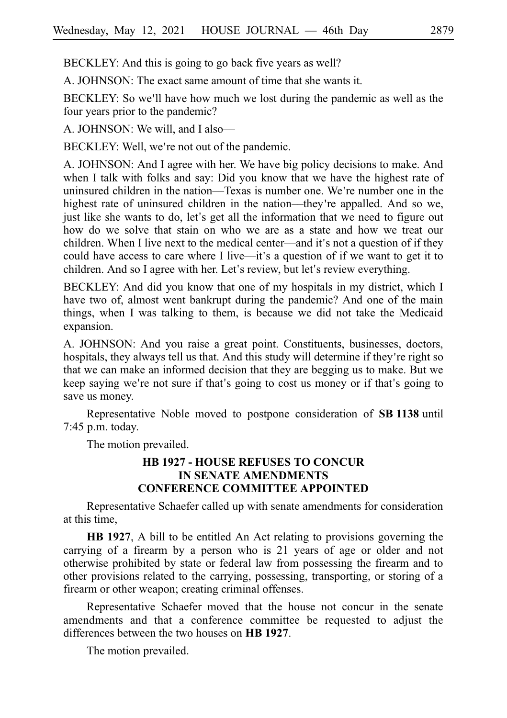BECKLEY: And this is going to go back five years as well?

A. JOHNSON: The exact same amount of time that she wants it.

BECKLEY: So we'll have how much we lost during the pandemic as well as the four years prior to the pandemic?

A. JOHNSON: We will, and I also—

BECKLEY: Well, we're not out of the pandemic.

A. JOHNSON: And I agree with her. We have big policy decisions to make. And when I talk with folks and say: Did you know that we have the highest rate of uninsured children in the nation––Texas is number one. We re number one in the ' highest rate of uninsured children in the nation—they're appalled. And so we, just like she wants to do, let's get all the information that we need to figure out how do we solve that stain on who we are as a state and how we treat our children. When I live next to the medical center—and it's not a question of if they could have access to care where I live—it's a question of if we want to get it to children. And so I agree with her. Let's review, but let's review everything.

BECKLEY: And did you know that one of my hospitals in my district, which I have two of, almost went bankrupt during the pandemic? And one of the main things, when I was talking to them, is because we did not take the Medicaid expansion.

A. JOHNSON: And you raise a great point. Constituents, businesses, doctors, hospitals, they always tell us that. And this study will determine if they're right so that we can make an informed decision that they are begging us to make. But we keep saying we're not sure if that's going to cost us money or if that's going to save us money.

Representative Noble moved to postpone consideration of **SB 1138** until  $7:45$  p.m. today.

The motion prevailed.

### **HB 1927 - HOUSE REFUSES TO CONCUR IN SENATE AMENDMENTS CONFERENCE COMMITTEE APPOINTED**

Representative Schaefer called up with senate amendments for consideration at this time,

**HB 1927**, A bill to be entitled An Act relating to provisions governing the carrying of a firearm by a person who is 21 years of age or older and not otherwise prohibited by state or federal law from possessing the firearm and to other provisions related to the carrying, possessing, transporting, or storing of a firearm or other weapon; creating criminal offenses.

Representative Schaefer moved that the house not concur in the senate amendments and that a conference committee be requested to adjust the differences between the two houses on **HB 1927**.

The motion prevailed.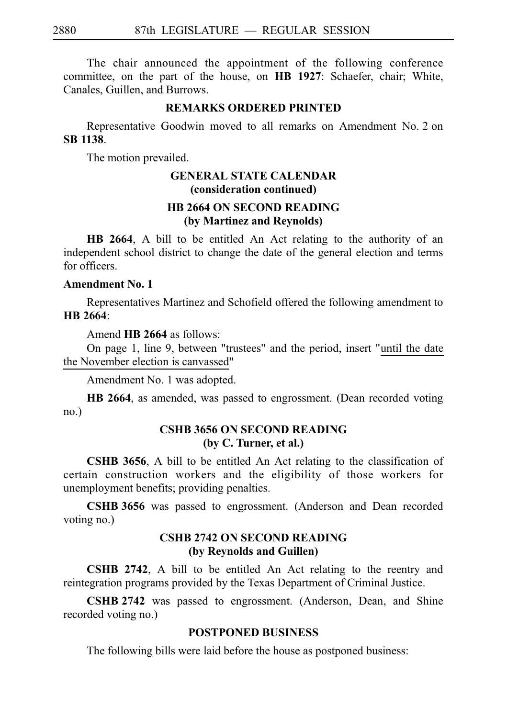The chair announced the appointment of the following conference committee, on the part of the house, on **HB 1927**: Schaefer, chair; White, Canales, Guillen, and Burrows.

#### **REMARKS ORDERED PRINTED**

Representative Goodwin moved to all remarks on Amendment No. 2 on **SBi1138**.

The motion prevailed.

# **GENERAL STATE CALENDAR (consideration continued) HB 2664 ON SECOND READING (by Martinez and Reynolds)**

**HB 2664**, A bill to be entitled An Act relating to the authority of an independent school district to change the date of the general election and terms for officers.

#### **Amendment No. 1**

Representatives Martinez and Schofield offered the following amendment to **HBi2664**:

Amend **HB** 2664 as follows:

On page 1, line 9, between "trustees" and the period, insert "until the date the November election is canvassed"

Amendment No. 1 was adopted.

**HB 2664**, as amended, was passed to engrossment. (Dean recorded voting no.)

## **CSHB 3656 ON SECOND READING (by C. Turner, et al.)**

**CSHB 3656**, A bill to be entitled An Act relating to the classification of certain construction workers and the eligibility of those workers for unemployment benefits; providing penalties.

CSHB 3656 was passed to engrossment. (Anderson and Dean recorded voting no.)

## **CSHB 2742 ON SECOND READING (by Reynolds and Guillen)**

**CSHB 2742**, A bill to be entitled An Act relating to the reentry and reintegration programs provided by the Texas Department of Criminal Justice.

**CSHB 2742** was passed to engrossment. (Anderson, Dean, and Shine recorded voting no.)

### **POSTPONED BUSINESS**

The following bills were laid before the house as postponed business: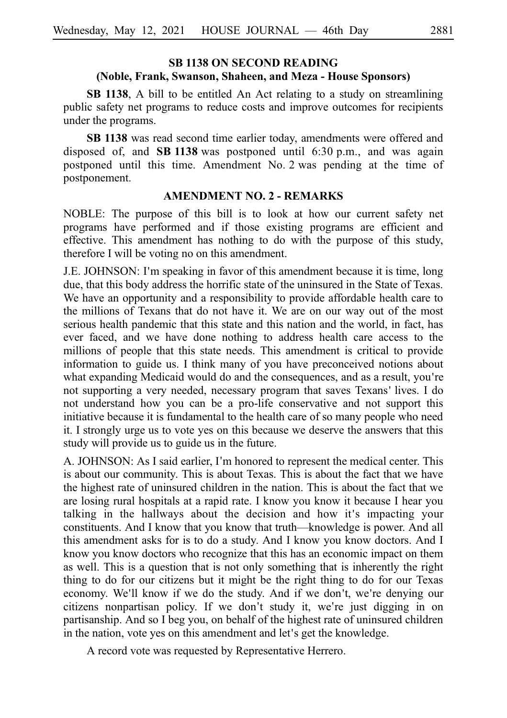## **SB 1138 ON SECOND READING (Noble, Frank, Swanson, Shaheen, and Meza - House Sponsors)**

**SB 1138**, A bill to be entitled An Act relating to a study on streamlining public safety net programs to reduce costs and improve outcomes for recipients under the programs.

**SB 1138** was read second time earlier today, amendments were offered and disposed of, and **SB 1138** was postponed until  $6:30$  p.m., and was again postponed until this time. Amendment No. 2 was pending at the time of postponement.

#### **AMENDMENT NO. 2 - REMARKS**

NOBLE: The purpose of this bill is to look at how our current safety net programs have performed and if those existing programs are efficient and effective. This amendment has nothing to do with the purpose of this study, therefore I will be voting no on this amendment.

J.E. JOHNSON: I m speaking in favor of this amendment because it is time, long ' due, that this body address the horrific state of the uninsured in the State of Texas. We have an opportunity and a responsibility to provide affordable health care to the millions of Texans that do not have it. We are on our way out of the most serious health pandemic that this state and this nation and the world, in fact, has ever faced, and we have done nothing to address health care access to the millions of people that this state needs. This amendment is critical to provide information to guide us. I think many of you have preconceived notions about what expanding Medicaid would do and the consequences, and as a result, you're not supporting a very needed, necessary program that saves Texans' lives. I do not understand how you can be a pro-life conservative and not support this initiative because it is fundamental to the health care of so many people who need it. I strongly urge us to vote yes on this because we deserve the answers that this study will provide us to guide us in the future.

A. JOHNSON: As I said earlier, I m honored to represent the medical center. This ' is about our community. This is about Texas. This is about the fact that we have the highest rate of uninsured children in the nation. This is about the fact that we are losing rural hospitals at a rapid rate. I know you know it because I hear you talking in the hallways about the decision and how it's impacting your constituents. And I know that you know that truth––knowledge is power. And all this amendment asks for is to do a study. And I know you know doctors. And I know you know doctors who recognize that this has an economic impact on them as well. This is a question that is not only something that is inherently the right thing to do for our citizens but it might be the right thing to do for our Texas economy. We'll know if we do the study. And if we don't, we're denying our citizens nonpartisan policy. If we don't study it, we're just digging in on partisanship. And so I beg you, on behalf of the highest rate of uninsured children in the nation, vote yes on this amendment and let's get the knowledge.

A record vote was requested by Representative Herrero.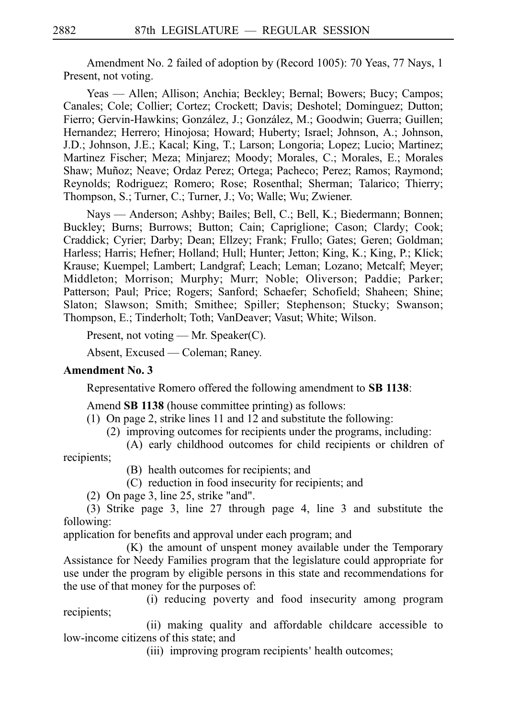Amendment No. 2 failed of adoption by (Record 1005): 70 Yeas, 77 Nays, 1 Present, not voting.

Yeas — Allen; Allison; Anchia; Beckley; Bernal; Bowers; Bucy; Campos; Canales; Cole; Collier; Cortez; Crockett; Davis; Deshotel; Dominguez; Dutton; Fierro; Gervin-Hawkins; González, J.; González, M.; Goodwin; Guerra; Guillen; Hernandez; Herrero; Hinojosa; Howard; Huberty; Israel; Johnson, A.; Johnson, J.D.; Johnson, J.E.; Kacal; King, T.; Larson; Longoria; Lopez; Lucio; Martinez; Martinez Fischer; Meza; Minjarez; Moody; Morales, C.; Morales, E.; Morales Shaw; Muñoz; Neave; Ordaz Perez; Ortega; Pacheco; Perez; Ramos; Raymond; Reynolds; Rodriguez; Romero; Rose; Rosenthal; Sherman; Talarico; Thierry; Thompson, S.; Turner, C.; Turner, J.; Vo; Walle; Wu; Zwiener.

Nays — Anderson; Ashby; Bailes; Bell, C.; Bell, K.; Biedermann; Bonnen; Buckley; Burns; Burrows; Button; Cain; Capriglione; Cason; Clardy; Cook; Craddick; Cyrier; Darby; Dean; Ellzey; Frank; Frullo; Gates; Geren; Goldman; Harless; Harris; Hefner; Holland; Hull; Hunter; Jetton; King, K.; King, P.; Klick; Krause; Kuempel; Lambert; Landgraf; Leach; Leman; Lozano; Metcalf; Meyer; Middleton; Morrison; Murphy; Murr; Noble; Oliverson; Paddie; Parker; Patterson; Paul; Price; Rogers; Sanford; Schaefer; Schofield; Shaheen; Shine; Slaton; Slawson; Smith; Smithee; Spiller; Stephenson; Stucky; Swanson; Thompson, E.; Tinderholt; Toth; VanDeaver; Vasut; White; Wilson.

Present, not voting — Mr. Speaker(C).

Absent, Excused — Coleman; Raney.

#### **Amendment No. 3**

Representative Romero offered the following amendment to **SB 1138**:

Amend **SB 1138** (house committee printing) as follows:

- (1) On page 2, strike lines 11 and 12 and substitute the following:
	- $(2)$  improving outcomes for recipients under the programs, including:
- (A) early childhood outcomes for child recipients or children of recipients;
	- (B) health outcomes for recipients; and
	- $(C)$  reduction in food insecurity for recipients; and
	- (2) On page 3, line 25, strike "and".

(3) Strike page 3, line 27 through page 4, line 3 and substitute the following:

application for benefits and approval under each program; and

 $(K)$  the amount of unspent money available under the Temporary Assistance for Needy Families program that the legislature could appropriate for use under the program by eligible persons in this state and recommendations for the use of that money for the purposes of:

(i) reducing poverty and food insecurity among program recipients;

(ii) making quality and affordable childcare accessible to low-income citizens of this state; and

(iii) improving program recipients' health outcomes;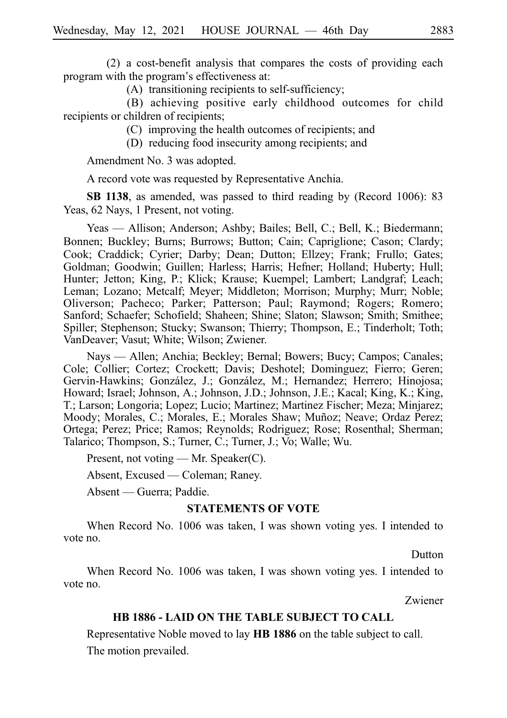$(2)$  a cost-benefit analysis that compares the costs of providing each program with the program's effectiveness at:

 $(A)$  transitioning recipients to self-sufficiency;

(B) achieving positive early childhood outcomes for child recipients or children of recipients;

(C) improving the health outcomes of recipients; and

(D) reducing food insecurity among recipients; and

Amendment No. 3 was adopted.

A record vote was requested by Representative Anchia.

**SB 1138**, as amended, was passed to third reading by (Record 1006): 83 Yeas, 62 Nays, 1 Present, not voting.

Yeas — Allison; Anderson; Ashby; Bailes; Bell, C.; Bell, K.; Biedermann; Bonnen; Buckley; Burns; Burrows; Button; Cain; Capriglione; Cason; Clardy; Cook; Craddick; Cyrier; Darby; Dean; Dutton; Ellzey; Frank; Frullo; Gates; Goldman; Goodwin; Guillen; Harless; Harris; Hefner; Holland; Huberty; Hull; Hunter; Jetton; King, P.; Klick; Krause; Kuempel; Lambert; Landgraf; Leach; Leman; Lozano; Metcalf; Meyer; Middleton; Morrison; Murphy; Murr; Noble; Oliverson; Pacheco; Parker; Patterson; Paul; Raymond; Rogers; Romero; Sanford; Schaefer; Schofield; Shaheen; Shine; Slaton; Slawson; Smith; Smithee; Spiller; Stephenson; Stucky; Swanson; Thierry; Thompson, E.; Tinderholt; Toth; VanDeaver; Vasut; White; Wilson; Zwiener.

Nays — Allen; Anchia; Beckley; Bernal; Bowers; Bucy; Campos; Canales; Cole; Collier; Cortez; Crockett; Davis; Deshotel; Dominguez; Fierro; Geren; Gervin-Hawkins; González, J.; González, M.; Hernandez; Herrero; Hinojosa; Howard; Israel; Johnson, A.; Johnson, J.D.; Johnson, J.E.; Kacal; King, K.; King, T.; Larson; Longoria; Lopez; Lucio; Martinez; Martinez Fischer; Meza; Minjarez; Moody; Morales, C.; Morales, E.; Morales Shaw; Muñoz; Neave; Ordaz Perez; Ortega; Perez; Price; Ramos; Reynolds; Rodriguez; Rose; Rosenthal; Sherman; Talarico; Thompson, S.; Turner, C.; Turner, J.; Vo; Walle; Wu.

Present, not voting — Mr. Speaker(C).

Absent, Excused — Coleman; Raney.

Absent — Guerra; Paddie.

#### **STATEMENTS OF VOTE**

When Record No. 1006 was taken, I was shown voting yes. I intended to vote no.

Dutton

When Record No. 1006 was taken, I was shown voting yes. I intended to vote no.

Zwiener

#### **HB 1886 - LAID ON THE TABLE SUBJECT TO CALL**

Representative Noble moved to lay **HBi1886** on the table subject to call. The motion prevailed.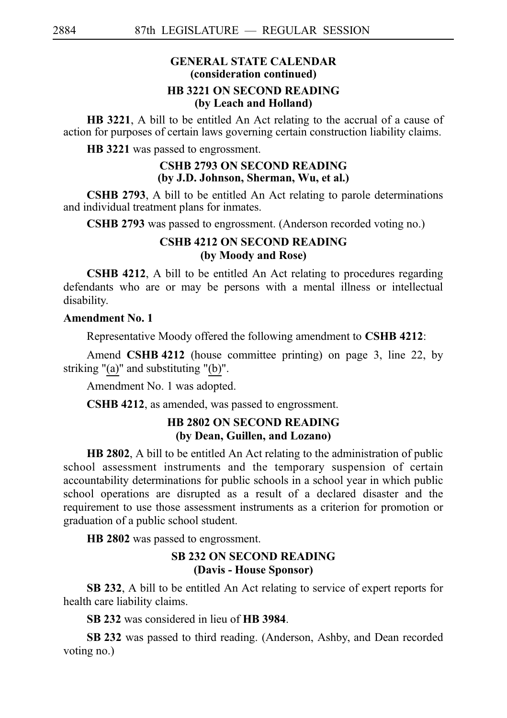# **GENERAL STATE CALENDAR (consideration continued)**

### **HB 3221 ON SECOND READING (by Leach and Holland)**

**HB 3221**, A bill to be entitled An Act relating to the accrual of a cause of action for purposes of certain laws governing certain construction liability claims.

HB 3221 was passed to engrossment.

### **CSHB 2793 ON SECOND READING (by J.D. Johnson, Sherman, Wu, et al.)**

**CSHB 2793**, A bill to be entitled An Act relating to parole determinations and individual treatment plans for inmates.

**CSHB 2793** was passed to engrossment. (Anderson recorded voting no.)

# **CSHB 4212 ON SECOND READING (by Moody and Rose)**

**CSHB 4212**, A bill to be entitled An Act relating to procedures regarding defendants who are or may be persons with a mental illness or intellectual disability.

### **Amendment No. 1**

Representative Moody offered the following amendment to **CSHB 4212**:

Amend **CSHB 4212** (house committee printing) on page 3, line 22, by striking "(a)" and substituting "(b)".

Amendment No. 1 was adopted.

**CSHB 4212**, as amended, was passed to engrossment.

## **HB 2802 ON SECOND READING (by Dean, Guillen, and Lozano)**

**HB 2802**, A bill to be entitled An Act relating to the administration of public school assessment instruments and the temporary suspension of certain accountability determinations for public schools in a school year in which public school operations are disrupted as a result of a declared disaster and the requirement to use those assessment instruments as a criterion for promotion or graduation of a public school student.

**HB** 2802 was passed to engrossment.

## **SB 232 ON SECOND READING (Davis - House Sponsor)**

**SB 232**, A bill to be entitled An Act relating to service of expert reports for health care liability claims.

**SB 232** was considered in lieu of **HB 3984**.

SB 232 was passed to third reading. (Anderson, Ashby, and Dean recorded voting no.)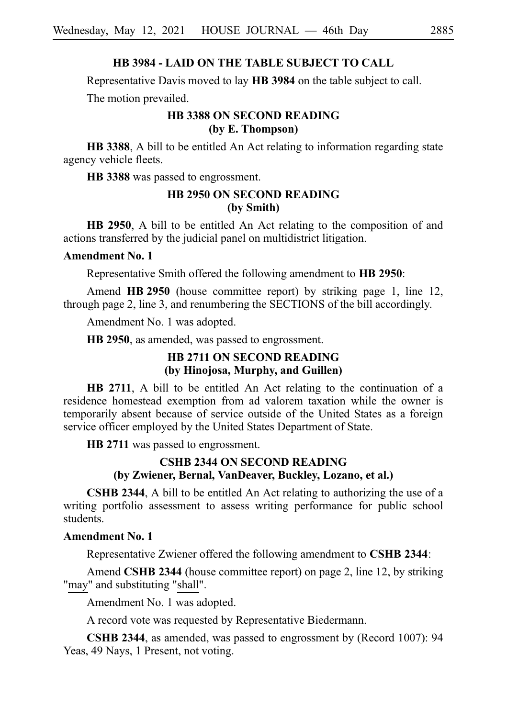### **HB 3984 - LAID ON THE TABLE SUBJECT TO CALL**

Representative Davis moved to lay **HB 3984** on the table subject to call.

The motion prevailed.

## **HB 3388 ON SECOND READING (by E. Thompson)**

**HB 3388**, A bill to be entitled An Act relating to information regarding state agency vehicle fleets.

**HB** 3388 was passed to engrossment.

### **HB 2950 ON SECOND READING (by Smith)**

**HB 2950**, A bill to be entitled An Act relating to the composition of and actions transferred by the judicial panel on multidistrict litigation.

#### **Amendment No. 1**

Representative Smith offered the following amendment to **HBi2950**:

Amend HB 2950 (house committee report) by striking page 1, line 12, through page 2, line 3, and renumbering the SECTIONS of the bill accordingly.

Amendment No. 1 was adopted.

**HB 2950**, as amended, was passed to engrossment.

## **HB 2711 ON SECOND READING (by Hinojosa, Murphy, and Guillen)**

**HB 2711**, A bill to be entitled An Act relating to the continuation of a residence homestead exemption from ad valorem taxation while the owner is temporarily absent because of service outside of the United States as a foreign service officer employed by the United States Department of State.

**HB** 2711 was passed to engrossment.

## **CSHB 2344 ON SECOND READING (by Zwiener, Bernal, VanDeaver, Buckley, Lozano, et al.)**

**CSHB 2344**, A bill to be entitled An Act relating to authorizing the use of a writing portfolio assessment to assess writing performance for public school students.

#### **Amendment No. 1**

Representative Zwiener offered the following amendment to **CSHB 2344**:

Amend **CSHB 2344** (house committee report) on page 2, line 12, by striking "may" and substituting "shall".

Amendment No. 1 was adopted.

A record vote was requested by Representative Biedermann.

**CSHB 2344**, as amended, was passed to engrossment by (Record 1007): 94 Yeas, 49 Nays, 1 Present, not voting.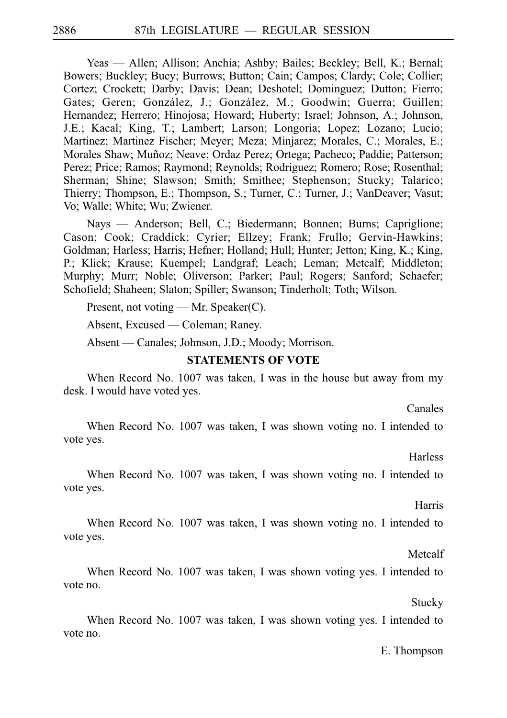Yeas — Allen; Allison; Anchia; Ashby; Bailes; Beckley; Bell, K.; Bernal; Bowers; Buckley; Bucy; Burrows; Button; Cain; Campos; Clardy; Cole; Collier; Cortez; Crockett; Darby; Davis; Dean; Deshotel; Dominguez; Dutton; Fierro; Gates; Geren; González, J.; González, M.; Goodwin; Guerra; Guillen; Hernandez; Herrero; Hinojosa; Howard; Huberty; Israel; Johnson, A.; Johnson, J.E.; Kacal; King, T.; Lambert; Larson; Longoria; Lopez; Lozano; Lucio; Martinez; Martinez Fischer; Meyer; Meza; Minjarez; Morales, C.; Morales, E.; Morales Shaw; Muñoz; Neave; Ordaz Perez; Ortega; Pacheco; Paddie; Patterson; Perez; Price; Ramos; Raymond; Reynolds; Rodriguez; Romero; Rose; Rosenthal; Sherman; Shine; Slawson; Smith; Smithee; Stephenson; Stucky; Talarico; Thierry; Thompson, E.; Thompson, S.; Turner, C.; Turner, J.; VanDeaver; Vasut; Vo; Walle; White; Wu; Zwiener.

Nays — Anderson; Bell, C.; Biedermann; Bonnen; Burns; Capriglione; Cason; Cook; Craddick; Cyrier; Ellzey; Frank; Frullo; Gervin-Hawkins; Goldman; Harless; Harris; Hefner; Holland; Hull; Hunter; Jetton; King, K.; King, P.; Klick; Krause; Kuempel; Landgraf; Leach; Leman; Metcalf; Middleton; Murphy; Murr; Noble; Oliverson; Parker; Paul; Rogers; Sanford; Schaefer; Schofield; Shaheen; Slaton; Spiller; Swanson; Tinderholt; Toth; Wilson.

Present, not voting — Mr. Speaker(C).

Absent, Excused — Coleman; Raney.

Absent — Canales; Johnson, J.D.; Moody; Morrison.

#### **STATEMENTS OF VOTE**

When Record No. 1007 was taken, I was in the house but away from my desk. I would have voted yes.

Canales

When Record No. 1007 was taken, I was shown voting no. I intended to vote yes.

**Harless** 

When Record No. 1007 was taken, I was shown voting no. I intended to vote yes.

Harris

When Record No. 1007 was taken, I was shown voting no. I intended to vote yes.

## Metcalf

When Record No. 1007 was taken, I was shown voting yes. I intended to vote no.

Stucky

When Record No. 1007 was taken, I was shown voting yes. I intended to vote no.

#### E. Thompson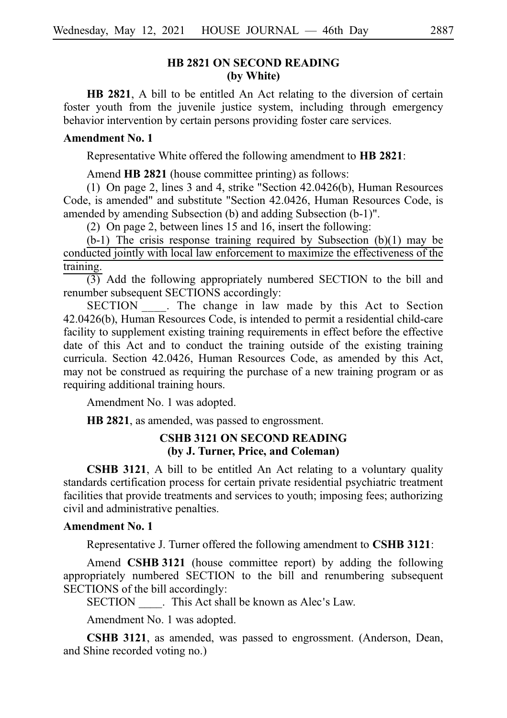## **HB 2821 ON SECOND READING (by White)**

**HB 2821**, A bill to be entitled An Act relating to the diversion of certain foster youth from the juvenile justice system, including through emergency behavior intervention by certain persons providing foster care services.

#### **Amendment No. 1**

Representative White offered the following amendment to **HB 2821**:

Amend **HB 2821** (house committee printing) as follows:

(1) On page 2, lines 3 and 4, strike "Section  $42.0426(b)$ , Human Resources Code, is amended" and substitute "Section 42.0426, Human Resources Code, is amended by amending Subsection (b) and adding Subsection (b-1)".

(2) On page 2, between lines  $15$  and 16, insert the following:

 $(b-1)$  The crisis response training required by Subsection  $(b)(1)$  may be conducted jointly with local law enforcement to maximize the effectiveness of the training.

 $\overline{(3)}$  Add the following appropriately numbered SECTION to the bill and renumber subsequent SECTIONS accordingly:

SECTION \_\_\_\_\_. The change in law made by this Act to Section 42.0426(b), Human Resources Code, is intended to permit a residential child-care facility to supplement existing training requirements in effect before the effective date of this Act and to conduct the training outside of the existing training curricula. Section 42.0426, Human Resources Code, as amended by this Act, may not be construed as requiring the purchase of a new training program or as requiring additional training hours.

Amendment No. 1 was adopted.

**HB 2821**, as amended, was passed to engrossment.

## **CSHB 3121 ON SECOND READING (by J. Turner, Price, and Coleman)**

**CSHB 3121**, A bill to be entitled An Act relating to a voluntary quality standards certification process for certain private residential psychiatric treatment facilities that provide treatments and services to youth; imposing fees; authorizing civil and administrative penalties.

#### **Amendment No. 1**

Representative J. Turner offered the following amendment to **CSHBi3121**:

Amend **CSHB 3121** (house committee report) by adding the following appropriately numbered SECTION to the bill and renumbering subsequent SECTIONS of the bill accordingly:

SECTION . This Act shall be known as Alec's Law.

Amendment No. 1 was adopted.

**CSHB 3121**, as amended, was passed to engrossment. (Anderson, Dean, and Shine recorded voting no.)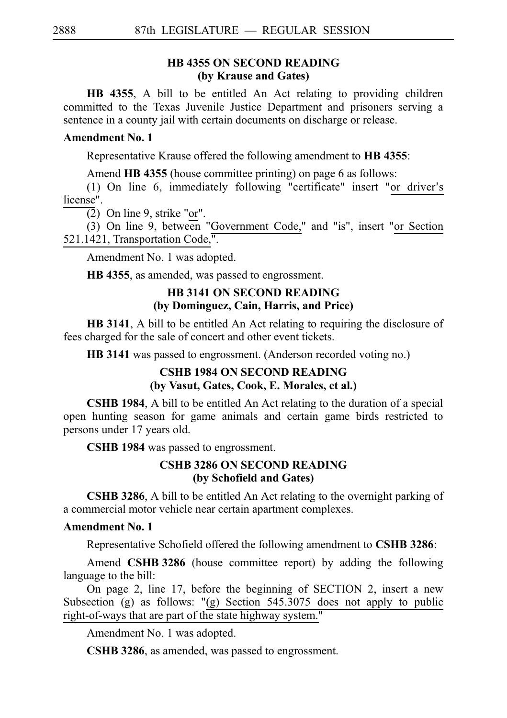## **HB 4355 ON SECOND READING (by Krause and Gates)**

**HB 4355**, A bill to be entitled An Act relating to providing children committed to the Texas Juvenile Justice Department and prisoners serving a sentence in a county jail with certain documents on discharge or release.

## **Amendment No. 1**

Representative Krause offered the following amendment to **HB** 4355:

Amend **HB 4355** (house committee printing) on page 6 as follows:

(1) On line 6, immediately following "certificate" insert "or driver's license".

 $\overline{(2)}$  On line 9, strike "or".

(3) On line 9, between "Government Code," and "is", insert "or Section 521.1421, Transportation Code,".

Amendment No. 1 was adopted.

**HB 4355**, as amended, was passed to engrossment.

### **HB 3141 ON SECOND READING (by Dominguez, Cain, Harris, and Price)**

**HB 3141**, A bill to be entitled An Act relating to requiring the disclosure of fees charged for the sale of concert and other event tickets.

**HB** 3141 was passed to engrossment. (Anderson recorded voting no.)

# **CSHB 1984 ON SECOND READING (by Vasut, Gates, Cook, E. Morales, et al.)**

**CSHB 1984**, A bill to be entitled An Act relating to the duration of a special open hunting season for game animals and certain game birds restricted to persons under 17 years old.

**CSHB 1984** was passed to engrossment.

## **CSHB 3286 ON SECOND READING (by Schofield and Gates)**

**CSHB 3286**, A bill to be entitled An Act relating to the overnight parking of a commercial motor vehicle near certain apartment complexes.

#### **Amendment No. 1**

Representative Schofield offered the following amendment to **CSHB 3286**:

Amend **CSHB 3286** (house committee report) by adding the following language to the bill:

On page 2, line 17, before the beginning of SECTION 2, insert a new Subsection (g) as follows: "(g) Section  $545.3075$  does not apply to public right-of-ways that are part of the state highway system."

Amendment No. 1 was adopted.

**CSHB 3286**, as amended, was passed to engrossment.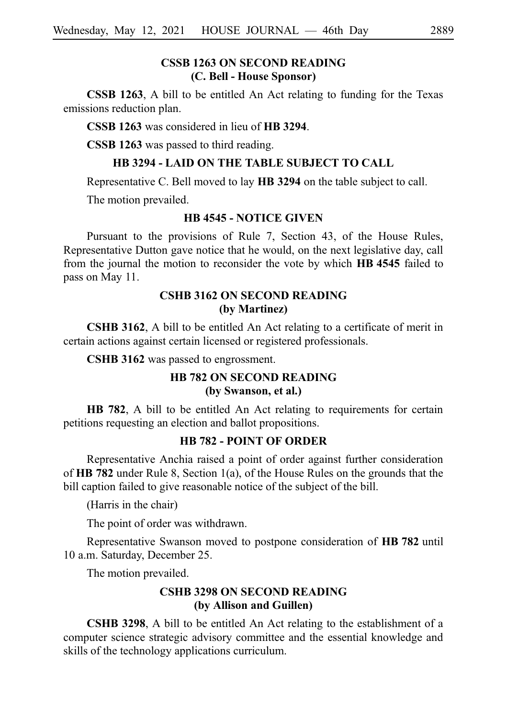## **CSSB 1263 ON SECOND READING (C. Bell - House Sponsor)**

**CSSB 1263**, A bill to be entitled An Act relating to funding for the Texas emissions reduction plan.

**CSSB 1263** was considered in lieu of **HB 3294**.

**CSSBi1263** was passed to third reading.

#### **HB 3294 - LAID ON THE TABLE SUBJECT TO CALL**

Representative C. Bell moved to lay **HBi3294** on the table subject to call.

The motion prevailed.

#### **HB 4545 - NOTICE GIVEN**

Pursuant to the provisions of Rule 7, Section 43, of the House Rules, Representative Dutton gave notice that he would, on the next legislative day, call from the journal the motion to reconsider the vote by which HB 4545 failed to pass on May 11.

# **CSHB 3162 ON SECOND READING (by Martinez)**

**CSHB 3162**, A bill to be entitled An Act relating to a certificate of merit in certain actions against certain licensed or registered professionals.

**CSHB 3162** was passed to engrossment.

# **HB 782 ON SECOND READING (by Swanson, et al.)**

**HB 782**, A bill to be entitled An Act relating to requirements for certain petitions requesting an election and ballot propositions.

#### **HB 782 - POINT OF ORDER**

Representative Anchia raised a point of order against further consideration of **HBi782** under Rule 8, Section 1(a), of the House Rules on the grounds that the bill caption failed to give reasonable notice of the subject of the bill.

(Harris in the chair)

The point of order was withdrawn.

Representative Swanson moved to postpone consideration of **HB** 782 until 10 a.m. Saturday, December 25.

The motion prevailed.

## **CSHB 3298 ON SECOND READING (by Allison and Guillen)**

**CSHB 3298**, A bill to be entitled An Act relating to the establishment of a computer science strategic advisory committee and the essential knowledge and skills of the technology applications curriculum.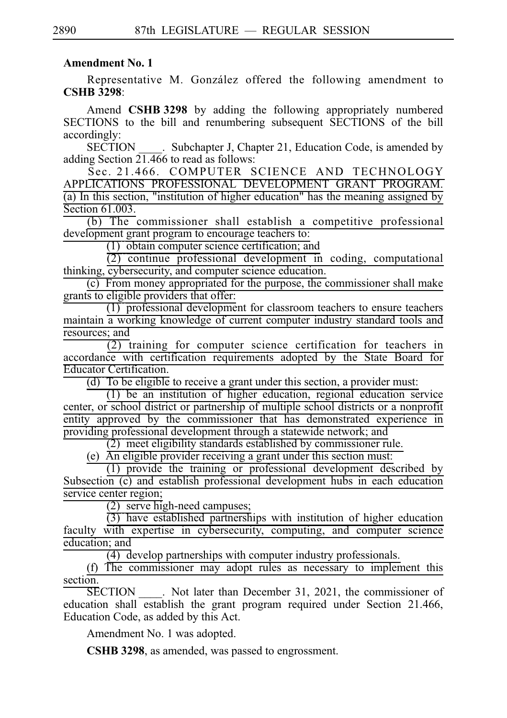#### **Amendment No. 1**

Representative M. González offered the following amendment to **CSHBi3298**:

Amend **CSHB 3298** by adding the following appropriately numbered SECTIONS to the bill and renumbering subsequent SECTIONS of the bill accordingly:

SECTION \_\_\_\_\_. Subchapter J, Chapter 21, Education Code, is amended by adding Section  $21.466$  to read as follows:

Sec. 21.466. COMPUTER SCIENCE AND TECHNOLOGY APPLICATIONS PROFESSIONAL DEVELOPMENT GRANT PROGRAM. (a) In this section, "institution of higher education" has the meaning assigned by Section 61.003.

 $(b)$  The commissioner shall establish a competitive professional development grant program to encourage teachers to:

 $(1)$  obtain computer science certification; and

 $\overline{(2)}$  continue professional development in coding, computational thinking, cybersecurity, and computer science education.

 $(c)$  From money appropriated for the purpose, the commissioner shall make grants to eligible providers that offer:

 $\frac{1}{(1)}$  professional development for classroom teachers to ensure teachers maintain a working knowledge of current computer industry standard tools and resources; and

 $(2)$  training for computer science certification for teachers in accordance with certification requirements adopted by the State Board for Educator Certification.

(d) To be eligible to receive a grant under this section, a provider must:

(1) be an institution of higher education, regional education service center, or school district or partnership of multiple school districts or a nonprofit entity approved by the commissioner that has demonstrated experience in providing professional development through a statewide network; and

 $\overline{c}(2)$  meet eligibility standards established by commissioner rule.

(e)  $\overline{A}$ n eligible provider receiving a grant under this section must:

 $(1)$  provide the training or professional development described by Subsection (c) and establish professional development hubs in each education service center region;

 $(2)$  serve high-need campuses;

 $\overline{(3)}$  have established partnerships with institution of higher education faculty with expertise in cybersecurity, computing, and computer science education; and

 $(4)$  develop partnerships with computer industry professionals.

(f) The commissioner may adopt rules as necessary to implement this section.

SECTION Not later than December 31, 2021, the commissioner of education shall establish the grant program required under Section 21.466, Education Code, as added by this Act.

Amendment No. 1 was adopted.

**CSHB 3298**, as amended, was passed to engrossment.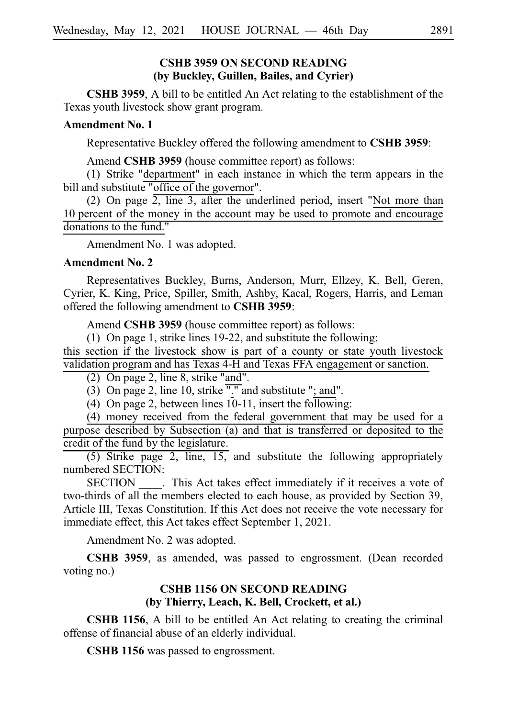## **CSHB 3959 ON SECOND READING (by Buckley, Guillen, Bailes, and Cyrier)**

**CSHB 3959**, A bill to be entitled An Act relating to the establishment of the Texas youth livestock show grant program.

## **Amendment No. 1**

Representative Buckley offered the following amendment to **CSHB 3959**:

Amend **CSHB 3959** (house committee report) as follows:

 $(1)$  Strike "department" in each instance in which the term appears in the bill and substitute "office of the governor".

(2) On page  $\overline{2}$ , line 3, after the underlined period, insert "Not more than 10 percent of the money in the account may be used to promote and encourage donations to the fund."

Amendment No. 1 was adopted.

#### **Amendment No. 2**

Representatives Buckley, Burns, Anderson, Murr, Ellzey, K. Bell, Geren, Cyrier, K. King, Price, Spiller, Smith, Ashby, Kacal, Rogers, Harris, and Leman offered the following amendment to **CSHB 3959**:

Amend **CSHB 3959** (house committee report) as follows:

(1) On page 1, strike lines 19-22, and substitute the following:

this section if the livestock show is part of a county or state youth livestock validation program and has Texas 4-H and Texas FFA engagement or sanction.

 $(2)$  On page 2, line 8, strike "and".

- (3) On page 2, line 10, strike  $\overline{''}$  and substitute "; and".
- (4) On page 2, between lines 10-11, insert the following:

(4) money received from the federal government that may be used for a purpose described by Subsection (a) and that is transferred or deposited to the credit of the fund by the legislature.

 $(5)$  Strike page 2, line, 15, and substitute the following appropriately numbered SECTION:

SECTION This Act takes effect immediately if it receives a vote of two-thirds of all the members elected to each house, as provided by Section 39, Article III, Texas Constitution. If this Act does not receive the vote necessary for immediate effect, this Act takes effect September 1, 2021.

Amendment No. 2 was adopted.

**CSHB 3959**, as amended, was passed to engrossment. (Dean recorded voting no.)

## **CSHB 1156 ON SECOND READING (by Thierry, Leach, K. Bell, Crockett, et al.)**

**CSHB 1156**, A bill to be entitled An Act relating to creating the criminal offense of financial abuse of an elderly individual.

**CSHB 1156** was passed to engrossment.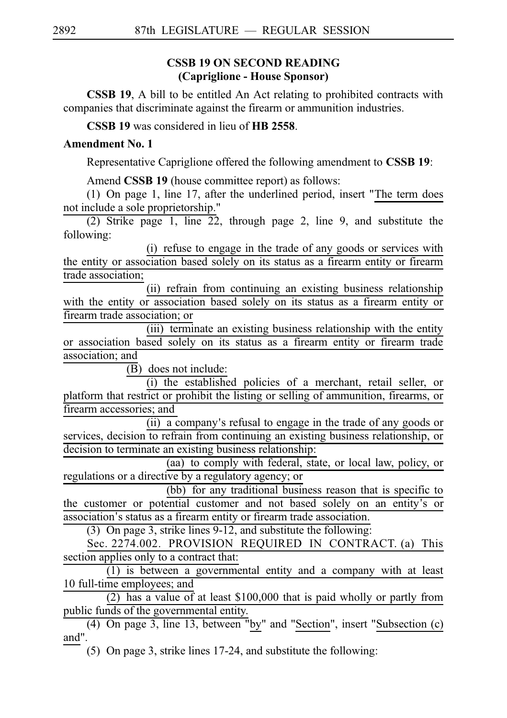## **CSSB 19 ON SECOND READING (Capriglione - House Sponsor)**

**CSSB 19**, A bill to be entitled An Act relating to prohibited contracts with companies that discriminate against the firearm or ammunition industries.

**CSSB 19** was considered in lieu of **HB 2558**.

## **Amendment No. 1**

Representative Capriglione offered the following amendment to **CSSBi19**:

Amend **CSSB 19** (house committee report) as follows:

(1) On page 1, line 17, after the underlined period, insert "The term does not include a sole proprietorship."

(2) Strike page 1, line 22, through page 2, line 9, and substitute the following:

(i) refuse to engage in the trade of any goods or services with the entity or association based solely on its status as a firearm entity or firearm trade association;

(ii) refrain from continuing an existing business relationship with the entity or association based solely on its status as a firearm entity or firearm trade association; or

(iii) terminate an existing business relationship with the entity or association based solely on its status as a firearm entity or firearm trade association; and

(B) does not include:

(i) the established policies of a merchant, retail seller, or platform that restrict or prohibit the listing or selling of ammunition, firearms, or firearm accessories; and

(ii) a company's refusal to engage in the trade of any goods or services, decision to refrain from continuing an existing business relationship, or decision to terminate an existing business relationship:

 $(aa)$  to comply with federal, state, or local law, policy, or regulations or a directive by a regulatory agency; or

(bb) for any traditional business reason that is specific to the customer or potential customer and not based solely on an entity's or association's status as a firearm entity or firearm trade association.

(3) On page 3, strike lines 9-12, and substitute the following:

Sec. 2274.002. PROVISION REQUIRED IN CONTRACT. (a) This section applies only to a contract that:

 $(1)$  is between a governmental entity and a company with at least 10 full-time employees; and

 $(2)$  has a value of at least \$100,000 that is paid wholly or partly from public funds of the governmental entity.

(4) On page 3, line 13, between "by" and "Section", insert "Subsection  $(c)$ and".

 $(5)$  On page 3, strike lines 17-24, and substitute the following: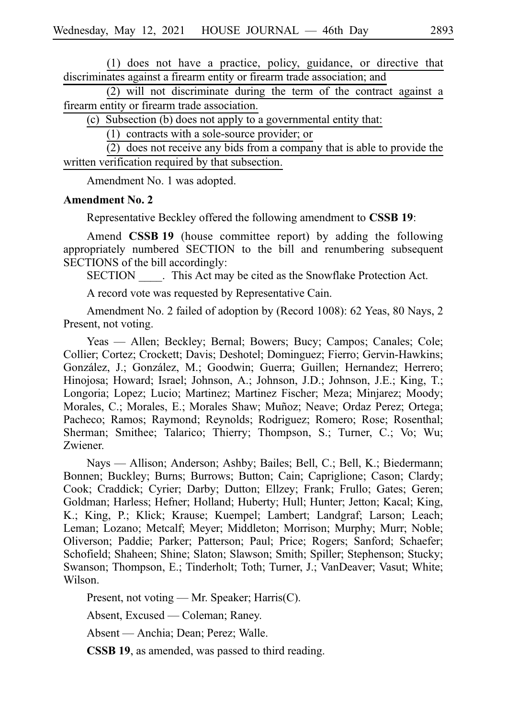$(1)$  does not have a practice, policy, guidance, or directive that discriminates against a firearm entity or firearm trade association; and

 $(2)$  will not discriminate during the term of the contract against a firearm entity or firearm trade association.

(c) Subsection (b) does not apply to a governmental entity that:

 $(1)$  contracts with a sole-source provider; or

 $(2)$  does not receive any bids from a company that is able to provide the written verification required by that subsection.

Amendment No. 1 was adopted.

#### **Amendment No. 2**

Representative Beckley offered the following amendment to **CSSB 19**:

Amend **CSSB<sub>19</sub>** (house committee report) by adding the following appropriately numbered SECTION to the bill and renumbering subsequent SECTIONS of the bill accordingly:

SECTION Fils Act may be cited as the Snowflake Protection Act.

A record vote was requested by Representative Cain.

Amendment No. 2 failed of adoption by (Record 1008): 62 Yeas, 80 Nays, 2 Present, not voting.

Yeas — Allen; Beckley; Bernal; Bowers; Bucy; Campos; Canales; Cole; Collier; Cortez; Crockett; Davis; Deshotel; Dominguez; Fierro; Gervin-Hawkins; González, J.; González, M.; Goodwin; Guerra; Guillen; Hernandez; Herrero; Hinojosa; Howard; Israel; Johnson, A.; Johnson, J.D.; Johnson, J.E.; King, T.; Longoria; Lopez; Lucio; Martinez; Martinez Fischer; Meza; Minjarez; Moody; Morales, C.; Morales, E.; Morales Shaw; Muñoz; Neave; Ordaz Perez; Ortega; Pacheco; Ramos; Raymond; Reynolds; Rodriguez; Romero; Rose; Rosenthal; Sherman; Smithee; Talarico; Thierry; Thompson, S.; Turner, C.; Vo; Wu; Zwiener.

Nays — Allison; Anderson; Ashby; Bailes; Bell, C.; Bell, K.; Biedermann; Bonnen; Buckley; Burns; Burrows; Button; Cain; Capriglione; Cason; Clardy; Cook; Craddick; Cyrier; Darby; Dutton; Ellzey; Frank; Frullo; Gates; Geren; Goldman; Harless; Hefner; Holland; Huberty; Hull; Hunter; Jetton; Kacal; King, K.; King, P.; Klick; Krause; Kuempel; Lambert; Landgraf; Larson; Leach; Leman; Lozano; Metcalf; Meyer; Middleton; Morrison; Murphy; Murr; Noble; Oliverson; Paddie; Parker; Patterson; Paul; Price; Rogers; Sanford; Schaefer; Schofield; Shaheen; Shine; Slaton; Slawson; Smith; Spiller; Stephenson; Stucky; Swanson; Thompson, E.; Tinderholt; Toth; Turner, J.; VanDeaver; Vasut; White; Wilson.

Present, not voting — Mr. Speaker; Harris(C).

Absent, Excused — Coleman; Raney.

Absent — Anchia; Dean; Perez; Walle.

**CSSB 19**, as amended, was passed to third reading.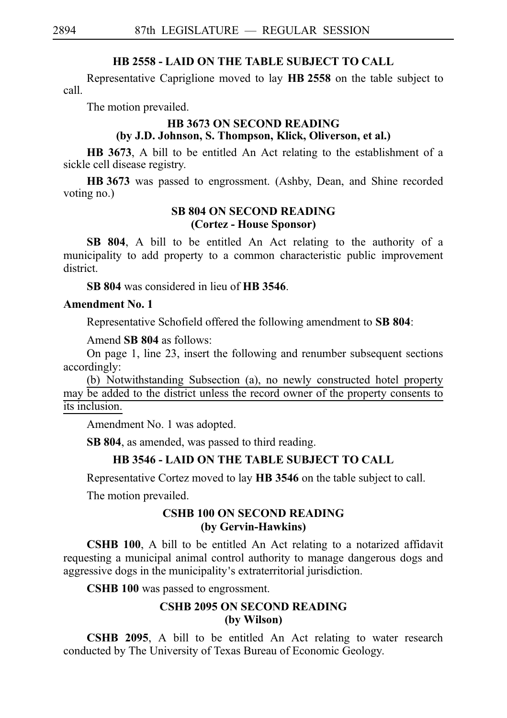# **HB 2558 - LAID ON THE TABLE SUBJECT TO CALL**

Representative Capriglione moved to lay **HB 2558** on the table subject to call.

The motion prevailed.

## **HB 3673 ON SECOND READING (by J.D. Johnson, S. Thompson, Klick, Oliverson, et al.)**

**HB 3673**, A bill to be entitled An Act relating to the establishment of a sickle cell disease registry.

**HB** 3673 was passed to engrossment. (Ashby, Dean, and Shine recorded voting no.)

## **SB 804 ON SECOND READING (Cortez - House Sponsor)**

**SB 804**, A bill to be entitled An Act relating to the authority of a municipality to add property to a common characteristic public improvement district.

**SB 804** was considered in lieu of **HB 3546**.

#### **Amendment No. 1**

Representative Schofield offered the following amendment to **SB 804**:

Amend **SB 804** as follows:

On page 1, line 23, insert the following and renumber subsequent sections accordingly:

(b) Notwithstanding Subsection (a), no newly constructed hotel property may be added to the district unless the record owner of the property consents to its inclusion.

Amendment No. 1 was adopted.

**SB 804**, as amended, was passed to third reading.

### **HB 3546 - LAID ON THE TABLE SUBJECT TO CALL**

Representative Cortez moved to lay **HB 3546** on the table subject to call.

The motion prevailed.

## **CSHB 100 ON SECOND READING (by Gervin-Hawkins)**

**CSHB 100**, A bill to be entitled An Act relating to a notarized affidavit requesting a municipal animal control authority to manage dangerous dogs and aggressive dogs in the municipality's extraterritorial jurisdiction.

**CSHB 100** was passed to engrossment.

# **CSHB 2095 ON SECOND READING (by Wilson)**

**CSHB 2095**, A bill to be entitled An Act relating to water research conducted by The University of Texas Bureau of Economic Geology.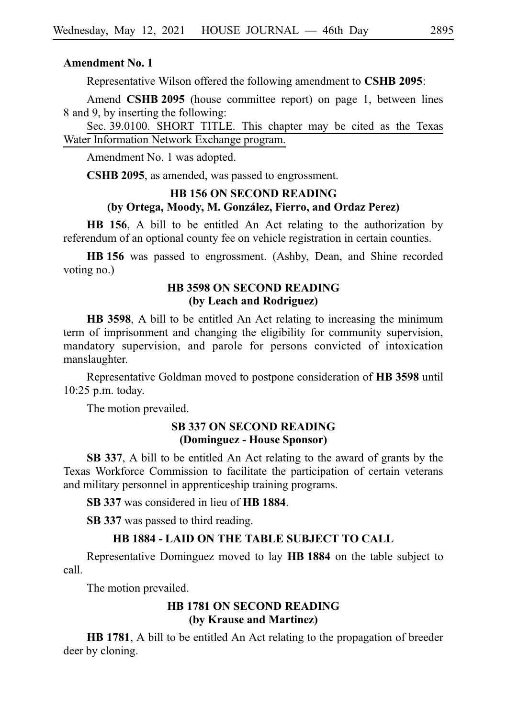#### **Amendment No. 1**

Representative Wilson offered the following amendment to **CSHB 2095**:

Amend **CSHB 2095** (house committee report) on page 1, between lines 8 and 9, by inserting the following:

Sec. 39.0100. SHORT TITLE. This chapter may be cited as the Texas Water Information Network Exchange program.

Amendment No. 1 was adopted.

**CSHB 2095**, as amended, was passed to engrossment.

## **HB 156 ON SECOND READING (by Ortega, Moody, M. Gonza´lez, Fierro, and Ordaz Perez)**

**HB 156**, A bill to be entitled An Act relating to the authorization by referendum of an optional county fee on vehicle registration in certain counties.

HB 156 was passed to engrossment. (Ashby, Dean, and Shine recorded voting no.)

## **HB 3598 ON SECOND READING (by Leach and Rodriguez)**

**HB 3598**, A bill to be entitled An Act relating to increasing the minimum term of imprisonment and changing the eligibility for community supervision, mandatory supervision, and parole for persons convicted of intoxication manslaughter.

Representative Goldman moved to postpone consideration of **HB 3598** until 10:25 p.m. today.

The motion prevailed.

#### **SB 337 ON SECOND READING (Dominguez - House Sponsor)**

**SB 337**, A bill to be entitled An Act relating to the award of grants by the Texas Workforce Commission to facilitate the participation of certain veterans and military personnel in apprenticeship training programs.

**SB 337** was considered in lieu of **HB 1884**.

**SB 337** was passed to third reading.

#### **HB 1884 - LAID ON THE TABLE SUBJECT TO CALL**

Representative Dominguez moved to lay **HBi1884** on the table subject to call.

The motion prevailed.

#### **HB 1781 ON SECOND READING (by Krause and Martinez)**

**HB 1781**, A bill to be entitled An Act relating to the propagation of breeder deer by cloning.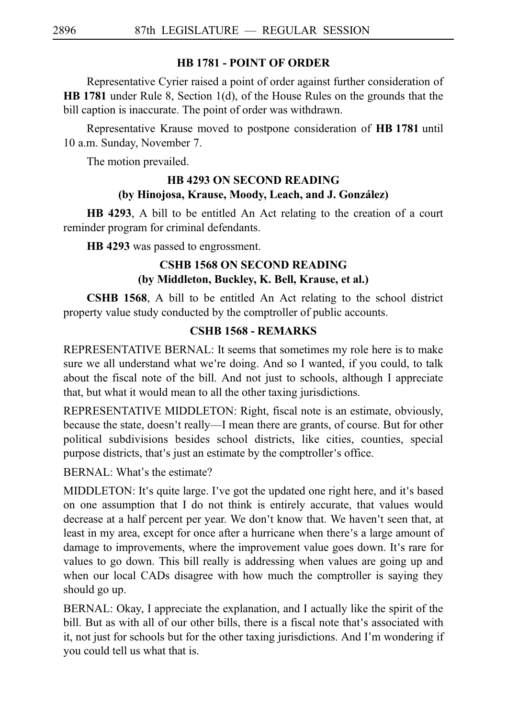### **HB 1781 - POINT OF ORDER**

Representative Cyrier raised a point of order against further consideration of **HBi1781** under Rule 8, Section 1(d), of the House Rules on the grounds that the bill caption is inaccurate. The point of order was withdrawn.

Representative Krause moved to postpone consideration of **HB 1781** until 10 a.m. Sunday, November 7.

The motion prevailed.

# **HB 4293 ON SECOND READING (by Hinojosa, Krause, Moody, Leach, and J. Gonza´lez)**

**HB 4293**, A bill to be entitled An Act relating to the creation of a court reminder program for criminal defendants.

**HB** 4293 was passed to engrossment.

## **CSHB 1568 ON SECOND READING (by Middleton, Buckley, K. Bell, Krause, et al.)**

**CSHB 1568**, A bill to be entitled An Act relating to the school district property value study conducted by the comptroller of public accounts.

# **CSHB 1568 - REMARKS**

REPRESENTATIVE BERNAL: It seems that sometimes my role here is to make sure we all understand what we're doing. And so I wanted, if you could, to talk about the fiscal note of the bill. And not just to schools, although I appreciate that, but what it would mean to all the other taxing jurisdictions.

REPRESENTATIVE MIDDLETON: Right, fiscal note is an estimate, obviously, because the state, doesn't really--I mean there are grants, of course. But for other political subdivisions besides school districts, like cities, counties, special purpose districts, that's just an estimate by the comptroller's office.

BERNAL: What's the estimate?

MIDDLETON: It's quite large. I've got the updated one right here, and it's based on one assumption that I do not think is entirely accurate, that values would decrease at a half percent per year. We don't know that. We haven't seen that, at least in my area, except for once after a hurricane when there's a large amount of damage to improvements, where the improvement value goes down. It's rare for values to go down. This bill really is addressing when values are going up and when our local CADs disagree with how much the comptroller is saying they should go up.

BERNAL: Okay, I appreciate the explanation, and I actually like the spirit of the bill. But as with all of our other bills, there is a fiscal note that's associated with it, not just for schools but for the other taxing jurisdictions. And I'm wondering if you could tell us what that is.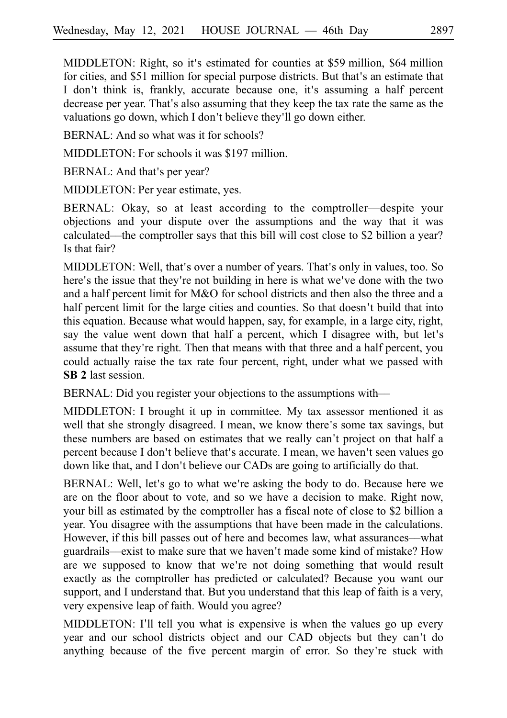MIDDLETON: Right, so it's estimated for counties at \$59 million,  $$64$  million for cities, and \$51 million for special purpose districts. But that's an estimate that I don't think is, frankly, accurate because one, it's assuming a half percent decrease per year. That's also assuming that they keep the tax rate the same as the valuations go down, which I don't believe they'll go down either.

BERNAL: And so what was it for schools?

MIDDLETON: For schools it was \$197 million.

BERNAL: And that's per year?

MIDDLETON: Per year estimate, yes.

BERNAL: Okay, so at least according to the comptroller––despite your objections and your dispute over the assumptions and the way that it was calculated—the comptroller says that this bill will cost close to \$2 billion a year? Is that fair?

MIDDLETON: Well, that's over a number of years. That's only in values, too. So here's the issue that they're not building in here is what we've done with the two and a half percent limit for M&O for school districts and then also the three and a half percent limit for the large cities and counties. So that doesn't build that into this equation. Because what would happen, say, for example, in a large city, right, say the value went down that half a percent, which I disagree with, but let's assume that they're right. Then that means with that three and a half percent, you could actually raise the tax rate four percent, right, under what we passed with **SB 2** last session.

BERNAL: Did you register your objections to the assumptions with—

MIDDLETON: I brought it up in committee. My tax assessor mentioned it as well that she strongly disagreed. I mean, we know there's some tax savings, but these numbers are based on estimates that we really can't project on that half a percent because I don't believe that's accurate. I mean, we haven't seen values go down like that, and I don't believe our CADs are going to artificially do that.

BERNAL: Well, let's go to what we're asking the body to do. Because here we are on the floor about to vote, and so we have a decision to make. Right now, your bill as estimated by the comptroller has a fiscal note of close to \$2 billion a year. You disagree with the assumptions that have been made in the calculations. However, if this bill passes out of here and becomes law, what assurances––what guardrails––exist to make sure that we haven t made some kind of mistake? How ' are we supposed to know that we're not doing something that would result exactly as the comptroller has predicted or calculated? Because you want our support, and I understand that. But you understand that this leap of faith is a very, very expensive leap of faith. Would you agree?

MIDDLETON: I'll tell you what is expensive is when the values go up every year and our school districts object and our CAD objects but they can't do anything because of the five percent margin of error. So they're stuck with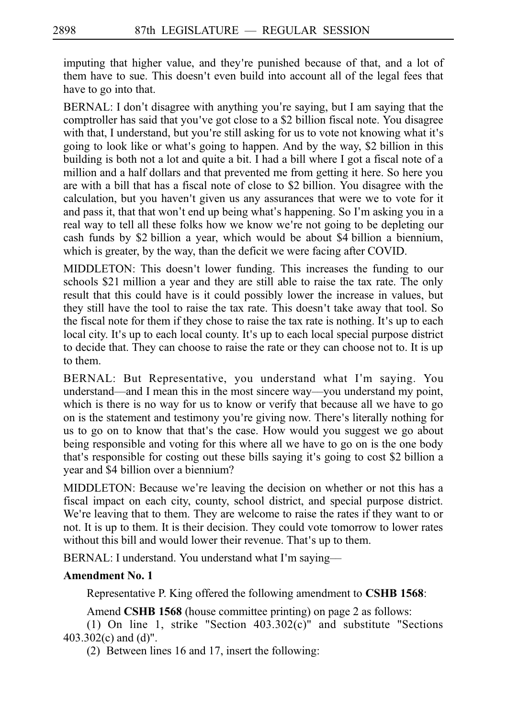imputing that higher value, and they're punished because of that, and a lot of them have to sue. This doesn't even build into account all of the legal fees that have to go into that.

BERNAL: I don't disagree with anything you're saying, but I am saying that the comptroller has said that you've got close to a \$2 billion fiscal note. You disagree with that, I understand, but you're still asking for us to vote not knowing what it's going to look like or what's going to happen. And by the way, \$2 billion in this building is both not a lot and quite a bit. I had a bill where I got a fiscal note of a million and a half dollars and that prevented me from getting it here. So here you are with a bill that has a fiscal note of close to \$2 billion. You disagree with the calculation, but you haven't given us any assurances that were we to vote for it and pass it, that that won't end up being what's happening. So I'm asking you in a real way to tell all these folks how we know we're not going to be depleting our cash funds by \$2 billion a year, which would be about \$4 billion a biennium, which is greater, by the way, than the deficit we were facing after COVID.

MIDDLETON: This doesn't lower funding. This increases the funding to our schools \$21 million a year and they are still able to raise the tax rate. The only result that this could have is it could possibly lower the increase in values, but they still have the tool to raise the tax rate. This doesn't take away that tool. So the fiscal note for them if they chose to raise the tax rate is nothing. It's up to each local city. It's up to each local county. It's up to each local special purpose district to decide that. They can choose to raise the rate or they can choose not to. It is up to them.

BERNAL: But Representative, you understand what I'm saying. You understand––and I mean this in the most sincere way––you understand my point, which is there is no way for us to know or verify that because all we have to go on is the statement and testimony you're giving now. There's literally nothing for us to go on to know that that's the case. How would you suggest we go about being responsible and voting for this where all we have to go on is the one body that's responsible for costing out these bills saying it's going to cost \$2 billion a year and \$4 billion over a biennium?

MIDDLETON: Because we're leaving the decision on whether or not this has a fiscal impact on each city, county, school district, and special purpose district. We're leaving that to them. They are welcome to raise the rates if they want to or not. It is up to them. It is their decision. They could vote tomorrow to lower rates without this bill and would lower their revenue. That's up to them.

BERNAL: I understand. You understand what I'm saying—

# **Amendment No. 1**

Representative P. King offered the following amendment to **CSHB 1568**:

Amend **CSHB 1568** (house committee printing) on page 2 as follows:

(1) On line 1, strike "Section  $403.302(c)$ " and substitute "Sections 403.302(c) and (d)".

(2) Between lines 16 and 17, insert the following: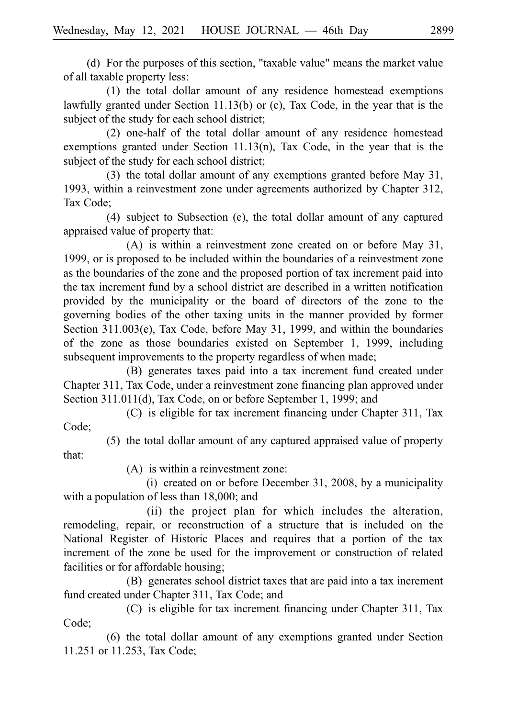(d) For the purposes of this section, "taxable value" means the market value of all taxable property less:

 $(1)$  the total dollar amount of any residence homestead exemptions lawfully granted under Section 11.13(b) or (c), Tax Code, in the year that is the subject of the study for each school district;

 $(2)$  one-half of the total dollar amount of any residence homestead exemptions granted under Section 11.13(n), Tax Code, in the year that is the subject of the study for each school district;

(3) the total dollar amount of any exemptions granted before May  $31$ , 1993, within a reinvestment zone under agreements authorized by Chapter 312, Tax Code;

(4) subject to Subsection (e), the total dollar amount of any captured appraised value of property that:

 $(A)$  is within a reinvestment zone created on or before May 31, 1999, or is proposed to be included within the boundaries of a reinvestment zone as the boundaries of the zone and the proposed portion of tax increment paid into the tax increment fund by a school district are described in a written notification provided by the municipality or the board of directors of the zone to the governing bodies of the other taxing units in the manner provided by former Section 311.003(e), Tax Code, before May 31, 1999, and within the boundaries of the zone as those boundaries existed on September 1, 1999, including subsequent improvements to the property regardless of when made;

(B) generates taxes paid into a tax increment fund created under Chapter 311, Tax Code, under a reinvestment zone financing plan approved under Section 311.011(d), Tax Code, on or before September 1, 1999; and

 $(C)$  is eligible for tax increment financing under Chapter 311, Tax

Code;

 $(5)$  the total dollar amount of any captured appraised value of property that:

 $(A)$  is within a reinvestment zone:

(i) created on or before December 31, 2008, by a municipality with a population of less than 18,000; and

(ii) the project plan for which includes the alteration, remodeling, repair, or reconstruction of a structure that is included on the National Register of Historic Places and requires that a portion of the tax increment of the zone be used for the improvement or construction of related facilities or for affordable housing;

(B) generates school district taxes that are paid into a tax increment fund created under Chapter 311, Tax Code; and

 $(C)$  is eligible for tax increment financing under Chapter 311, Tax Code;

 $(6)$  the total dollar amount of any exemptions granted under Section 11.251 or 11.253, Tax Code;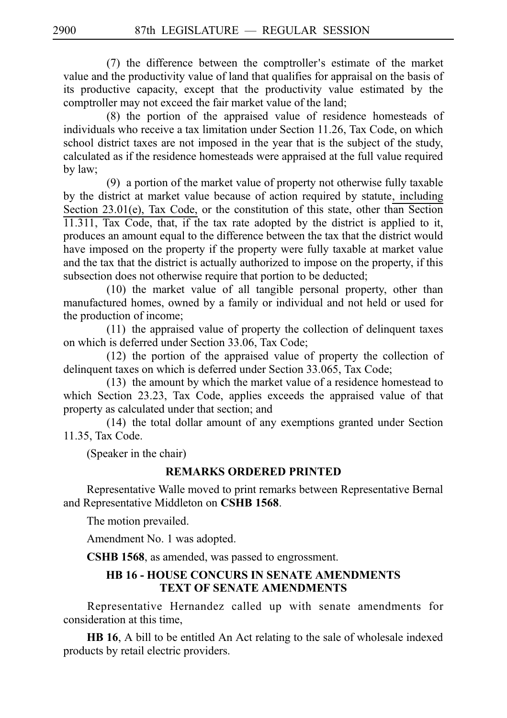$(7)$  the difference between the comptroller's estimate of the market value and the productivity value of land that qualifies for appraisal on the basis of its productive capacity, except that the productivity value estimated by the comptroller may not exceed the fair market value of the land;

 $(8)$  the portion of the appraised value of residence homesteads of individuals who receive a tax limitation under Section 11.26, Tax Code, on which school district taxes are not imposed in the year that is the subject of the study, calculated as if the residence homesteads were appraised at the full value required by law;

 $(9)$  a portion of the market value of property not otherwise fully taxable by the district at market value because of action required by statute, including Section 23.01(e), Tax Code, or the constitution of this state, other than Section 11.311, Tax Code, that, if the tax rate adopted by the district is applied to it, produces an amount equal to the difference between the tax that the district would have imposed on the property if the property were fully taxable at market value and the tax that the district is actually authorized to impose on the property, if this subsection does not otherwise require that portion to be deducted;

 $(10)$  the market value of all tangible personal property, other than manufactured homes, owned by a family or individual and not held or used for the production of income;

 $(11)$  the appraised value of property the collection of delinquent taxes on which is deferred under Section 33.06, Tax Code;

 $(12)$  the portion of the appraised value of property the collection of delinquent taxes on which is deferred under Section 33.065, Tax Code;

 $(13)$  the amount by which the market value of a residence homestead to which Section 23.23, Tax Code, applies exceeds the appraised value of that property as calculated under that section; and

 $(14)$  the total dollar amount of any exemptions granted under Section 11.35, Tax Code.

(Speaker in the chair)

### **REMARKS ORDERED PRINTED**

Representative Walle moved to print remarks between Representative Bernal and Representative Middleton on CSHB 1568.

The motion prevailed.

Amendment No. 1 was adopted.

**CSHB 1568**, as amended, was passed to engrossment.

# **HB 16 - HOUSE CONCURS IN SENATE AMENDMENTS TEXT OF SENATE AMENDMENTS**

Representative Hernandez called up with senate amendments for consideration at this time,

**HB 16**, A bill to be entitled An Act relating to the sale of wholesale indexed products by retail electric providers.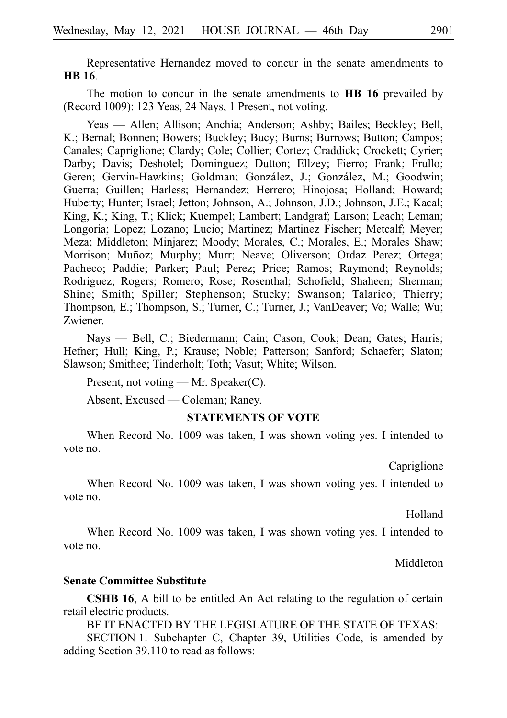Representative Hernandez moved to concur in the senate amendments to **HB** 16.

The motion to concur in the senate amendments to **HB 16** prevailed by (Record 1009): 123 Yeas, 24 Nays, 1 Present, not voting.

Yeas — Allen; Allison; Anchia; Anderson; Ashby; Bailes; Beckley; Bell, K.; Bernal; Bonnen; Bowers; Buckley; Bucy; Burns; Burrows; Button; Campos; Canales; Capriglione; Clardy; Cole; Collier; Cortez; Craddick; Crockett; Cyrier; Darby; Davis; Deshotel; Dominguez; Dutton; Ellzey; Fierro; Frank; Frullo; Geren; Gervin-Hawkins; Goldman; González, J.; González, M.; Goodwin; Guerra; Guillen; Harless; Hernandez; Herrero; Hinojosa; Holland; Howard; Huberty; Hunter; Israel; Jetton; Johnson, A.; Johnson, J.D.; Johnson, J.E.; Kacal; King, K.; King, T.; Klick; Kuempel; Lambert; Landgraf; Larson; Leach; Leman; Longoria; Lopez; Lozano; Lucio; Martinez; Martinez Fischer; Metcalf; Meyer; Meza; Middleton; Minjarez; Moody; Morales, C.; Morales, E.; Morales Shaw; Morrison; Muñoz; Murphy; Murr; Neave; Oliverson; Ordaz Perez; Ortega; Pacheco; Paddie; Parker; Paul; Perez; Price; Ramos; Raymond; Reynolds; Rodriguez; Rogers; Romero; Rose; Rosenthal; Schofield; Shaheen; Sherman; Shine; Smith; Spiller; Stephenson; Stucky; Swanson; Talarico; Thierry; Thompson, E.; Thompson, S.; Turner, C.; Turner, J.; VanDeaver; Vo; Walle; Wu; Zwiener.

Nays — Bell, C.; Biedermann; Cain; Cason; Cook; Dean; Gates; Harris; Hefner; Hull; King, P.; Krause; Noble; Patterson; Sanford; Schaefer; Slaton; Slawson; Smithee; Tinderholt; Toth; Vasut; White; Wilson.

Present, not voting — Mr. Speaker(C).

Absent, Excused — Coleman; Raney.

#### **STATEMENTS OF VOTE**

When Record No. 1009 was taken, I was shown voting yes. I intended to vote no.

Capriglione

When Record No. 1009 was taken, I was shown voting yes. I intended to vote no.

Holland

When Record No. 1009 was taken, I was shown voting yes. I intended to vote no.

Middleton

#### **Senate Committee Substitute**

**CSHB 16**, A bill to be entitled An Act relating to the regulation of certain retail electric products.

BE IT ENACTED BY THE LEGISLATURE OF THE STATE OF TEXAS:

SECTION 1. Subchapter C, Chapter 39, Utilities Code, is amended by adding Section 39.110 to read as follows: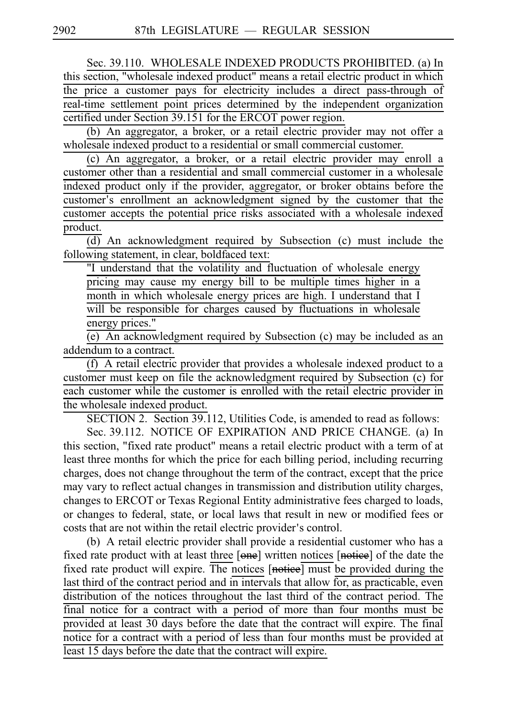Sec. 39.110. WHOLESALE INDEXED PRODUCTS PROHIBITED. (a) In this section, "wholesale indexed product" means a retail electric product in which the price a customer pays for electricity includes a direct pass-through of real-time settlement point prices determined by the independent organization certified under Section 39.151 for the ERCOT power region.

(b) An aggregator, a broker, or a retail electric provider may not offer a wholesale indexed product to a residential or small commercial customer.

(c) An aggregator, a broker, or a retail electric provider may enroll a customer other than a residential and small commercial customer in a wholesale indexed product only if the provider, aggregator, or broker obtains before the customer's enrollment an acknowledgment signed by the customer that the customer accepts the potential price risks associated with a wholesale indexed product.

 $\overline{(d)}$  An acknowledgment required by Subsection (c) must include the following statement, in clear, boldfaced text:

"I understand that the volatility and fluctuation of wholesale energy pricing may cause my energy bill to be multiple times higher in a month in which wholesale energy prices are high. I understand that I will be responsible for charges caused by fluctuations in wholesale energy prices."

 $(e)$  An acknowledgment required by Subsection (c) may be included as an addendum to a contract.

(f) A retail electric provider that provides a wholesale indexed product to a customer must keep on file the acknowledgment required by Subsection (c) for each customer while the customer is enrolled with the retail electric provider in the wholesale indexed product.

SECTION 2. Section 39.112, Utilities Code, is amended to read as follows:

Sec. 39.112. NOTICE OF EXPIRATION AND PRICE CHANGE. (a) In this section, "fixed rate product" means a retail electric product with a term of at least three months for which the price for each billing period, including recurring charges, does not change throughout the term of the contract, except that the price may vary to reflect actual changes in transmission and distribution utility charges, changes to ERCOT or Texas Regional Entity administrative fees charged to loads, or changes to federal, state, or local laws that result in new or modified fees or costs that are not within the retail electric provider's control.

(b) A retail electric provider shall provide a residential customer who has a fixed rate product with at least three [one] written notices [notice] of the date the fixed rate product will expire. The notices [notice] must be provided during the last third of the contract period and in intervals that allow for, as practicable, even distribution of the notices throughout the last third of the contract period. The final notice for a contract with a period of more than four months must be provided at least 30 days before the date that the contract will expire. The final notice for a contract with a period of less than four months must be provided at least 15 days before the date that the contract will expire.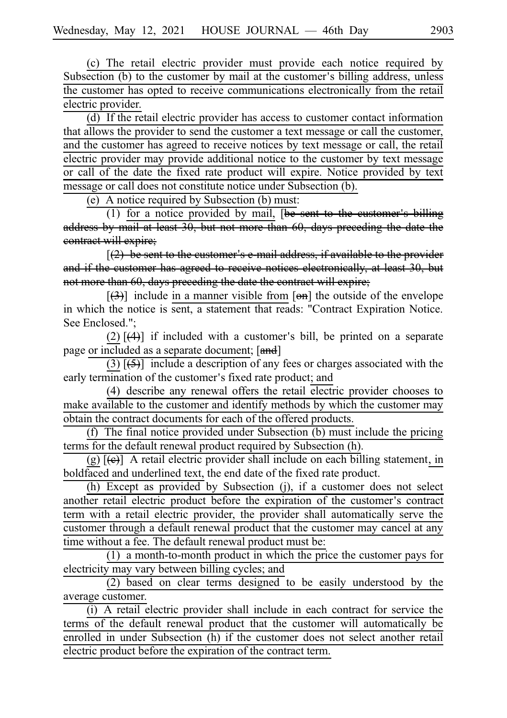(c) The retail electric provider must provide each notice required by Subsection (b) to the customer by mail at the customer's billing address, unless the customer has opted to receive communications electronically from the retail electric provider.

(d) If the retail electric provider has access to customer contact information that allows the provider to send the customer a text message or call the customer, and the customer has agreed to receive notices by text message or call, the retail electric provider may provide additional notice to the customer by text message or call of the date the fixed rate product will expire. Notice provided by text message or call does not constitute notice under Subsection (b).

(e) A notice required by Subsection (b) must:

(1) for a notice provided by mail,  $[**be** sent to the customer's billing]$ address by mail at least 30, but not more than 60, days preceding the date the contract will expire;

 $(2)$  be sent to the customer's e-mail address, if available to the provider and if the customer has agreed to receive notices electronically, at least 30, but not more than 60, days preceding the date the contract will expire;

 $[\frac{1}{2}]$  include in a manner visible from  $[\Theta_n]$  the outside of the envelope in which the notice is sent, a statement that reads: "Contract Expiration Notice. See Enclosed.";

(2)  $[$ (4)] if included with a customer's bill, be printed on a separate page or included as a separate document; [and]

 $(3)$  [ $(5)$ ] include a description of any fees or charges associated with the early termination of the customer's fixed rate product; and

(4) describe any renewal offers the retail electric provider chooses to make available to the customer and identify methods by which the customer may obtain the contract documents for each of the offered products.

(f) The final notice provided under Subsection  $(b)$  must include the pricing terms for the default renewal product required by Subsection (h).

(g)  $[\Theta]$  A retail electric provider shall include on each billing statement, in boldfaced and underlined text, the end date of the fixed rate product.

(h) Except as provided by Subsection (j), if a customer does not select another retail electric product before the expiration of the customer's contract term with a retail electric provider, the provider shall automatically serve the customer through a default renewal product that the customer may cancel at any time without a fee. The default renewal product must be:

 $(1)$  a month-to-month product in which the price the customer pays for electricity may vary between billing cycles; and

 $(2)$  based on clear terms designed to be easily understood by the average customer.

 $(i)$  A retail electric provider shall include in each contract for service the terms of the default renewal product that the customer will automatically be enrolled in under Subsection (h) if the customer does not select another retail electric product before the expiration of the contract term.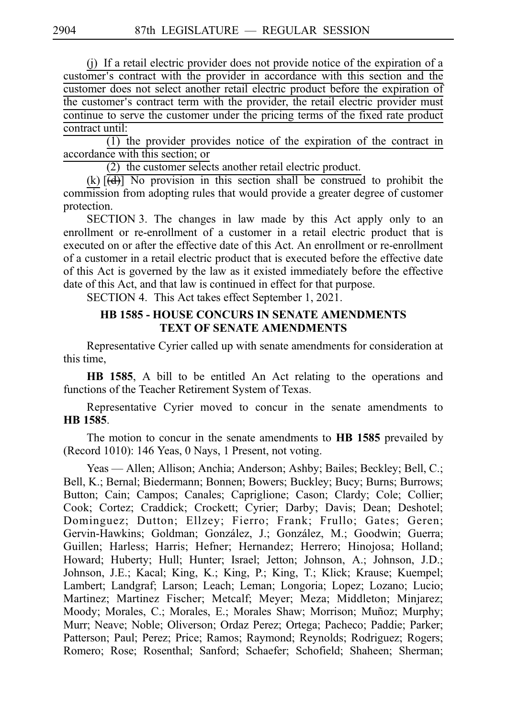(j) If a retail electric provider does not provide notice of the expiration of a customer's contract with the provider in accordance with this section and the customer does not select another retail electric product before the expiration of the customer's contract term with the provider, the retail electric provider must continue to serve the customer under the pricing terms of the fixed rate product contract until:

 $\overline{(1)}$  the provider provides notice of the expiration of the contract in accordance with this section; or

 $(2)$  the customer selects another retail electric product.

(k)  $\overline{(\overline{d})}$  No provision in this section shall be construed to prohibit the commission from adopting rules that would provide a greater degree of customer protection.

SECTION 3. The changes in law made by this Act apply only to an enrollment or re-enrollment of a customer in a retail electric product that is executed on or after the effective date of this Act. An enrollment or re-enrollment of a customer in a retail electric product that is executed before the effective date of this Act is governed by the law as it existed immediately before the effective date of this Act, and that law is continued in effect for that purpose.

SECTION 4. This Act takes effect September 1, 2021.

# **HB 1585 - HOUSE CONCURS IN SENATE AMENDMENTS TEXT OF SENATE AMENDMENTS**

Representative Cyrier called up with senate amendments for consideration at this time,

**HB 1585**, A bill to be entitled An Act relating to the operations and functions of the Teacher Retirement System of Texas.

Representative Cyrier moved to concur in the senate amendments to **HBi1585**.

The motion to concur in the senate amendments to **HB 1585** prevailed by (Record 1010): 146 Yeas, 0 Nays, 1 Present, not voting.

Yeas — Allen; Allison; Anchia; Anderson; Ashby; Bailes; Beckley; Bell, C.; Bell, K.; Bernal; Biedermann; Bonnen; Bowers; Buckley; Bucy; Burns; Burrows; Button; Cain; Campos; Canales; Capriglione; Cason; Clardy; Cole; Collier; Cook; Cortez; Craddick; Crockett; Cyrier; Darby; Davis; Dean; Deshotel; Dominguez; Dutton; Ellzey; Fierro; Frank; Frullo; Gates; Geren; Gervin-Hawkins; Goldman; González, J.; González, M.; Goodwin; Guerra; Guillen; Harless; Harris; Hefner; Hernandez; Herrero; Hinojosa; Holland; Howard; Huberty; Hull; Hunter; Israel; Jetton; Johnson, A.; Johnson, J.D.; Johnson, J.E.; Kacal; King, K.; King, P.; King, T.; Klick; Krause; Kuempel; Lambert; Landgraf; Larson; Leach; Leman; Longoria; Lopez; Lozano; Lucio; Martinez; Martinez Fischer; Metcalf; Meyer; Meza; Middleton; Minjarez; Moody; Morales, C.; Morales, E.; Morales Shaw; Morrison; Muñoz; Murphy; Murr; Neave; Noble; Oliverson; Ordaz Perez; Ortega; Pacheco; Paddie; Parker; Patterson; Paul; Perez; Price; Ramos; Raymond; Reynolds; Rodriguez; Rogers; Romero; Rose; Rosenthal; Sanford; Schaefer; Schofield; Shaheen; Sherman;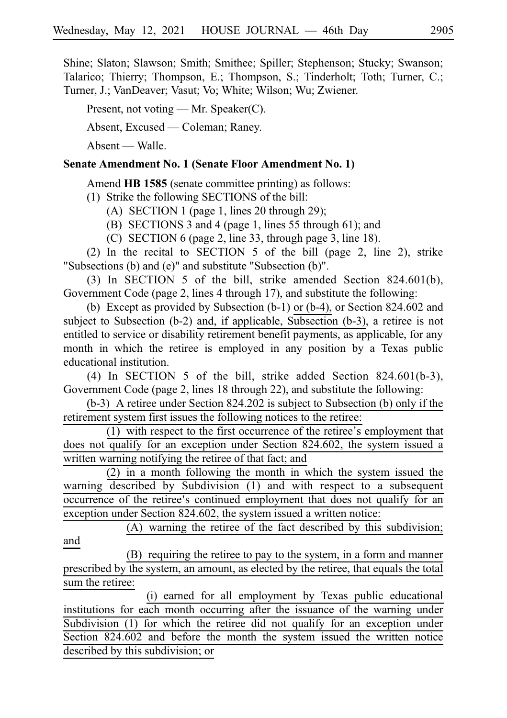Shine; Slaton; Slawson; Smith; Smithee; Spiller; Stephenson; Stucky; Swanson; Talarico; Thierry; Thompson, E.; Thompson, S.; Tinderholt; Toth; Turner, C.; Turner, J.; VanDeaver; Vasut; Vo; White; Wilson; Wu; Zwiener.

Present, not voting — Mr. Speaker(C).

Absent, Excused — Coleman; Raney.

Absent — Walle.

# **Senate Amendment No. 1 (Senate Floor Amendment No. 1)**

Amend **HB 1585** (senate committee printing) as follows:

 $(1)$  Strike the following SECTIONS of the bill:

- (A) SECTION 1 (page 1, lines 20 through 29);
- (B) SECTIONS 3 and 4 (page 1, lines 55 through 61); and
- (C) SECTION 6 (page 2, line 33, through page 3, line 18).

(2) In the recital to SECTION  $5$  of the bill (page 2, line 2), strike "Subsections (b) and (e)" and substitute "Subsection (b)".

(3) In SECTION 5 of the bill, strike amended Section 824.601(b), Government Code (page 2, lines 4 through 17), and substitute the following:

(b) Except as provided by Subsection  $(b-1)$  or  $(b-4)$ , or Section 824.602 and subject to Subsection (b-2) and, if applicable, Subsection (b-3), a retiree is not entitled to service or disability retirement benefit payments, as applicable, for any month in which the retiree is employed in any position by a Texas public educational institution.

(4) In SECTION 5 of the bill, strike added Section 824.601(b-3), Government Code (page 2, lines 18 through 22), and substitute the following:

 $(b-3)$  A retiree under Section 824.202 is subject to Subsection (b) only if the retirement system first issues the following notices to the retiree:

 $(1)$  with respect to the first occurrence of the retiree's employment that does not qualify for an exception under Section 824.602, the system issued a written warning notifying the retiree of that fact; and

 $(2)$  in a month following the month in which the system issued the warning described by Subdivision (1) and with respect to a subsequent occurrence of the retiree's continued employment that does not qualify for an exception under Section 824.602, the system issued a written notice:

 $(A)$  warning the retiree of the fact described by this subdivision; and

(B) requiring the retiree to pay to the system, in a form and manner prescribed by the system, an amount, as elected by the retiree, that equals the total sum the retiree:

(i) earned for all employment by Texas public educational institutions for each month occurring after the issuance of the warning under Subdivision (1) for which the retiree did not qualify for an exception under Section 824.602 and before the month the system issued the written notice described by this subdivision; or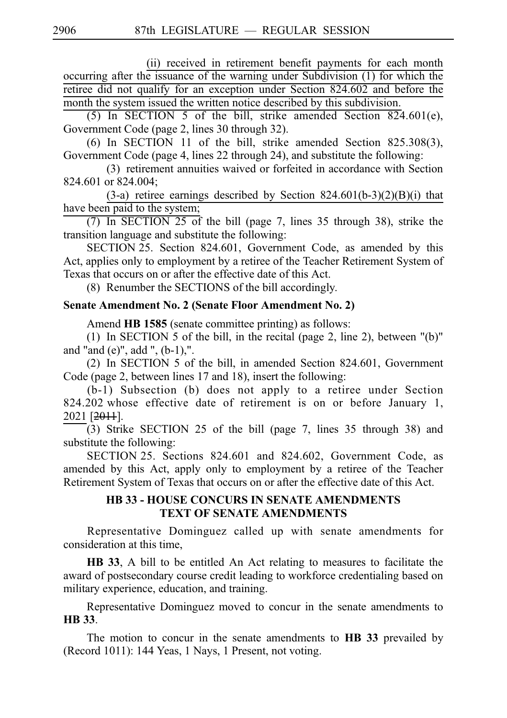(ii) received in retirement benefit payments for each month occurring after the issuance of the warning under Subdivision (1) for which the retiree did not qualify for an exception under Section 824.602 and before the month the system issued the written notice described by this subdivision.

(5) In SECTION 5 of the bill, strike amended Section 824.601(e), Government Code (page 2, lines 30 through 32).

(6) In SECTION 11 of the bill, strike amended Section 825.308(3), Government Code (page 4, lines 22 through 24), and substitute the following:

(3) retirement annuities waived or forfeited in accordance with Section 824.601 or 824.004;

(3-a) retiree earnings described by Section 824.601(b-3)(2)(B)(i) that have been paid to the system;

 $(7)$  In SECTION 25 of the bill (page 7, lines 35 through 38), strike the transition language and substitute the following:

SECTION 25. Section 824.601, Government Code, as amended by this Act, applies only to employment by a retiree of the Teacher Retirement System of Texas that occurs on or after the effective date of this Act.

(8) Renumber the SECTIONS of the bill accordingly.

# **Senate Amendment No. 2 (Senate Floor Amendment No. 2)**

Amend **HB 1585** (senate committee printing) as follows:

(1) In SECTION 5 of the bill, in the recital (page 2, line 2), between  $"({\rm b})"$ and "and (e)", add ", (b-1),".

(2) In SECTION 5 of the bill, in amended Section 824.601, Government Code (page 2, between lines 17 and 18), insert the following:

 $(b-1)$  Subsection (b) does not apply to a retiree under Section  $824.202$  whose effective date of retirement is on or before January 1, 2021 [2011].

 $(3)$  Strike SECTION 25 of the bill (page 7, lines 35 through 38) and substitute the following:

SECTION 25. Sections 824.601 and 824.602, Government Code, as amended by this Act, apply only to employment by a retiree of the Teacher Retirement System of Texas that occurs on or after the effective date of this Act.

# **HB 33 - HOUSE CONCURS IN SENATE AMENDMENTS TEXT OF SENATE AMENDMENTS**

Representative Dominguez called up with senate amendments for consideration at this time,

**HB 33**, A bill to be entitled An Act relating to measures to facilitate the award of postsecondary course credit leading to workforce credentialing based on military experience, education, and training.

Representative Dominguez moved to concur in the senate amendments to **HB** 33.

The motion to concur in the senate amendments to **HB 33** prevailed by (Record 1011): 144 Yeas, 1 Nays, 1 Present, not voting.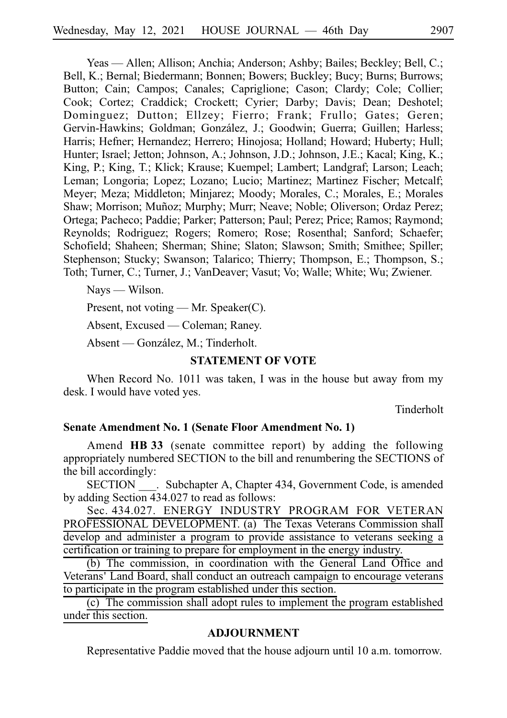Yeas — Allen; Allison; Anchia; Anderson; Ashby; Bailes; Beckley; Bell, C.; Bell, K.; Bernal; Biedermann; Bonnen; Bowers; Buckley; Bucy; Burns; Burrows; Button; Cain; Campos; Canales; Capriglione; Cason; Clardy; Cole; Collier; Cook; Cortez; Craddick; Crockett; Cyrier; Darby; Davis; Dean; Deshotel; Dominguez; Dutton; Ellzey; Fierro; Frank; Frullo; Gates; Geren; Gervin-Hawkins; Goldman; González, J.; Goodwin; Guerra; Guillen; Harless; Harris; Hefner; Hernandez; Herrero; Hinojosa; Holland; Howard; Huberty; Hull; Hunter; Israel; Jetton; Johnson, A.; Johnson, J.D.; Johnson, J.E.; Kacal; King, K.; King, P.; King, T.; Klick; Krause; Kuempel; Lambert; Landgraf; Larson; Leach; Leman; Longoria; Lopez; Lozano; Lucio; Martinez; Martinez Fischer; Metcalf; Meyer; Meza; Middleton; Minjarez; Moody; Morales, C.; Morales, E.; Morales Shaw; Morrison; Muñoz; Murphy; Murr; Neave; Noble; Oliverson; Ordaz Perez; Ortega; Pacheco; Paddie; Parker; Patterson; Paul; Perez; Price; Ramos; Raymond; Reynolds; Rodriguez; Rogers; Romero; Rose; Rosenthal; Sanford; Schaefer; Schofield; Shaheen; Sherman; Shine; Slaton; Slawson; Smith; Smithee; Spiller; Stephenson; Stucky; Swanson; Talarico; Thierry; Thompson, E.; Thompson, S.; Toth; Turner, C.; Turner, J.; VanDeaver; Vasut; Vo; Walle; White; Wu; Zwiener.

Nays — Wilson.

Present, not voting — Mr. Speaker(C).

Absent, Excused — Coleman; Raney.

Absent — González, M.; Tinderholt.

# **STATEMENT OF VOTE**

When Record No. 1011 was taken, I was in the house but away from my desk. I would have voted yes.

Tinderholt

### **Senate Amendment No. 1 (Senate Floor Amendment No. 1)**

Amend **HB 33** (senate committee report) by adding the following appropriately numbered SECTION to the bill and renumbering the SECTIONS of the bill accordingly:

SECTION . Subchapter A, Chapter 434, Government Code, is amended by adding Section 434.027 to read as follows:

Sec. 434.027. ENERGY INDUSTRY PROGRAM FOR VETERAN PROFESSIONAL DEVELOPMENT. (a) The Texas Veterans Commission shall develop and administer a program to provide assistance to veterans seeking a certification or training to prepare for employment in the energy industry.

(b) The commission, in coordination with the General Land Office and Veterans' Land Board, shall conduct an outreach campaign to encourage veterans to participate in the program established under this section.

(c) The commission shall adopt rules to implement the program established under this section.

# **ADJOURNMENT**

Representative Paddie moved that the house adjourn until 10 a.m. tomorrow.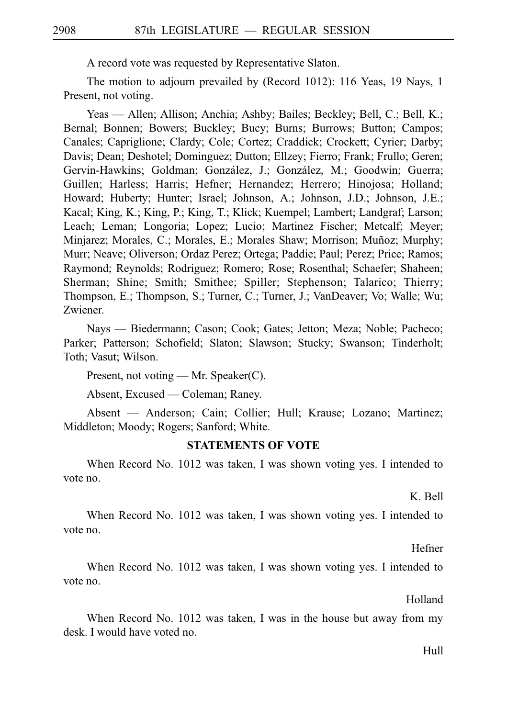A record vote was requested by Representative Slaton.

The motion to adjourn prevailed by (Record 1012): 116 Yeas, 19 Nays, 1 Present, not voting.

Yeas — Allen; Allison; Anchia; Ashby; Bailes; Beckley; Bell, C.; Bell, K.; Bernal; Bonnen; Bowers; Buckley; Bucy; Burns; Burrows; Button; Campos; Canales; Capriglione; Clardy; Cole; Cortez; Craddick; Crockett; Cyrier; Darby; Davis; Dean; Deshotel; Dominguez; Dutton; Ellzey; Fierro; Frank; Frullo; Geren; Gervin-Hawkins; Goldman; González, J.; González, M.; Goodwin; Guerra; Guillen; Harless; Harris; Hefner; Hernandez; Herrero; Hinojosa; Holland; Howard; Huberty; Hunter; Israel; Johnson, A.; Johnson, J.D.; Johnson, J.E.; Kacal; King, K.; King, P.; King, T.; Klick; Kuempel; Lambert; Landgraf; Larson; Leach; Leman; Longoria; Lopez; Lucio; Martinez Fischer; Metcalf; Meyer; Minjarez; Morales, C.; Morales, E.; Morales Shaw; Morrison; Muñoz; Murphy; Murr; Neave; Oliverson; Ordaz Perez; Ortega; Paddie; Paul; Perez; Price; Ramos; Raymond; Reynolds; Rodriguez; Romero; Rose; Rosenthal; Schaefer; Shaheen; Sherman; Shine; Smith; Smithee; Spiller; Stephenson; Talarico; Thierry; Thompson, E.; Thompson, S.; Turner, C.; Turner, J.; VanDeaver; Vo; Walle; Wu; Zwiener.

Nays — Biedermann; Cason; Cook; Gates; Jetton; Meza; Noble; Pacheco; Parker; Patterson; Schofield; Slaton; Slawson; Stucky; Swanson; Tinderholt; Toth; Vasut; Wilson.

Present, not voting — Mr. Speaker(C).

Absent, Excused — Coleman; Raney.

Absent — Anderson; Cain; Collier; Hull; Krause; Lozano; Martinez; Middleton; Moody; Rogers; Sanford; White.

#### **STATEMENTS OF VOTE**

When Record No. 1012 was taken, I was shown voting yes. I intended to vote no.

K. Bell

When Record No. 1012 was taken, I was shown voting yes. I intended to vote no.

Hefner

When Record No. 1012 was taken, I was shown voting yes. I intended to vote no.

Holland

When Record No. 1012 was taken, I was in the house but away from my desk. I would have voted no.

Hull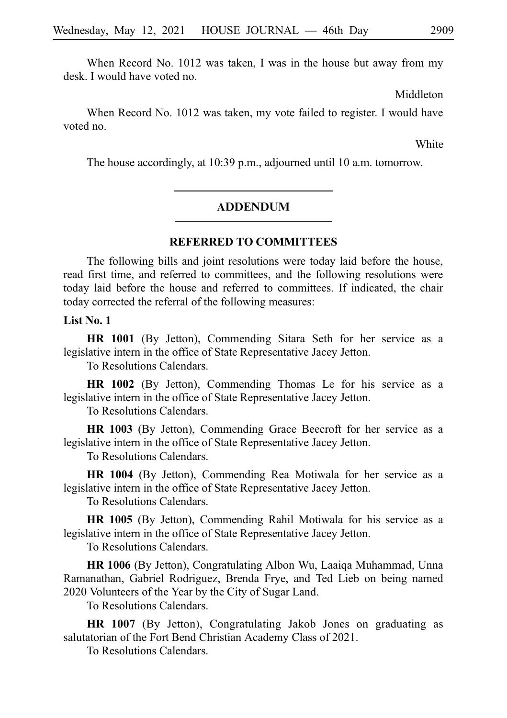When Record No. 1012 was taken, I was in the house but away from my desk. I would have voted no.

Middleton

When Record No. 1012 was taken, my vote failed to register. I would have voted no.

White

The house accordingly, at 10:39 p.m., adjourned until 10 a.m. tomorrow.

#### ADDENDUM

### **REFERRED TO COMMITTEES**

The following bills and joint resolutions were today laid before the house, read first time, and referred to committees, and the following resolutions were today laid before the house and referred to committees. If indicated, the chair today corrected the referral of the following measures:

## **List No. 1**

**HR 1001** (By Jetton), Commending Sitara Seth for her service as a legislative intern in the office of State Representative Jacey Jetton.

To Resolutions Calendars.

**HR 1002** (By Jetton), Commending Thomas Le for his service as a legislative intern in the office of State Representative Jacey Jetton.

To Resolutions Calendars.

**HR 1003** (By Jetton), Commending Grace Beecroft for her service as a legislative intern in the office of State Representative Jacey Jetton.

To Resolutions Calendars.

**HR 1004** (By Jetton), Commending Rea Motiwala for her service as a legislative intern in the office of State Representative Jacey Jetton.

To Resolutions Calendars.

**HR 1005** (By Jetton), Commending Rahil Motiwala for his service as a legislative intern in the office of State Representative Jacey Jetton.

To Resolutions Calendars.

**HR 1006** (By Jetton), Congratulating Albon Wu, Laaiqa Muhammad, Unna Ramanathan, Gabriel Rodriguez, Brenda Frye, and Ted Lieb on being named 2020 Volunteers of the Year by the City of Sugar Land.

To Resolutions Calendars.

**HR 1007** (By Jetton), Congratulating Jakob Jones on graduating as salutatorian of the Fort Bend Christian Academy Class of 2021.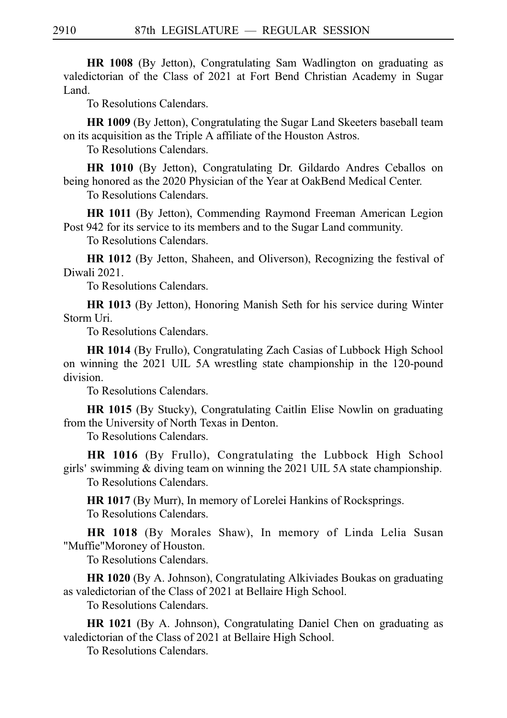**HR 1008** (By Jetton), Congratulating Sam Wadlington on graduating as valedictorian of the Class of 2021 at Fort Bend Christian Academy in Sugar Land.

To Resolutions Calendars.

**HR 1009** (By Jetton), Congratulating the Sugar Land Skeeters baseball team on its acquisition as the Triple A affiliate of the Houston Astros.

To Resolutions Calendars.

**HR 1010** (By Jetton), Congratulating Dr. Gildardo Andres Ceballos on being honored as the 2020 Physician of the Year at OakBend Medical Center.

To Resolutions Calendars.

**HR 1011** (By Jetton), Commending Raymond Freeman American Legion Post 942 for its service to its members and to the Sugar Land community.

To Resolutions Calendars.

**HR 1012** (By Jetton, Shaheen, and Oliverson), Recognizing the festival of Diwali 2021.

To Resolutions Calendars.

**HR 1013** (By Jetton), Honoring Manish Seth for his service during Winter Storm Uri.

To Resolutions Calendars.

**HR 1014** (By Frullo), Congratulating Zach Casias of Lubbock High School on winning the 2021 UIL 5A wrestling state championship in the 120-pound division.

To Resolutions Calendars.

**HR 1015** (By Stucky), Congratulating Caitlin Elise Nowlin on graduating from the University of North Texas in Denton.

To Resolutions Calendars.

**HR 1016** (By Frullo), Congratulating the Lubbock High School girls' swimming  $&$  diving team on winning the 2021 UIL 5A state championship. To Resolutions Calendars.

**HR 1017** (By Murr), In memory of Lorelei Hankins of Rocksprings. To Resolutions Calendars.

**HR 1018** (By Morales Shaw), In memory of Linda Lelia Susan "Muffie"Moroney of Houston.

To Resolutions Calendars.

**HR 1020** (By A. Johnson), Congratulating Alkiviades Boukas on graduating as valedictorian of the Class of 2021 at Bellaire High School.

To Resolutions Calendars.

**HR 1021** (By A. Johnson), Congratulating Daniel Chen on graduating as valedictorian of the Class of 2021 at Bellaire High School.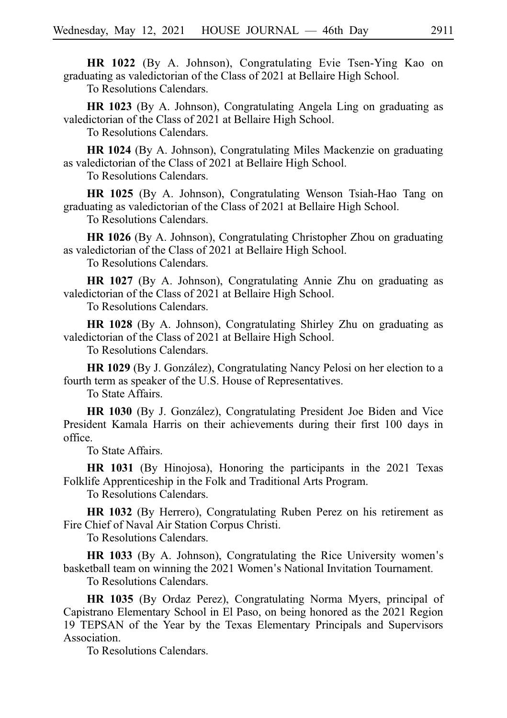**HR 1022** (By A. Johnson), Congratulating Evie Tsen-Ying Kao on graduating as valedictorian of the Class of 2021 at Bellaire High School. To Resolutions Calendars.

**HR 1023** (By A. Johnson), Congratulating Angela Ling on graduating as valedictorian of the Class of 2021 at Bellaire High School.

To Resolutions Calendars.

**HR 1024** (By A. Johnson), Congratulating Miles Mackenzie on graduating as valedictorian of the Class of 2021 at Bellaire High School.

To Resolutions Calendars.

**HR 1025** (By A. Johnson), Congratulating Wenson Tsiah-Hao Tang on graduating as valedictorian of the Class of 2021 at Bellaire High School. To Resolutions Calendars.

**HR 1026** (By A. Johnson), Congratulating Christopher Zhou on graduating as valedictorian of the Class of 2021 at Bellaire High School.

To Resolutions Calendars.

**HR 1027** (By A. Johnson), Congratulating Annie Zhu on graduating as valedictorian of the Class of 2021 at Bellaire High School.

To Resolutions Calendars.

**HR 1028** (By A. Johnson), Congratulating Shirley Zhu on graduating as valedictorian of the Class of 2021 at Bellaire High School.

To Resolutions Calendars.

**HR 1029** (By J. González), Congratulating Nancy Pelosi on her election to a fourth term as speaker of the U.S. House of Representatives.

To State Affairs.

**HR 1030** (By J. González), Congratulating President Joe Biden and Vice President Kamala Harris on their achievements during their first 100 days in office.

To State Affairs.

**HR 1031** (By Hinojosa), Honoring the participants in the 2021 Texas Folklife Apprenticeship in the Folk and Traditional Arts Program.

To Resolutions Calendars.

**HR 1032** (By Herrero), Congratulating Ruben Perez on his retirement as Fire Chief of Naval Air Station Corpus Christi.

To Resolutions Calendars.

HR 1033 (By A. Johnson), Congratulating the Rice University women's basketball team on winning the 2021 Women's National Invitation Tournament.

To Resolutions Calendars.

**HR 1035** (By Ordaz Perez), Congratulating Norma Myers, principal of Capistrano Elementary School in El Paso, on being honored as the 2021 Region 19 TEPSAN of the Year by the Texas Elementary Principals and Supervisors Association.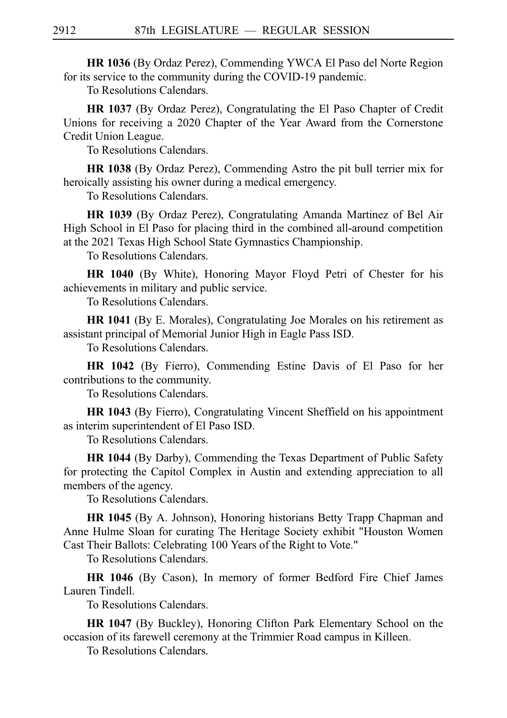**HR 1036** (By Ordaz Perez), Commending YWCA El Paso del Norte Region for its service to the community during the COVID-19 pandemic.

To Resolutions Calendars.

**HR 1037** (By Ordaz Perez), Congratulating the El Paso Chapter of Credit Unions for receiving a 2020 Chapter of the Year Award from the Cornerstone Credit Union League.

To Resolutions Calendars.

**HR 1038** (By Ordaz Perez), Commending Astro the pit bull terrier mix for heroically assisting his owner during a medical emergency.

To Resolutions Calendars.

**HR 1039** (By Ordaz Perez), Congratulating Amanda Martinez of Bel Air High School in El Paso for placing third in the combined all-around competition at the 2021 Texas High School State Gymnastics Championship.

To Resolutions Calendars.

**HR 1040** (By White), Honoring Mayor Floyd Petri of Chester for his achievements in military and public service.

To Resolutions Calendars.

**HR 1041** (By E. Morales), Congratulating Joe Morales on his retirement as assistant principal of Memorial Junior High in Eagle Pass ISD.

To Resolutions Calendars.

**HR 1042** (By Fierro), Commending Estine Davis of El Paso for her contributions to the community.

To Resolutions Calendars.

**HR 1043** (By Fierro), Congratulating Vincent Sheffield on his appointment as interim superintendent of El Paso ISD.

To Resolutions Calendars.

**HR 1044** (By Darby), Commending the Texas Department of Public Safety for protecting the Capitol Complex in Austin and extending appreciation to all members of the agency.

To Resolutions Calendars.

**HR 1045** (By A. Johnson), Honoring historians Betty Trapp Chapman and Anne Hulme Sloan for curating The Heritage Society exhibit "Houston Women Cast Their Ballots: Celebrating 100 Years of the Right to Vote."

To Resolutions Calendars.

**HR 1046** (By Cason), In memory of former Bedford Fire Chief James Lauren Tindell.

To Resolutions Calendars.

**HR 1047** (By Buckley), Honoring Clifton Park Elementary School on the occasion of its farewell ceremony at the Trimmier Road campus in Killeen.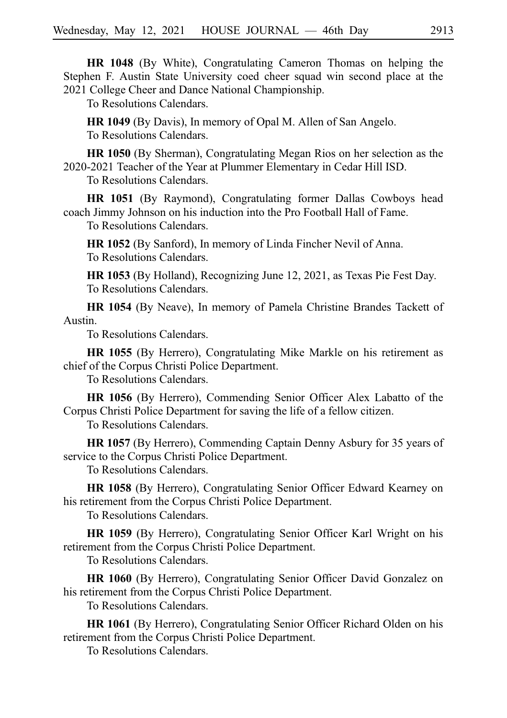**HR 1048** (By White), Congratulating Cameron Thomas on helping the Stephen F. Austin State University coed cheer squad win second place at the 2021 College Cheer and Dance National Championship.

To Resolutions Calendars.

**HR 1049** (By Davis), In memory of Opal M. Allen of San Angelo. To Resolutions Calendars.

**HR 1050** (By Sherman), Congratulating Megan Rios on her selection as the 2020-2021 Teacher of the Year at Plummer Elementary in Cedar Hill ISD. To Resolutions Calendars.

**HR 1051** (By Raymond), Congratulating former Dallas Cowboys head coach Jimmy Johnson on his induction into the Pro Football Hall of Fame.

To Resolutions Calendars.

**HR 1052** (By Sanford), In memory of Linda Fincher Nevil of Anna. To Resolutions Calendars.

**HR 1053** (By Holland), Recognizing June 12, 2021, as Texas Pie Fest Day. To Resolutions Calendars.

**HR 1054** (By Neave), In memory of Pamela Christine Brandes Tackett of Austin.

To Resolutions Calendars.

**HR 1055** (By Herrero), Congratulating Mike Markle on his retirement as chief of the Corpus Christi Police Department.

To Resolutions Calendars.

**HR 1056** (By Herrero), Commending Senior Officer Alex Labatto of the Corpus Christi Police Department for saving the life of a fellow citizen.

To Resolutions Calendars.

**HR 1057** (By Herrero), Commending Captain Denny Asbury for 35 years of service to the Corpus Christi Police Department.

To Resolutions Calendars.

**HR 1058** (By Herrero), Congratulating Senior Officer Edward Kearney on his retirement from the Corpus Christi Police Department.

To Resolutions Calendars.

**HR 1059** (By Herrero), Congratulating Senior Officer Karl Wright on his retirement from the Corpus Christi Police Department.

To Resolutions Calendars.

**HR 1060** (By Herrero), Congratulating Senior Officer David Gonzalez on his retirement from the Corpus Christi Police Department.

To Resolutions Calendars.

**HR 1061** (By Herrero), Congratulating Senior Officer Richard Olden on his retirement from the Corpus Christi Police Department.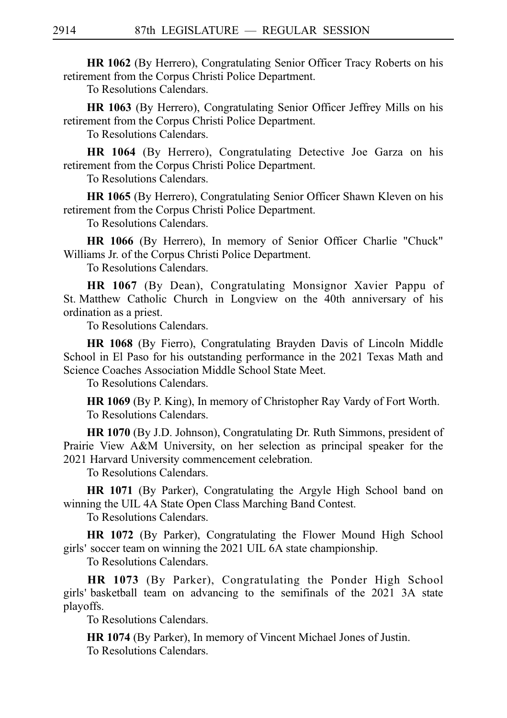**HR 1062** (By Herrero), Congratulating Senior Officer Tracy Roberts on his retirement from the Corpus Christi Police Department.

To Resolutions Calendars.

**HR 1063** (By Herrero), Congratulating Senior Officer Jeffrey Mills on his retirement from the Corpus Christi Police Department.

To Resolutions Calendars.

**HR 1064** (By Herrero), Congratulating Detective Joe Garza on his retirement from the Corpus Christi Police Department.

To Resolutions Calendars.

**HR 1065** (By Herrero), Congratulating Senior Officer Shawn Kleven on his retirement from the Corpus Christi Police Department.

To Resolutions Calendars.

**HR 1066** (By Herrero), In memory of Senior Officer Charlie "Chuck" Williams Jr. of the Corpus Christi Police Department.

To Resolutions Calendars.

**HR 1067** (By Dean), Congratulating Monsignor Xavier Pappu of St. Matthew Catholic Church in Longview on the 40th anniversary of his ordination as a priest.

To Resolutions Calendars.

**HR 1068** (By Fierro), Congratulating Brayden Davis of Lincoln Middle School in El Paso for his outstanding performance in the 2021 Texas Math and Science Coaches Association Middle School State Meet.

To Resolutions Calendars.

**HR 1069** (By P. King), In memory of Christopher Ray Vardy of Fort Worth. To Resolutions Calendars.

**HR 1070** (By J.D. Johnson), Congratulating Dr. Ruth Simmons, president of Prairie View A&M University, on her selection as principal speaker for the 2021 Harvard University commencement celebration.

To Resolutions Calendars.

**HR 1071** (By Parker), Congratulating the Argyle High School band on winning the UIL 4A State Open Class Marching Band Contest.

To Resolutions Calendars.

**HR 1072** (By Parker), Congratulating the Flower Mound High School girls' soccer team on winning the 2021 UIL 6A state championship.

To Resolutions Calendars.

**HR 1073** (By Parker), Congratulating the Ponder High School girls' basketball team on advancing to the semifinals of the 2021 3A state playoffs.

To Resolutions Calendars.

**HR 1074** (By Parker), In memory of Vincent Michael Jones of Justin. To Resolutions Calendars.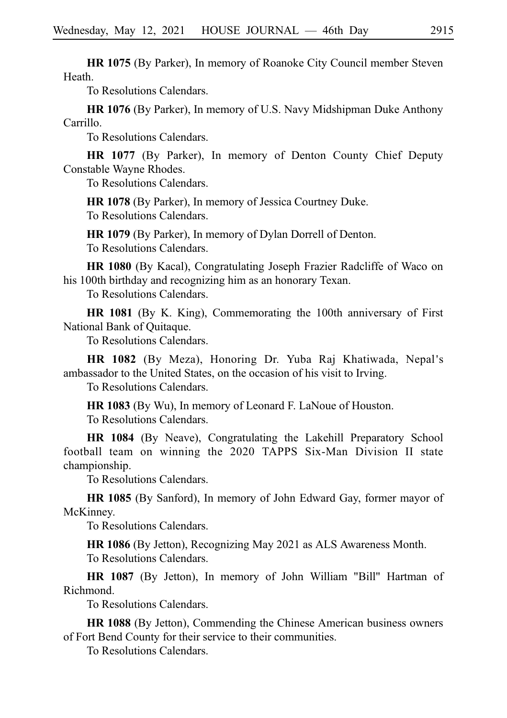**HR 1075** (By Parker), In memory of Roanoke City Council member Steven Heath.

To Resolutions Calendars.

**HR 1076** (By Parker), In memory of U.S. Navy Midshipman Duke Anthony Carrillo.

To Resolutions Calendars.

**HR 1077** (By Parker), In memory of Denton County Chief Deputy Constable Wayne Rhodes.

To Resolutions Calendars.

**HR 1078** (By Parker), In memory of Jessica Courtney Duke. To Resolutions Calendars.

**HR 1079** (By Parker), In memory of Dylan Dorrell of Denton. To Resolutions Calendars.

**HR 1080** (By Kacal), Congratulating Joseph Frazier Radcliffe of Waco on his 100th birthday and recognizing him as an honorary Texan.

To Resolutions Calendars.

**HR 1081** (By K. King), Commemorating the 100th anniversary of First National Bank of Quitaque.

To Resolutions Calendars.

**HR 1082** (By Meza), Honoring Dr. Yuba Raj Khatiwada, Nepal ' s ambassador to the United States, on the occasion of his visit to Irving.

To Resolutions Calendars.

**HR 1083** (By Wu), In memory of Leonard F. LaNoue of Houston. To Resolutions Calendars.

**HR 1084** (By Neave), Congratulating the Lakehill Preparatory School football team on winning the 2020 TAPPS Six-Man Division II state championship.

To Resolutions Calendars.

**HR 1085** (By Sanford), In memory of John Edward Gay, former mayor of McKinney.

To Resolutions Calendars.

**HR 1086** (By Jetton), Recognizing May 2021 as ALS Awareness Month. To Resolutions Calendars.

**HR 1087** (By Jetton), In memory of John William "Bill" Hartman of Richmond.

To Resolutions Calendars.

**HR 1088** (By Jetton), Commending the Chinese American business owners of Fort Bend County for their service to their communities.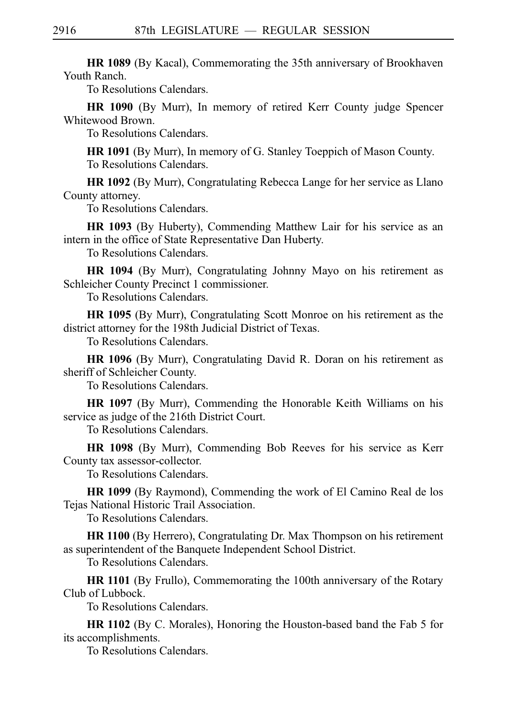**HR 1089** (By Kacal), Commemorating the 35th anniversary of Brookhaven Youth Ranch.

To Resolutions Calendars.

**HR 1090** (By Murr), In memory of retired Kerr County judge Spencer Whitewood Brown.

To Resolutions Calendars.

**HR 1091** (By Murr), In memory of G. Stanley Toeppich of Mason County. To Resolutions Calendars.

**HR 1092** (By Murr), Congratulating Rebecca Lange for her service as Llano County attorney.

To Resolutions Calendars.

**HR 1093** (By Huberty), Commending Matthew Lair for his service as an intern in the office of State Representative Dan Huberty.

To Resolutions Calendars.

**HR 1094** (By Murr), Congratulating Johnny Mayo on his retirement as Schleicher County Precinct 1 commissioner.

To Resolutions Calendars.

**HR 1095** (By Murr), Congratulating Scott Monroe on his retirement as the district attorney for the 198th Judicial District of Texas.

To Resolutions Calendars.

**HR 1096** (By Murr), Congratulating David R. Doran on his retirement as sheriff of Schleicher County.

To Resolutions Calendars.

**HR 1097** (By Murr), Commending the Honorable Keith Williams on his service as judge of the 216th District Court.

To Resolutions Calendars.

**HR 1098** (By Murr), Commending Bob Reeves for his service as Kerr County tax assessor-collector.

To Resolutions Calendars.

**HR 1099** (By Raymond), Commending the work of El Camino Real de los Tejas National Historic Trail Association.

To Resolutions Calendars.

**HR 1100** (By Herrero), Congratulating Dr. Max Thompson on his retirement as superintendent of the Banquete Independent School District.

To Resolutions Calendars.

**HR 1101** (By Frullo), Commemorating the 100th anniversary of the Rotary Club of Lubbock.

To Resolutions Calendars.

**HR 1102** (By C. Morales), Honoring the Houston-based band the Fab 5 for its accomplishments.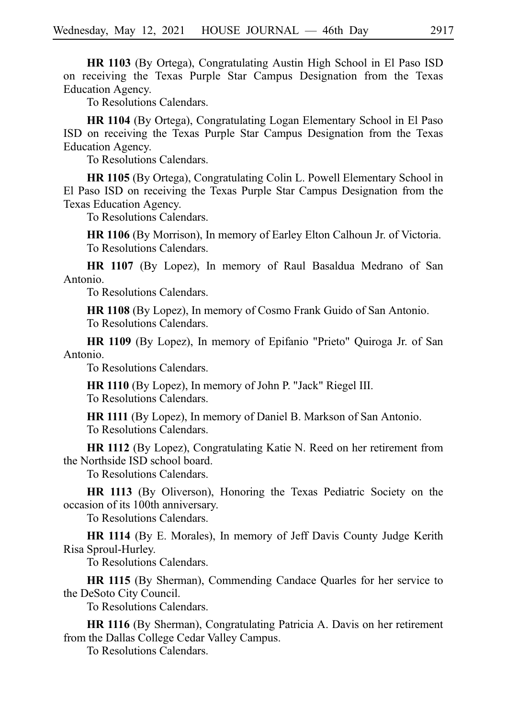**HR 1103** (By Ortega), Congratulating Austin High School in El Paso ISD on receiving the Texas Purple Star Campus Designation from the Texas Education Agency.

To Resolutions Calendars.

**HR 1104** (By Ortega), Congratulating Logan Elementary School in El Paso ISD on receiving the Texas Purple Star Campus Designation from the Texas Education Agency.

To Resolutions Calendars.

**HR 1105** (By Ortega), Congratulating Colin L. Powell Elementary School in El Paso ISD on receiving the Texas Purple Star Campus Designation from the Texas Education Agency.

To Resolutions Calendars.

**HR 1106** (By Morrison), In memory of Earley Elton Calhoun Jr. of Victoria. To Resolutions Calendars.

**HR 1107** (By Lopez), In memory of Raul Basaldua Medrano of San Antonio.

To Resolutions Calendars.

**HR 1108** (By Lopez), In memory of Cosmo Frank Guido of San Antonio. To Resolutions Calendars.

**HR 1109** (By Lopez), In memory of Epifanio "Prieto" Quiroga Jr. of San Antonio.

To Resolutions Calendars.

**HR 1110** (By Lopez), In memory of John P. "Jack" Riegel III. To Resolutions Calendars.

**HR 1111** (By Lopez), In memory of Daniel B. Markson of San Antonio. To Resolutions Calendars.

**HR 1112** (By Lopez), Congratulating Katie N. Reed on her retirement from the Northside ISD school board.

To Resolutions Calendars.

**HR 1113** (By Oliverson), Honoring the Texas Pediatric Society on the occasion of its 100th anniversary.

To Resolutions Calendars.

**HR 1114** (By E. Morales), In memory of Jeff Davis County Judge Kerith Risa Sproul-Hurley.

To Resolutions Calendars.

**HR 1115** (By Sherman), Commending Candace Quarles for her service to the DeSoto City Council.

To Resolutions Calendars.

**HR 1116** (By Sherman), Congratulating Patricia A. Davis on her retirement from the Dallas College Cedar Valley Campus.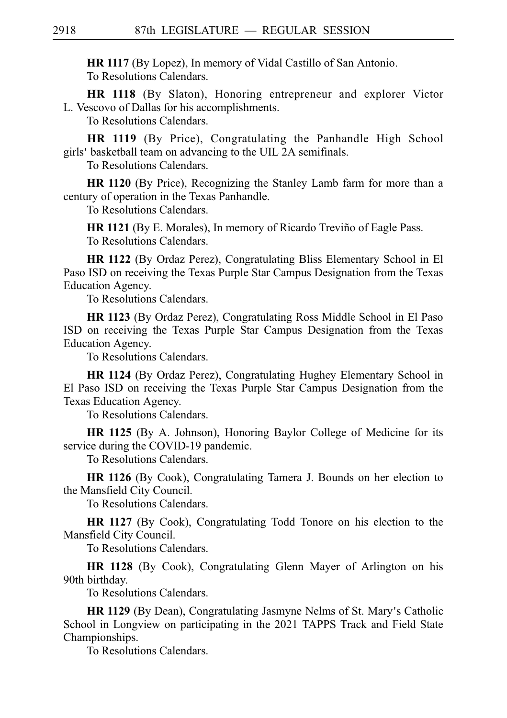**HR 1117** (By Lopez), In memory of Vidal Castillo of San Antonio. To Resolutions Calendars.

**HR 1118** (By Slaton), Honoring entrepreneur and explorer Victor L. Vescovo of Dallas for his accomplishments.

To Resolutions Calendars.

**HR 1119** (By Price), Congratulating the Panhandle High School girls' basketball team on advancing to the UIL 2A semifinals.

To Resolutions Calendars.

**HR 1120** (By Price), Recognizing the Stanley Lamb farm for more than a century of operation in the Texas Panhandle.

To Resolutions Calendars.

HR 1121 (By E. Morales), In memory of Ricardo Treviño of Eagle Pass. To Resolutions Calendars.

**HR 1122** (By Ordaz Perez), Congratulating Bliss Elementary School in El Paso ISD on receiving the Texas Purple Star Campus Designation from the Texas Education Agency.

To Resolutions Calendars.

**HR 1123** (By Ordaz Perez), Congratulating Ross Middle School in El Paso ISD on receiving the Texas Purple Star Campus Designation from the Texas Education Agency.

To Resolutions Calendars.

**HR 1124** (By Ordaz Perez), Congratulating Hughey Elementary School in El Paso ISD on receiving the Texas Purple Star Campus Designation from the Texas Education Agency.

To Resolutions Calendars.

**HR 1125** (By A. Johnson), Honoring Baylor College of Medicine for its service during the COVID-19 pandemic.

To Resolutions Calendars.

**HR 1126** (By Cook), Congratulating Tamera J. Bounds on her election to the Mansfield City Council.

To Resolutions Calendars.

**HR 1127** (By Cook), Congratulating Todd Tonore on his election to the Mansfield City Council.

To Resolutions Calendars.

**HR 1128** (By Cook), Congratulating Glenn Mayer of Arlington on his 90th birthday.

To Resolutions Calendars.

HR 1129 (By Dean), Congratulating Jasmyne Nelms of St. Mary's Catholic School in Longview on participating in the 2021 TAPPS Track and Field State Championships.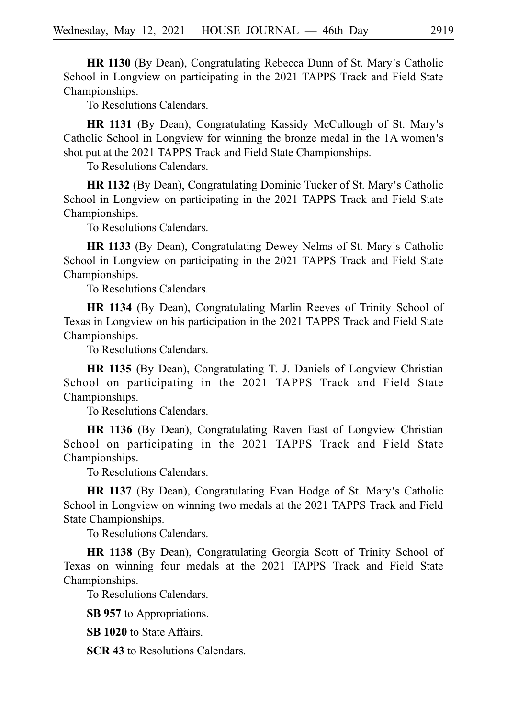**HR 1130** (By Dean), Congratulating Rebecca Dunn of St. Mary's Catholic School in Longview on participating in the 2021 TAPPS Track and Field State Championships.

To Resolutions Calendars.

**HR 1131** (By Dean), Congratulating Kassidy McCullough of St. Mary's Catholic School in Longview for winning the bronze medal in the 1A women's shot put at the 2021 TAPPS Track and Field State Championships.

To Resolutions Calendars.

**HR 1132** (By Dean), Congratulating Dominic Tucker of St. Mary's Catholic School in Longview on participating in the 2021 TAPPS Track and Field State Championships.

To Resolutions Calendars.

**HR 1133** (By Dean), Congratulating Dewey Nelms of St. Mary's Catholic School in Longview on participating in the 2021 TAPPS Track and Field State Championships.

To Resolutions Calendars.

**HR 1134** (By Dean), Congratulating Marlin Reeves of Trinity School of Texas in Longview on his participation in the 2021 TAPPS Track and Field State Championships.

To Resolutions Calendars.

**HR 1135** (By Dean), Congratulating T. J. Daniels of Longview Christian School on participating in the 2021 TAPPS Track and Field State Championships.

To Resolutions Calendars.

**HR 1136** (By Dean), Congratulating Raven East of Longview Christian School on participating in the 2021 TAPPS Track and Field State Championships.

To Resolutions Calendars.

**HR 1137** (By Dean), Congratulating Evan Hodge of St. Mary's Catholic School in Longview on winning two medals at the 2021 TAPPS Track and Field State Championships.

To Resolutions Calendars.

**HR 1138** (By Dean), Congratulating Georgia Scott of Trinity School of Texas on winning four medals at the 2021 TAPPS Track and Field State Championships.

To Resolutions Calendars.

**SB 957** to Appropriations.

**SB 1020** to State Affairs.

**SCR 43** to Resolutions Calendars.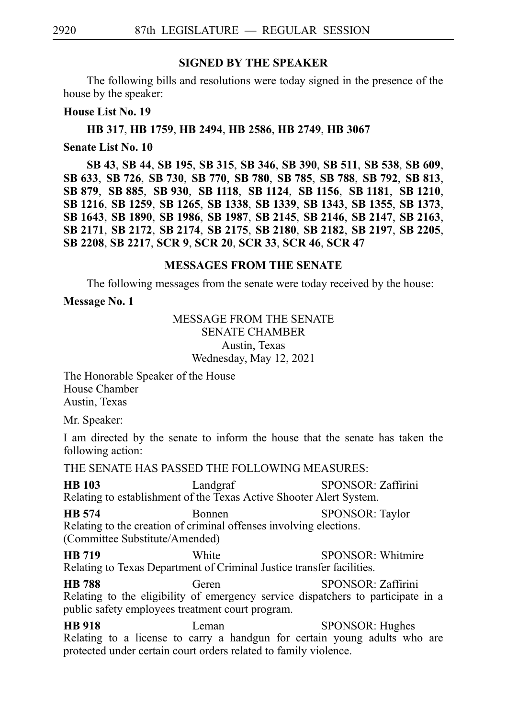## **SIGNED BY THE SPEAKER**

The following bills and resolutions were today signed in the presence of the house by the speaker:

#### **House List No. 19**

### **HB**i**317**, **HB**i**1759**, **HB**i**2494**, **HB**i**2586**, **HB**i**2749**, **HB**i**3067**

**Senate List No. 10**

**SB**i**43**, **SB**i**44**, **SB**i**195**, **SB**i**315**, **SB**i**346**, **SB**i**390**, **SB**i**511**, **SB**i**538**, **SB**i**609**, **SB**i**633**, **SB**i**726**, **SB**i**730**, **SB**i**770**, **SB**i**780**, **SB**i**785**, **SB**i**788**, **SB**i**792**, **SB**i**813**, **SB**i**879**, **SB**i**885**, **SB**i**930**, **SB**i**1118**, **SB**i**1124**, **SB**i**1156**, **SB**i**1181**, **SB**i**1210**, **SB**i**1216**, **SB**i**1259**, **SB**i**1265**, **SB**i**1338**, **SB**i**1339**, **SB**i**1343**, **SB**i**1355**, **SB**i**1373**, **SB**i**1643**, **SB**i**1890**, **SB**i**1986**, **SB**i**1987**, **SB**i**2145**, **SB**i**2146**, **SB**i**2147**, **SB**i**2163**, **SB**i**2171**, **SB**i**2172**, **SB**i**2174**, **SB**i**2175**, **SB**i**2180**, **SB**i**2182**, **SB**i**2197**, **SB**i**2205**, **SB**i**2208**, **SB**i**2217**, **SCR**i**9**, **SCR**i**20**, **SCR**i**33**, **SCR**i**46**, **SCR**i**47**

# **MESSAGES FROM THE SENATE**

The following messages from the senate were today received by the house:

**Message No. 1**

# MESSAGE FROM THE SENATE SENATE CHAMBER Austin, Texas Wednesday, May 12, 2021

The Honorable Speaker of the House House Chamber Austin, Texas

Mr. Speaker:

I am directed by the senate to inform the house that the senate has taken the following action:

THE SENATE HAS PASSED THE FOLLOWING MEASURES:

**HB 103** Landgraf SPONSOR: Zaffirini Relating to establishment of the Texas Active Shooter Alert System.

**HB 574** Bonnen SPONSOR: Taylor Relating to the creation of criminal offenses involving elections. (Committee Substitute/Amended)

**HB 719** White SPONSOR: Whitmire Relating to Texas Department of Criminal Justice transfer facilities.

**HB 788** Geren SPONSOR: Zaffirini Relating to the eligibility of emergency service dispatchers to participate in a public safety employees treatment court program.

**HB 918** Leman SPONSOR: Hughes Relating to a license to carry a handgun for certain young adults who are protected under certain court orders related to family violence.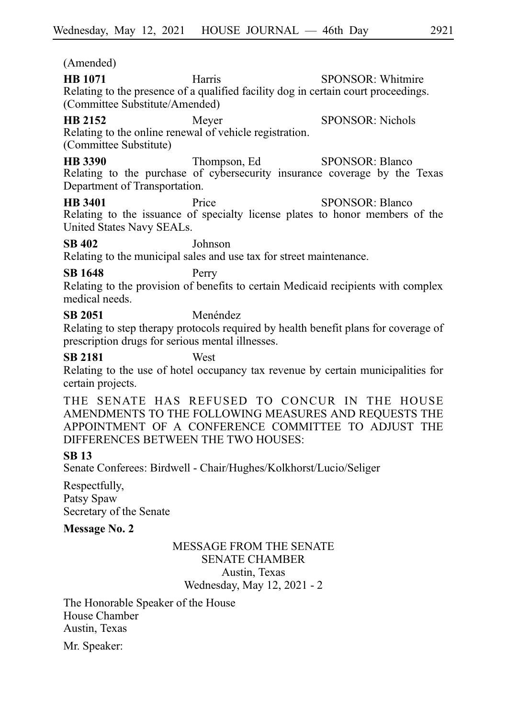(Amended) **HB 1071** Harris Harris SPONSOR: Whitmire Relating to the presence of a qualified facility dog in certain court proceedings. (Committee Substitute/Amended) **HB 2152** Meyer SPONSOR: Nichols Relating to the online renewal of vehicle registration. (Committee Substitute) **HB 3390** Thompson, Ed SPONSOR: Blanco Relating to the purchase of cybersecurity insurance coverage by the Texas Department of Transportation. **HB 3401** Price SPONSOR: Blanco Relating to the issuance of specialty license plates to honor members of the United States Navy SEALs. **SB 402** Johnson Relating to the municipal sales and use tax for street maintenance. **SB 1648** Perry Relating to the provision of benefits to certain Medicaid recipients with complex medical needs. **SB 2051** Menéndez Relating to step therapy protocols required by health benefit plans for coverage of prescription drugs for serious mental illnesses. **SB 2181** West Relating to the use of hotel occupancy tax revenue by certain municipalities for certain projects. THE SENATE HAS REFUSED TO CONCUR IN THE HOUSE AMENDMENTS TO THE FOLLOWING MEASURES AND REQUESTS THE APPOINTMENT OF A CONFERENCE COMMITTEE TO ADJUST THE DIFFERENCES BETWEEN THE TWO HOUSES: **SB 13** Senate Conferees: Birdwell - Chair/Hughes/Kolkhorst/Lucio/Seliger Respectfully,

Patsy Spaw Secretary of the Senate

### **Message No. 2**

# MESSAGE FROM THE SENATE SENATE CHAMBER Austin, Texas Wednesday, May 12, 2021 - 2

The Honorable Speaker of the House House Chamber Austin, Texas

Mr. Speaker: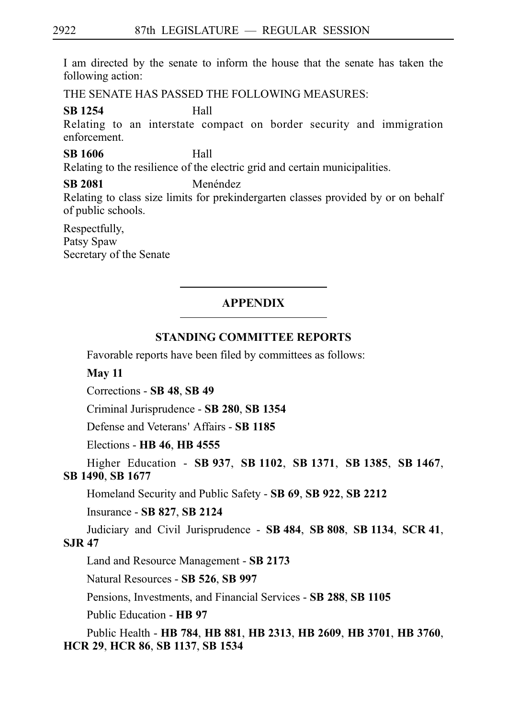I am directed by the senate to inform the house that the senate has taken the following action:

THE SENATE HAS PASSED THE FOLLOWING MEASURES:

#### **SB 1254** Hall

Relating to an interstate compact on border security and immigration enforcement.

# **SB 1606** Hall

Relating to the resilience of the electric grid and certain municipalities.

**SB 2081** Menéndez

Relating to class size limits for prekindergarten classes provided by or on behalf of public schools.

Respectfully, Patsy Spaw Secretary of the Senate

# **APPENDIX**

# **STANDING COMMITTEE REPORTS**

Favorable reports have been filed by committees as follows:

**May 11**

Corrections - **SB**i**48**, **SB**i**49**

Criminal Jurisprudence - **SB**i**280**, **SB**i**1354**

Defense and Veterans' Affairs - **SB 1185** 

Elections - **HB**i**46**, **HB**i**4555**

Higher Education - **SB**i**937**, **SB**i**1102**, **SB**i**1371**, **SB**i**1385**, **SB**i**1467**, **SB**i**1490**, **SB**i**1677**

Homeland Security and Public Safety - **SB**i**69**, **SB**i**922**, **SB**i**2212**

# Insurance - **SB**i**827**, **SB**i**2124**

Judiciary and Civil Jurisprudence - **SB**i**484**, **SB**i**808**, **SB**i**1134**, **SCR**i**41**, **SJR**i**47**

Land and Resource Management - **SB**i**2173**

Natural Resources - **SB**i**526**, **SB**i**997**

Pensions, Investments, and Financial Services - **SB**i**288**, **SB**i**1105**

Public Education - **HB**i**97**

Public Health - **HB**i**784**, **HB**i**881**, **HB**i**2313**, **HB**i**2609**, **HB**i**3701**, **HB**i**3760**, **HCR**i**29**, **HCR**i**86**, **SB**i**1137**, **SB**i**1534**